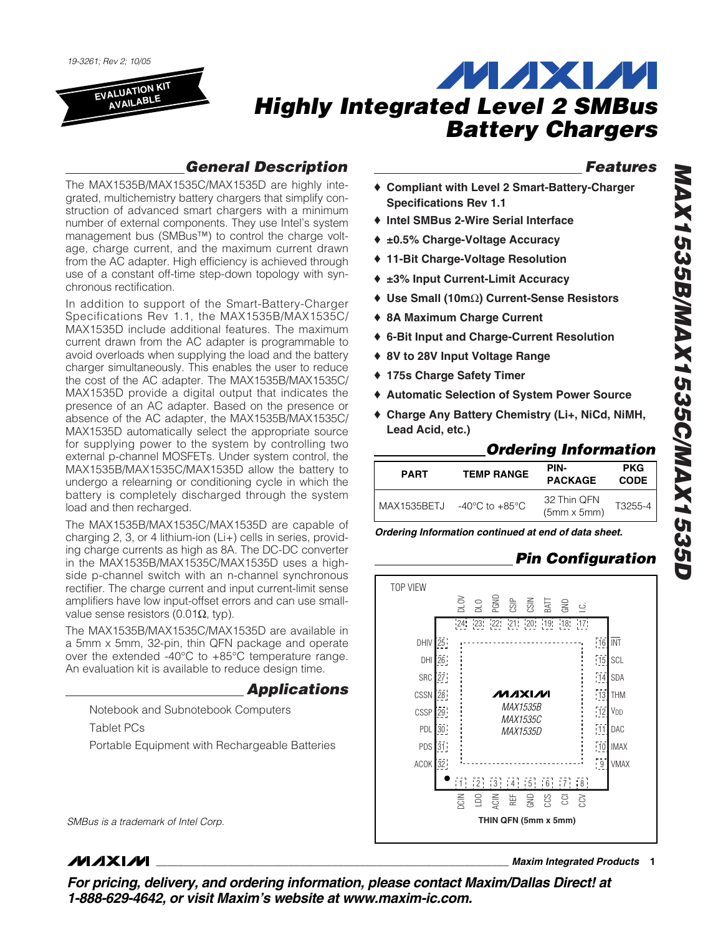*19-3261; Rev 2; 10/05*

**EVALUATION KIT AVAILABLE**



### *General Description*

The MAX1535B/MAX1535C/MAX1535D are highly integrated, multichemistry battery chargers that simplify construction of advanced smart chargers with a minimum number of external components. They use Intel's system management bus (SMBus™) to control the charge voltage, charge current, and the maximum current drawn from the AC adapter. High efficiency is achieved through use of a constant off-time step-down topology with synchronous rectification.

In addition to support of the Smart-Battery-Charger Specifications Rev 1.1, the MAX1535B/MAX1535C/ MAX1535D include additional features. The maximum current drawn from the AC adapter is programmable to avoid overloads when supplying the load and the battery charger simultaneously. This enables the user to reduce the cost of the AC adapter. The MAX1535B/MAX1535C/ MAX1535D provide a digital output that indicates the presence of an AC adapter. Based on the presence or absence of the AC adapter, the MAX1535B/MAX1535C/ MAX1535D automatically select the appropriate source for supplying power to the system by controlling two external p-channel MOSFETs. Under system control, the MAX1535B/MAX1535C/MAX1535D allow the battery to undergo a relearning or conditioning cycle in which the battery is completely discharged through the system load and then recharged.

The MAX1535B/MAX1535C/MAX1535D are capable of charging 2, 3, or 4 lithium-ion (Li+) cells in series, providing charge currents as high as 8A. The DC-DC converter in the MAX1535B/MAX1535C/MAX1535D uses a highside p-channel switch with an n-channel synchronous rectifier. The charge current and input current-limit sense amplifiers have low input-offset errors and can use smallvalue sense resistors (0.01 $Ω$ , typ).

The MAX1535B/MAX1535C/MAX1535D are available in a 5mm x 5mm, 32-pin, thin QFN package and operate over the extended -40°C to +85°C temperature range. An evaluation kit is available to reduce design time.

### *Applications*

Notebook and Subnotebook Computers Tablet PCs Portable Equipment with Rechargeable Batteries

*SMBus is a trademark of Intel Corp.*

### **MAXM**

*Features*

- ♦ **Compliant with Level 2 Smart-Battery-Charger Specifications Rev 1.1**
- ♦ **Intel SMBus 2-Wire Serial Interface**
- ♦ **±0.5% Charge-Voltage Accuracy**
- ♦ **11-Bit Charge-Voltage Resolution**
- ♦ **±3% Input Current-Limit Accuracy**
- ♦ **Use Small (10m**Ω**) Current-Sense Resistors**
- ♦ **8A Maximum Charge Current**
- ♦ **6-Bit Input and Charge-Current Resolution**
- ♦ **8V to 28V Input Voltage Range**
- ♦ **175s Charge Safety Timer**
- ♦ **Automatic Selection of System Power Source**
- ♦ **Charge Any Battery Chemistry (Li+, NiCd, NiMH, Lead Acid, etc.)**

### *Ordering Information*

| <b>PART</b>   | <b>TEMP RANGE</b>                    | PIN-<br><b>PACKAGE</b>            | <b>PKG</b><br><b>CODE</b> |
|---------------|--------------------------------------|-----------------------------------|---------------------------|
| l MAX1535BETJ | -40 $^{\circ}$ C to +85 $^{\circ}$ C | 32 Thin QFN<br>$(5mm \times 5mm)$ | T3255-4                   |

*Ordering Information continued at end of data sheet.*

### *Pin Configuration*



**\_\_\_\_\_\_\_\_\_\_\_\_\_\_\_\_\_\_\_\_\_\_\_\_\_\_\_\_\_\_\_\_\_\_\_\_\_\_\_\_\_\_\_\_\_\_\_\_\_\_\_\_\_\_\_\_\_\_\_\_\_\_\_\_** *Maxim Integrated Products* **1**

*For pricing, delivery, and ordering information, please contact Maxim/Dallas Direct! at 1-888-629-4642, or visit Maxim's website at www.maxim-ic.com.*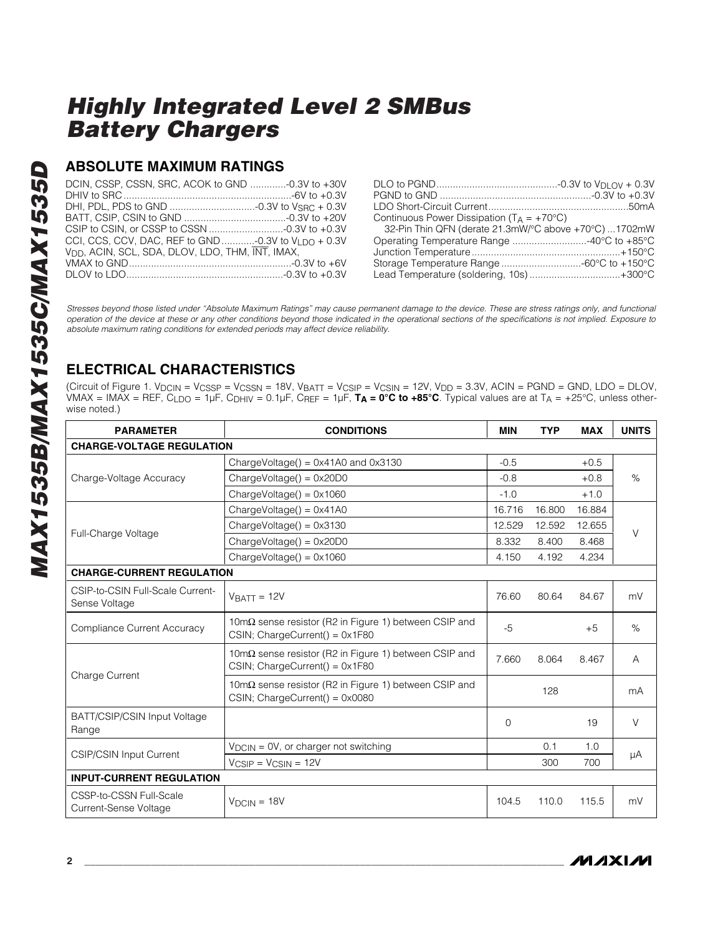### **ABSOLUTE MAXIMUM RATINGS**

| DCIN, CSSP, CSSN, SRC, ACOK to GND -0.3V to +30V             |  |
|--------------------------------------------------------------|--|
|                                                              |  |
|                                                              |  |
|                                                              |  |
| CCI, CCS, CCV, DAC, REF to GND -0.3V to $V_{1, DQ}$ + 0.3V   |  |
| V <sub>DD</sub> , ACIN, SCL, SDA, DLOV, LDO, THM, INT, IMAX, |  |
|                                                              |  |
|                                                              |  |

| Continuous Power Dissipation ( $T_A = +70^{\circ}C$ ) |  |
|-------------------------------------------------------|--|
| 32-Pin Thin QFN (derate 21.3mW/°C above +70°C) 1702mW |  |
| Operating Temperature Range 40°C to +85°C             |  |
|                                                       |  |
| Storage Temperature Range -60°C to +150°C             |  |
| Lead Temperature (soldering, 10s)+300°C               |  |
|                                                       |  |

*Stresses beyond those listed under "Absolute Maximum Ratings" may cause permanent damage to the device. These are stress ratings only, and functional operation of the device at these or any other conditions beyond those indicated in the operational sections of the specifications is not implied. Exposure to absolute maximum rating conditions for extended periods may affect device reliability.*

### **ELECTRICAL CHARACTERISTICS**

(Circuit of Figure 1. V<sub>DCIN</sub> = V<sub>CSSP</sub> = V<sub>CSSN</sub> = 18V, V<sub>BATT</sub> = V<sub>CSIP</sub> = V<sub>CSIN</sub> = 12V, V<sub>DD</sub> = 3.3V, ACIN = PGND = GND, LDO = DLOV, VMAX = IMAX = REF, CLDO = 1µF, CDHIV = 0.1µF, CREF = 1µF, **TA = 0°C to +85°C**. Typical values are at TA = +25°C, unless otherwise noted.)

| <b>PARAMETER</b>                                  | <b>CONDITIONS</b>                                                                                         | <b>MIN</b> | <b>TYP</b> | <b>MAX</b> | <b>UNITS</b> |  |  |
|---------------------------------------------------|-----------------------------------------------------------------------------------------------------------|------------|------------|------------|--------------|--|--|
| <b>CHARGE-VOLTAGE REGULATION</b>                  |                                                                                                           |            |            |            |              |  |  |
|                                                   | ChargeVoltage() = $0 \times 41$ A0 and $0 \times 3130$                                                    | $-0.5$     |            | $+0.5$     |              |  |  |
| Charge-Voltage Accuracy                           | $ChangeVoltage() = 0x20D0$                                                                                | $-0.8$     |            | $+0.8$     | $\%$         |  |  |
|                                                   | $ChangeVoltage() = 0x1060$                                                                                | $-1.0$     |            | $+1.0$     |              |  |  |
|                                                   | $ChangeVoltage() = 0x41A0$                                                                                | 16.716     | 16.800     | 16.884     |              |  |  |
| Full-Charge Voltage                               | $ChangeVoltage() = 0x3130$                                                                                | 12.529     | 12.592     | 12.655     | $\vee$       |  |  |
|                                                   | $ChangeVoltage() = 0x20D0$                                                                                | 8.332      | 8.400      | 8.468      |              |  |  |
|                                                   | $ChangeVoltage() = 0x1060$                                                                                | 4.150      | 4.192      | 4.234      |              |  |  |
| <b>CHARGE-CURRENT REGULATION</b>                  |                                                                                                           |            |            |            |              |  |  |
| CSIP-to-CSIN Full-Scale Current-<br>Sense Voltage | $VBATT = 12V$                                                                                             | 76.60      | 80.64      | 84.67      | mV           |  |  |
| Compliance Current Accuracy                       | $10 \text{m}\Omega$ sense resistor (R2 in Figure 1) between CSIP and<br>$CSIN$ ; ChargeCurrent() = 0x1F80 | $-5$       |            | $+5$       | $\%$         |  |  |
|                                                   | 10 $m\Omega$ sense resistor (R2 in Figure 1) between CSIP and<br>$CSIN$ ; ChargeCurrent() = $0x1F80$      | 7.660      | 8.064      | 8.467      | A            |  |  |
| <b>Charge Current</b>                             | 10mΩ sense resistor (R2 in Figure 1) between CSIP and<br>$CSIN$ ; ChargeCurrent() = $0x0080$              |            | 128        |            | mA           |  |  |
| BATT/CSIP/CSIN Input Voltage<br>Range             |                                                                                                           | $\Omega$   |            | 19         | $\vee$       |  |  |
|                                                   | $V_{DCIN} = OV$ , or charger not switching                                                                |            | 0.1        | 1.0        |              |  |  |
| CSIP/CSIN Input Current                           | $V_{CSIP} = V_{CSIN} = 12V$                                                                               |            | 300        | 700        | $\mu A$      |  |  |
| <b>INPUT-CURRENT REGULATION</b>                   |                                                                                                           |            |            |            |              |  |  |
| CSSP-to-CSSN Full-Scale<br>Current-Sense Voltage  | $VDCIN = 18V$                                                                                             | 104.5      | 110.0      | 115.5      | mV           |  |  |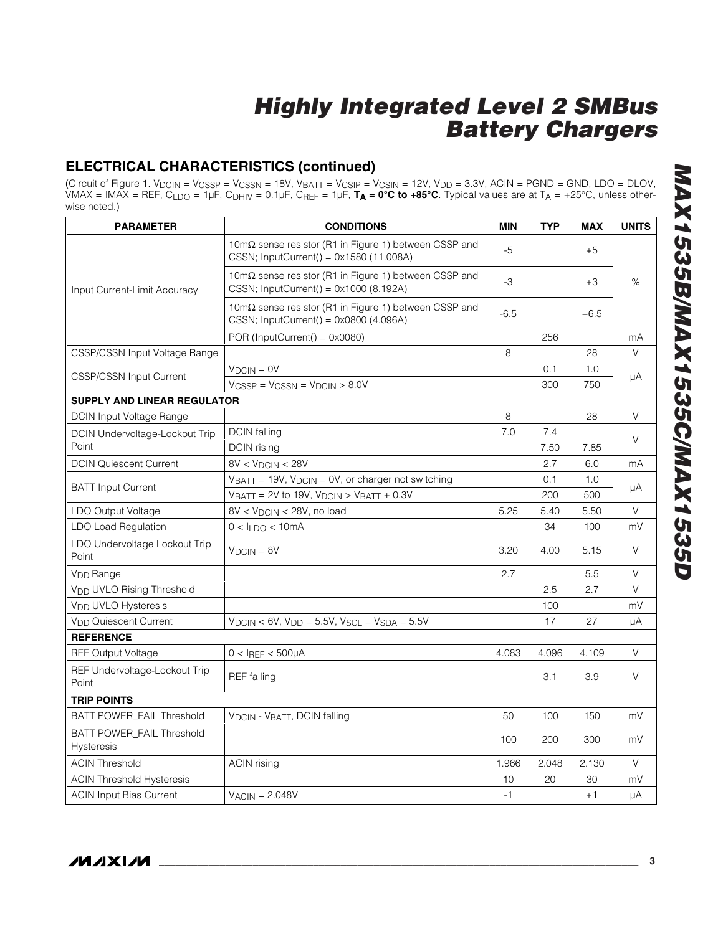### **ELECTRICAL CHARACTERISTICS (continued)**

(Circuit of Figure 1. V<sub>DCIN</sub> = V<sub>CSSP</sub> = V<sub>CSSN</sub> = 18V, V<sub>BATT</sub> = V<sub>CSIP</sub> = V<sub>CSIN</sub> = 12V, V<sub>DD</sub> = 3.3V, ACIN = PGND = GND, LDO = DLOV, VMAX = IMAX = REF, CLDO = 1µF, CDHIV = 0.1µF, CREF = 1µF, **TA = 0°C to +85°C**. Typical values are at TA = +25°C, unless otherwise noted.)

| <b>PARAMETER</b>                                      | <b>CONDITIONS</b>                                                                                               | <b>MIN</b> | <b>TYP</b> | <b>MAX</b> | <b>UNITS</b> |
|-------------------------------------------------------|-----------------------------------------------------------------------------------------------------------------|------------|------------|------------|--------------|
|                                                       | $10 \text{m}\Omega$ sense resistor (R1 in Figure 1) between CSSP and<br>CSSN; InputCurrent() = 0x1580 (11.008A) | $-5$       |            | $+5$       |              |
| Input Current-Limit Accuracy                          | $10 \text{m}\Omega$ sense resistor (R1 in Figure 1) between CSSP and<br>CSSN; InputCurrent() = 0x1000 (8.192A)  | $-3$       |            | $+3$       | $\%$         |
|                                                       | $10 \text{m}\Omega$ sense resistor (R1 in Figure 1) between CSSP and<br>CSSN; InputCurrent() = 0x0800 (4.096A)  | $-6.5$     |            | $+6.5$     |              |
|                                                       | POR (InputCurrent() = $0x0080$ )                                                                                |            | 256        |            | mA           |
| CSSP/CSSN Input Voltage Range                         |                                                                                                                 | 8          |            | 28         | V            |
| <b>CSSP/CSSN Input Current</b>                        | $V_{DCIN} = 0V$                                                                                                 |            | 0.1        | 1.0        |              |
|                                                       | $V_{CSSP} = V_{CSSN} = V_{DCIN} > 8.0V$                                                                         |            | 300        | 750        | μA           |
| <b>SUPPLY AND LINEAR REGULATOR</b>                    |                                                                                                                 |            |            |            |              |
| <b>DCIN Input Voltage Range</b>                       |                                                                                                                 | 8          |            | 28         | V            |
| <b>DCIN Undervoltage-Lockout Trip</b>                 | <b>DCIN</b> falling                                                                                             | 7.0        | 7.4        |            | V            |
| Point                                                 | DCIN rising                                                                                                     |            | 7.50       | 7.85       |              |
| <b>DCIN Quiescent Current</b>                         | 8V < V <sub>DCIN</sub> < 28V                                                                                    |            | 2.7        | 6.0        | mA           |
| <b>BATT Input Current</b>                             | VBATT = 19V, VDCIN = 0V, or charger not switching                                                               |            | 0.1        | 1.0        | μA           |
|                                                       | $V_{BAT} = 2V$ to 19V, $V_{DCIN} > V_{BAT} + 0.3V$                                                              |            | 200        | 500        |              |
| LDO Output Voltage                                    | $8V < V_{DCIN} < 28V$ , no load                                                                                 | 5.25       | 5.40       | 5.50       | V            |
| <b>LDO Load Regulation</b>                            | $0 < I_{1}$ DO < 10mA                                                                                           |            | 34         | 100        | mV           |
| LDO Undervoltage Lockout Trip<br>Point                | $VDCIN = 8V$                                                                                                    | 3.20       | 4.00       | 5.15       | V            |
| V <sub>DD</sub> Range                                 |                                                                                                                 | 2.7        |            | 5.5        | V            |
| <b>VDD UVLO Rising Threshold</b>                      |                                                                                                                 |            | 2.5        | 2.7        | V            |
| V <sub>DD</sub> UVLO Hysteresis                       |                                                                                                                 |            | 100        |            | mV           |
| <b>V<sub>DD</sub></b> Quiescent Current               | $V_{DCIN}$ < 6V, $V_{DD}$ = 5.5V, $V_{SCL}$ = $V_{SDA}$ = 5.5V                                                  |            | 17         | 27         | μA           |
| <b>REFERENCE</b>                                      |                                                                                                                 |            |            |            |              |
| <b>REF Output Voltage</b>                             | $0 < I_{REF} < 500 \mu A$                                                                                       | 4.083      | 4.096      | 4.109      | V            |
| REF Undervoltage-Lockout Trip<br>Point                | <b>REF</b> falling                                                                                              |            | 3.1        | 3.9        | V            |
| <b>TRIP POINTS</b>                                    |                                                                                                                 |            |            |            |              |
| BATT POWER_FAIL Threshold                             | V <sub>DCIN</sub> - V <sub>BATT</sub> , DCIN falling                                                            | 50         | 100        | 150        | mV           |
| <b>BATT POWER FAIL Threshold</b><br><b>Hysteresis</b> |                                                                                                                 | 100        | 200        | 300        | mV           |
| <b>ACIN Threshold</b>                                 | <b>ACIN</b> rising                                                                                              | 1.966      | 2.048      | 2.130      | V            |
| <b>ACIN Threshold Hysteresis</b>                      |                                                                                                                 | 10         | 20         | 30         | mV           |
| <b>ACIN Input Bias Current</b>                        | $V_{ACIN} = 2.048V$                                                                                             | $-1$       |            | $+1$       | μA           |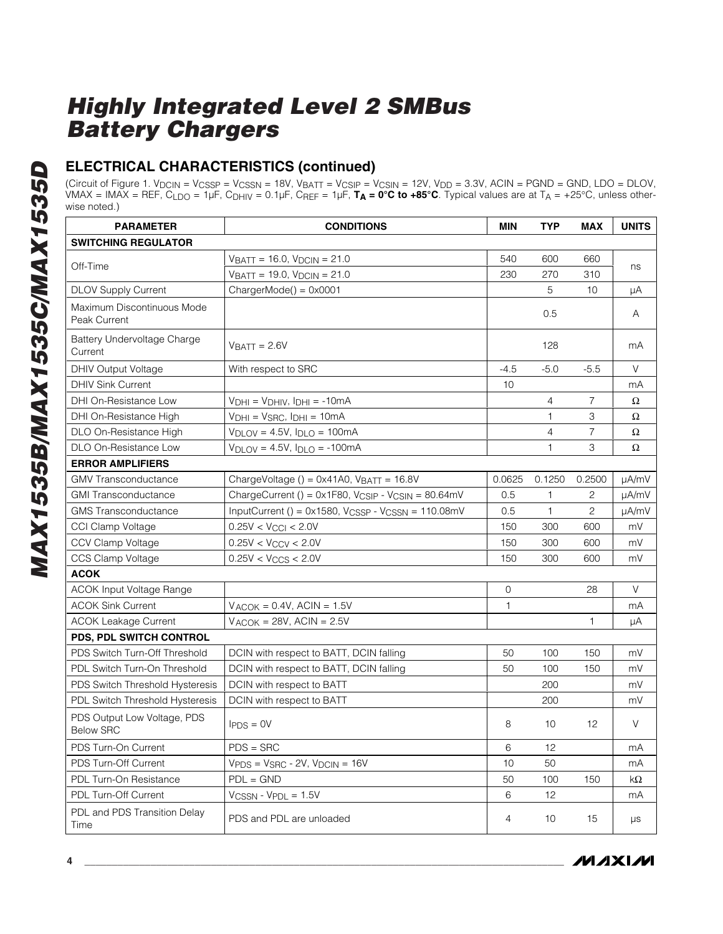### **ELECTRICAL CHARACTERISTICS (continued)**

(Circuit of Figure 1. V<sub>DCIN</sub> = V<sub>CSSP</sub> = V<sub>CSSN</sub> = 18V, V<sub>BATT</sub> = V<sub>CSIP</sub> = V<sub>CSIN</sub> = 12V, V<sub>DD</sub> = 3.3V, ACIN = PGND = GND, LDO = DLOV, VMAX = IMAX = REF, CLDO = 1µF, CDHIV = 0.1µF, CREF = 1µF, **TA = 0°C to +85°C**. Typical values are at TA = +25°C, unless otherwise noted.)

| <b>PARAMETER</b>                                | <b>CONDITIONS</b>                                                          | <b>MIN</b>   | <b>TYP</b>     | <b>MAX</b>        | <b>UNITS</b> |
|-------------------------------------------------|----------------------------------------------------------------------------|--------------|----------------|-------------------|--------------|
| <b>SWITCHING REGULATOR</b>                      |                                                                            |              |                |                   |              |
|                                                 | $V_{\text{BATT}}$ = 16.0, $V_{\text{DCIN}}$ = 21.0                         | 540          | 600            | 660               |              |
| Off-Time                                        | $V_{BATT} = 19.0, V_{DCIN} = 21.0$                                         | 230          | 270            | 310               | ns           |
| <b>DLOV Supply Current</b>                      | $ChapterMode() = 0x0001$                                                   |              | 5              | 10                | μA           |
| Maximum Discontinuous Mode<br>Peak Current      |                                                                            |              | 0.5            |                   | A            |
| Battery Undervoltage Charge<br>Current          | $VBATT = 2.6V$                                                             |              | 128            |                   | mA           |
| DHIV Output Voltage                             | With respect to SRC                                                        | $-4.5$       | $-5.0$         | $-5.5$            | V            |
| <b>DHIV Sink Current</b>                        |                                                                            | 10           |                |                   | mA           |
| DHI On-Resistance Low                           | $V_{DHI} = V_{DHIV}$ , $I_{DHI} = -10mA$                                   |              | $\overline{4}$ | $\overline{7}$    | $\Omega$     |
| DHI On-Resistance High                          | $V_{DHI} = V_{SRC}$ , $I_{DHI} = 10mA$                                     |              | 1              | 3                 | $\Omega$     |
| DLO On-Resistance High                          | $V_{\text{DLOV}} = 4.5V$ , $I_{\text{DLO}} = 100 \text{mA}$                |              | $\overline{4}$ | 7                 | Ω            |
| DLO On-Resistance Low                           | $V_{\text{DLOV}} = 4.5V$ , $I_{\text{DLO}} = -100 \text{mA}$               |              | $\mathbf{1}$   | 3                 | $\Omega$     |
| <b>ERROR AMPLIFIERS</b>                         |                                                                            |              |                |                   |              |
| <b>GMV Transconductance</b>                     | ChargeVoltage () = $0 \times 41A0$ , VBATT = 16.8V                         | 0.0625       | 0.1250         | 0.2500            | µA/mV        |
| <b>GMI Transconductance</b>                     | ChargeCurrent () = 0x1F80, V <sub>CSIP</sub> - V <sub>CSIN</sub> = 80.64mV | 0.5          | $\mathbf{1}$   | 2                 | µA/mV        |
| <b>GMS</b> Transconductance                     | InputCurrent () = $0x1580$ , $V_{CSSP}$ - $V_{CSSN}$ = 110.08mV            | 0.5          | $\mathbf{1}$   | $\overline{c}$    | µA/mV        |
| CCI Clamp Voltage                               | $0.25V < V_{\text{CCI}} < 2.0V$                                            | 150          | 300            | 600               | mV           |
| CCV Clamp Voltage                               | $0.25V < V_{CCV} < 2.0V$                                                   | 150          | 300            | 600               | mV           |
| CCS Clamp Voltage                               | $0.25V < V_{CCS} < 2.0V$                                                   | 150          | 300            | 600               | mV           |
| <b>ACOK</b>                                     |                                                                            |              |                |                   |              |
| ACOK Input Voltage Range                        |                                                                            | 0            |                | 28                | V            |
| <b>ACOK Sink Current</b>                        | $V_{ACOK} = 0.4V$ , ACIN = 1.5V                                            | $\mathbf{1}$ |                |                   | mA           |
| <b>ACOK Leakage Current</b>                     | $V_{ACOK} = 28V$ , ACIN = 2.5V                                             |              |                | 1                 | μA           |
| PDS, PDL SWITCH CONTROL                         |                                                                            |              |                |                   |              |
| PDS Switch Turn-Off Threshold                   | DCIN with respect to BATT, DCIN falling                                    | 50           | 100            | 150               | mV           |
| PDL Switch Turn-On Threshold                    | DCIN with respect to BATT, DCIN falling                                    | 50           | 100            | 150               | mV           |
| PDS Switch Threshold Hysteresis                 | DCIN with respect to BATT                                                  |              | 200            |                   | mV           |
| <b>PDL Switch Threshold Hysteresis</b>          | DCIN with respect to BATT                                                  |              | 200            |                   | mV           |
| PDS Output Low Voltage, PDS<br><b>Below SRC</b> | $I_{PDS} = 0V$                                                             | 8            | 10             | $12 \overline{ }$ | V            |
| PDS Turn-On Current                             | $PDS = SRC$                                                                | 6            | 12             |                   | mA           |
| PDS Turn-Off Current                            | $VPDS = VSRC - 2V$ , $VDCIN = 16V$                                         | 10           | 50             |                   | mA           |
| PDL Turn-On Resistance                          | $PDL = GND$                                                                | 50           | 100            | 150               | $k\Omega$    |
| PDL Turn-Off Current                            | $V_{CSSN}$ - $V_{PDL}$ = 1.5V                                              | 6            | 12             |                   | mA           |
| PDL and PDS Transition Delay<br>Time            | PDS and PDL are unloaded                                                   | 4            | 10             | 15                | μs           |

**MAXIM**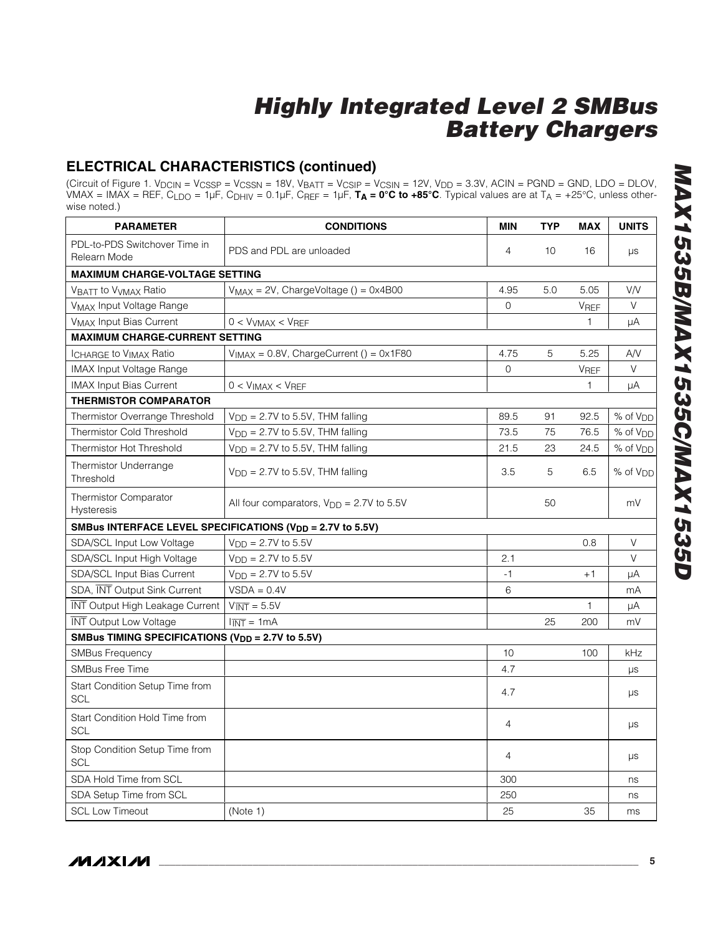### **ELECTRICAL CHARACTERISTICS (continued)**

(Circuit of Figure 1. V<sub>DCIN</sub> = V<sub>CSSP</sub> = V<sub>CSSN</sub> = 18V, V<sub>BATT</sub> = V<sub>CSIP</sub> = V<sub>CSIN</sub> = 12V, V<sub>DD</sub> = 3.3V, ACIN = PGND = GND, LDO = DLOV, VMAX = IMAX = REF, CLDO = 1µF, CDHIV = 0.1µF, CREF = 1µF, **TA = 0°C to +85°C**. Typical values are at TA = +25°C, unless otherwise noted.)

| <b>PARAMETER</b>                                             | <b>CONDITIONS</b>                                                     | <b>MIN</b>     | <b>TYP</b> | <b>MAX</b>  | <b>UNITS</b>         |
|--------------------------------------------------------------|-----------------------------------------------------------------------|----------------|------------|-------------|----------------------|
| PDL-to-PDS Switchover Time in<br>Relearn Mode                | PDS and PDL are unloaded                                              | $\overline{4}$ | 10         | 16          | $\mu s$              |
| <b>MAXIMUM CHARGE-VOLTAGE SETTING</b>                        |                                                                       |                |            |             |                      |
| VBATT to V <sub>VMAX</sub> Ratio                             | $V_{MAX} = 2V$ , ChargeVoltage () = 0x4B00                            | 4.95           | 5.0        | 5.05        | <b>VN</b>            |
| <b>VMAX Input Voltage Range</b>                              |                                                                       | $\mathbf 0$    |            | VREF        | V                    |
| <b>VMAX Input Bias Current</b>                               | $0 < VVMAX < VREF$                                                    |                |            | 1           | μA                   |
| <b>MAXIMUM CHARGE-CURRENT SETTING</b>                        |                                                                       |                |            |             |                      |
| <b>ICHARGE to VIMAX Ratio</b>                                | $V_{IMAX} = 0.8V$ , ChargeCurrent () = 0x1F80                         | 4.75           | 5          | 5.25        | A/V                  |
| <b>IMAX Input Voltage Range</b>                              |                                                                       | $\Omega$       |            | <b>VREF</b> | $\vee$               |
| <b>IMAX Input Bias Current</b>                               | $0 < VIMAX < VREF$                                                    |                |            | 1           | μA                   |
| <b>THERMISTOR COMPARATOR</b>                                 |                                                                       |                |            |             |                      |
| Thermistor Overrange Threshold                               | $V_{DD} = 2.7V$ to 5.5V, THM falling                                  | 89.5           | 91         | 92.5        | $%$ of $VDD$         |
| <b>Thermistor Cold Threshold</b>                             | $V_{DD} = 2.7V$ to 5.5V, THM falling                                  | 73.5           | 75         | 76.5        | % of V <sub>DD</sub> |
| Thermistor Hot Threshold                                     | $V_{DD} = 2.7V$ to 5.5V, THM falling                                  | 21.5           | 23         | 24.5        | % of V <sub>DD</sub> |
| Thermistor Underrange<br>Threshold                           | $V_{DD} = 2.7V$ to 5.5V, THM falling                                  | 3.5            | 5          | 6.5         | % of V <sub>DD</sub> |
| <b>Thermistor Comparator</b><br><b>Hysteresis</b>            | All four comparators, $V_{DD} = 2.7V$ to 5.5V                         |                | 50         |             | mV                   |
|                                                              | SMBus INTERFACE LEVEL SPECIFICATIONS (V <sub>DD</sub> = 2.7V to 5.5V) |                |            |             |                      |
| SDA/SCL Input Low Voltage                                    | $V_{DD} = 2.7V$ to 5.5V                                               |                |            | 0.8         | $\vee$               |
| SDA/SCL Input High Voltage                                   | $V_{\text{DD}} = 2.7V$ to 5.5V                                        | 2.1            |            |             | V                    |
| SDA/SCL Input Bias Current                                   | $V_{DD} = 2.7V$ to 5.5V                                               | $-1$           |            | $+1$        | μA                   |
| SDA, INT Output Sink Current                                 | $VSDA = 0.4V$                                                         | 6              |            |             | mA                   |
| <b>INT</b> Output High Leakage Current                       | $V_{\overline{\text{INT}}}$ = 5.5V                                    |                |            | 1           | μA                   |
| <b>INT Output Low Voltage</b>                                | $\overline{INT} = 1 \text{mA}$                                        |                | 25         | 200         | mV                   |
| SMBus TIMING SPECIFICATIONS (V <sub>DD</sub> = 2.7V to 5.5V) |                                                                       |                |            |             |                      |
| <b>SMBus Frequency</b>                                       |                                                                       | 10             |            | 100         | kHz                  |
| <b>SMBus Free Time</b>                                       |                                                                       | 4.7            |            |             | $\mu s$              |
| Start Condition Setup Time from<br><b>SCL</b>                |                                                                       | 4.7            |            |             | $\mu s$              |
| Start Condition Hold Time from<br><b>SCL</b>                 |                                                                       | 4              |            |             | $\mu s$              |
| Stop Condition Setup Time from<br><b>SCL</b>                 |                                                                       | 4              |            |             | $\mu s$              |
| SDA Hold Time from SCL                                       |                                                                       | 300            |            |             | ns                   |
| SDA Setup Time from SCL                                      |                                                                       | 250            |            |             | ns                   |
| <b>SCL Low Timeout</b>                                       | (Note 1)                                                              | 25             |            | 35          | ms                   |

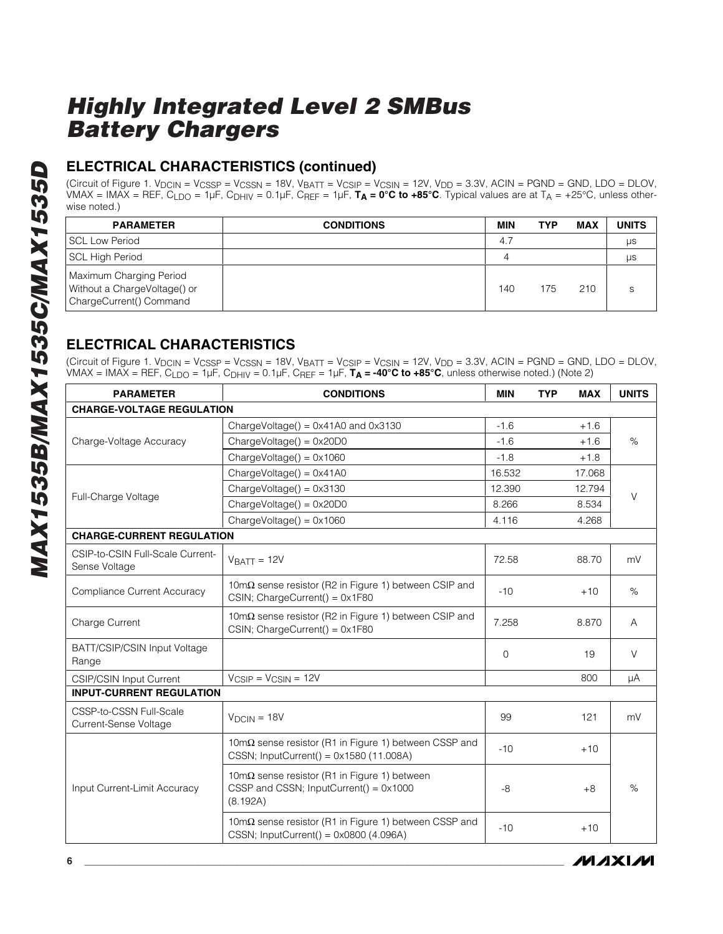### **ELECTRICAL CHARACTERISTICS (continued)**

(Circuit of Figure 1. V<sub>DCIN</sub> = V<sub>CSSP</sub> = V<sub>CSSN</sub> = 18V, V<sub>BATT</sub> = V<sub>CSIP</sub> = V<sub>CSIN</sub> = 12V, V<sub>DD</sub> = 3.3V, ACIN = PGND = GND, LDO = DLOV, VMAX = IMAX = REF, CLDO = 1µF, CDHIV = 0.1µF, CREF = 1µF, **TA = 0°C to +85°C**. Typical values are at TA = +25°C, unless otherwise noted.)

| <b>PARAMETER</b>                                                                   | <b>CONDITIONS</b> | <b>MIN</b> | <b>TYP</b> | <b>MAX</b> | <b>UNITS</b> |
|------------------------------------------------------------------------------------|-------------------|------------|------------|------------|--------------|
| <b>SCL Low Period</b>                                                              |                   | 4.7        |            |            | μs           |
| <b>SCL High Period</b>                                                             |                   | 4          |            |            | μs           |
| Maximum Charging Period<br>Without a ChargeVoltage() or<br>ChargeCurrent() Command |                   | 140        | 175        | 210        |              |

### **ELECTRICAL CHARACTERISTICS**

(Circuit of Figure 1. VDCIN = VCSSP = VCSSN = 18V, VBATT = VCSIP = VCSIN = 12V, VDD = 3.3V, ACIN = PGND = GND, LDO = DLOV, VMAX = IMAX = REF, CLDO = 1µF, CDHIV = 0.1µF, CREF = 1µF, **TA = -40°C to +85°C**, unless otherwise noted.) (Note 2)

| <b>PARAMETER</b>                                  | <b>CONDITIONS</b>                                                                                                | <b>MIN</b> | <b>TYP</b> | <b>MAX</b> | <b>UNITS</b> |
|---------------------------------------------------|------------------------------------------------------------------------------------------------------------------|------------|------------|------------|--------------|
| <b>CHARGE-VOLTAGE REGULATION</b>                  |                                                                                                                  |            |            |            |              |
|                                                   | ChargeVoltage() = $0 \times 41$ A0 and $0 \times 3130$                                                           | $-1.6$     |            | $+1.6$     |              |
| Charge-Voltage Accuracy                           | $ChangeVoltage() = 0x20D0$                                                                                       | $-1.6$     |            | $+1.6$     | $\%$         |
|                                                   | $ChangeVoltage() = 0x1060$                                                                                       | $-1.8$     |            | $+1.8$     |              |
|                                                   | $ChangeVoltage() = 0x41A0$                                                                                       | 16.532     |            | 17.068     |              |
|                                                   | $ChangeVoltage() = 0x3130$                                                                                       | 12.390     |            | 12.794     | V            |
| Full-Charge Voltage                               | $ChangeVoltage() = 0x20D0$                                                                                       | 8.266      |            | 8.534      |              |
|                                                   | $ChangeVoltage() = 0x1060$                                                                                       | 4.116      |            | 4.268      |              |
| <b>CHARGE-CURRENT REGULATION</b>                  |                                                                                                                  |            |            |            |              |
| CSIP-to-CSIN Full-Scale Current-<br>Sense Voltage | $V$ RATT = 12V                                                                                                   | 72.58      |            | 88.70      | mV           |
| <b>Compliance Current Accuracy</b>                | 10 $m\Omega$ sense resistor (R2 in Figure 1) between CSIP and<br>CSIN; ChargeCurrent() = 0x1F80                  | $-10$      |            | $+10$      | $\%$         |
| Charge Current                                    | $10 \text{m}\Omega$ sense resistor (R2 in Figure 1) between CSIP and<br>$CSIN$ ; ChargeCurrent() = $0x1F80$      | 7.258      |            | 8.870      | A            |
| BATT/CSIP/CSIN Input Voltage<br>Range             |                                                                                                                  | 0          |            | 19         | $\vee$       |
| <b>CSIP/CSIN Input Current</b>                    | $V_{CSIP} = V_{CSIN} = 12V$                                                                                      |            |            | 800        | μA           |
| <b>INPUT-CURRENT REGULATION</b>                   |                                                                                                                  |            |            |            |              |
| CSSP-to-CSSN Full-Scale<br>Current-Sense Voltage  | $VDCIN = 18V$                                                                                                    | 99         |            | 121        | mV           |
|                                                   | 10mΩ sense resistor (R1 in Figure 1) between CSSP and<br>CSSN; InputCurrent() = $0x1580(11.008A)$                | $-10$      |            | $+10$      |              |
| Input Current-Limit Accuracy                      | 10m $\Omega$ sense resistor (R1 in Figure 1) between<br>CSSP and CSSN; InputCurrent() = $0x1000$<br>(8.192A)     | $-8$       |            | $+8$       | $\%$         |
|                                                   | $10 \text{m}\Omega$ sense resistor (R1 in Figure 1) between CSSP and<br>CSSN; InputCurrent() = $0x0800$ (4.096A) | $-10$      |            | $+10$      |              |

**MAXIM**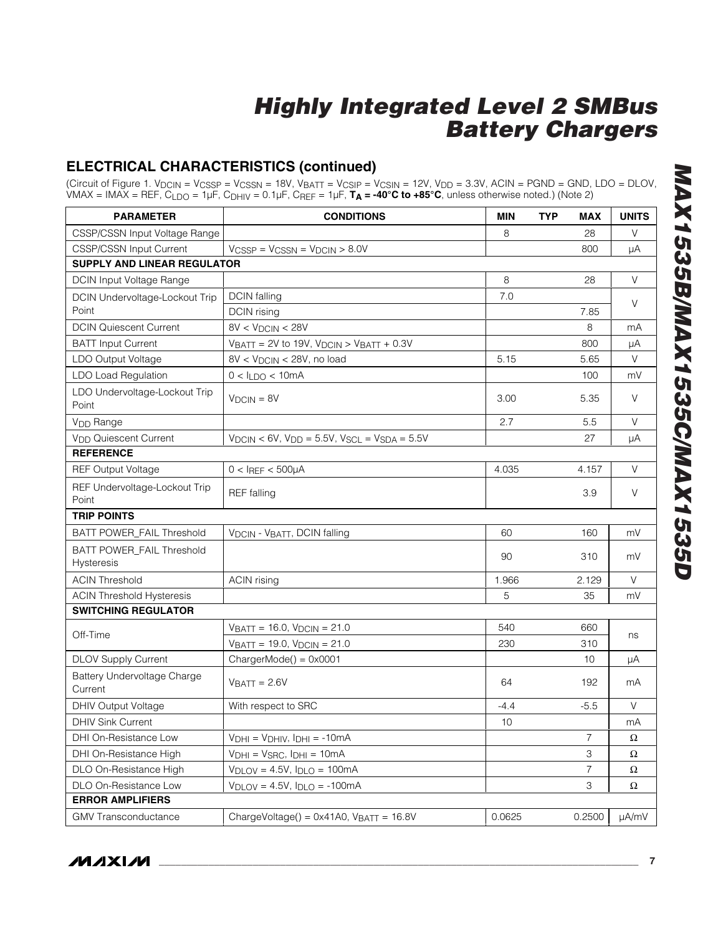### **ELECTRICAL CHARACTERISTICS (continued)**

(Circuit of Figure 1. V<sub>DCIN</sub> = V<sub>CSSP</sub> = V<sub>CSSN</sub> = 18V, V<sub>BATT</sub> = V<sub>CSIP</sub> = V<sub>CSIN</sub> = 12V, V<sub>DD</sub> = 3.3V, ACIN = PGND = GND, LDO = DLOV, VMAX = IMAX = REF, CLDO = 1µF, CDHIV = 0.1µF, CREF = 1µF, **TA = -40°C to +85°C**, unless otherwise noted.) (Note 2)

| <b>PARAMETER</b>                        | <b>CONDITIONS</b>                                              | <b>MIN</b> | <b>TYP</b> | <b>MAX</b>     | <b>UNITS</b> |
|-----------------------------------------|----------------------------------------------------------------|------------|------------|----------------|--------------|
| CSSP/CSSN Input Voltage Range           |                                                                | 8          |            | 28             | V            |
| <b>CSSP/CSSN Input Current</b>          | $V_{CSSP} = V_{CSSN} = V_{DCIN} > 8.0V$                        |            |            | 800            | μA           |
| <b>SUPPLY AND LINEAR REGULATOR</b>      |                                                                |            |            |                |              |
| DCIN Input Voltage Range                |                                                                | 8          |            | 28             | $\vee$       |
| DCIN Undervoltage-Lockout Trip          | <b>DCIN</b> falling                                            | 7.0        |            |                | V            |
| Point                                   | DCIN rising                                                    |            |            | 7.85           |              |
| <b>DCIN Quiescent Current</b>           | $8V < V_{DCIN} < 28V$                                          |            |            | 8              | mA           |
| <b>BATT Input Current</b>               | $V_{BATT} = 2V$ to 19V, $V_{DCIN} > V_{BATT} + 0.3V$           |            |            | 800            | μA           |
| LDO Output Voltage                      | 8V < V <sub>DCIN</sub> < 28V, no load                          | 5.15       |            | 5.65           | V            |
| <b>LDO Load Regulation</b>              | $0 < I_{LDO} < 10mA$                                           |            |            | 100            | mV           |
| LDO Undervoltage-Lockout Trip<br>Point  | $VDCIN = 8V$                                                   | 3.00       |            | 5.35           | $\vee$       |
| V <sub>DD</sub> Range                   |                                                                | 2.7        |            | 5.5            | V            |
| V <sub>DD</sub> Quiescent Current       | $V_{DCIN}$ < 6V, $V_{DD}$ = 5.5V, $V_{SCL}$ = $V_{SDA}$ = 5.5V |            |            | 27             | μA           |
| <b>REFERENCE</b>                        |                                                                |            |            |                |              |
| <b>REF Output Voltage</b>               | $0 < I$ REF < 500µA                                            | 4.035      |            | 4.157          | V            |
| REF Undervoltage-Lockout Trip<br>Point  | <b>REF</b> falling                                             |            |            | 3.9            | V            |
| <b>TRIP POINTS</b>                      |                                                                |            |            |                |              |
| BATT POWER_FAIL Threshold               | VDCIN - VBATT, DCIN falling                                    | 60         |            | 160            | mV           |
| BATT POWER_FAIL Threshold<br>Hysteresis |                                                                | 90         |            | 310            | mV           |
| <b>ACIN Threshold</b>                   | <b>ACIN</b> rising                                             | 1.966      |            | 2.129          | $\vee$       |
| <b>ACIN Threshold Hysteresis</b>        |                                                                | 5          |            | 35             | mV           |
| <b>SWITCHING REGULATOR</b>              |                                                                |            |            |                |              |
| Off-Time                                | $V_{BATT} = 16.0, V_{DCIN} = 21.0$                             | 540        |            | 660            |              |
|                                         | $V_{BATT} = 19.0, V_{DCIN} = 21.0$                             | 230        |            | 310            | ns           |
| <b>DLOV Supply Current</b>              | $ChargerMode() = 0x0001$                                       |            |            | 10             | μA           |
| Battery Undervoltage Charge<br>Current  | $VBATT = 2.6V$                                                 | 64         |            | 192            | mA           |
| <b>DHIV Output Voltage</b>              | With respect to SRC                                            | $-4.4$     |            | $-5.5$         | $\vee$       |
| <b>DHIV Sink Current</b>                |                                                                | 10         |            |                | mA           |
| DHI On-Resistance Low                   | $V_{DHI} = V_{DHIV}$ , $I_{DHI} = -10mA$                       |            |            | 7              | $\Omega$     |
| DHI On-Resistance High                  | $VDHI = VSRC, IDHI = 10mA$                                     |            |            | 3              | $\Omega$     |
| DLO On-Resistance High                  | $V_{\text{DLOV}} = 4.5V$ , $I_{\text{DLO}} = 100 \text{mA}$    |            |            | $\overline{7}$ | Ω            |
| DLO On-Resistance Low                   | $V_{\text{DLOV}} = 4.5V$ , $I_{\text{DLO}} = -100 \text{mA}$   |            |            | 3              | $\Omega$     |
| <b>ERROR AMPLIFIERS</b>                 |                                                                |            |            |                |              |
| <b>GMV Transconductance</b>             | ChargeVoltage() = $0 \times 41A0$ , VBATT = $16.8V$            | 0.0625     |            | 0.2500         | µA/mV        |

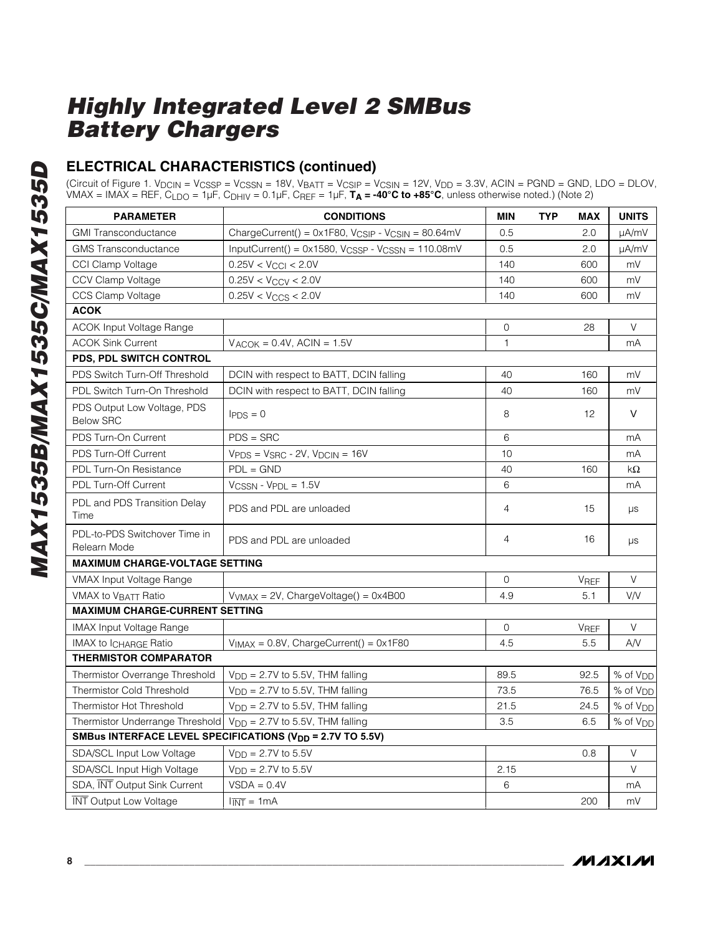### **ELECTRICAL CHARACTERISTICS (continued)**

(Circuit of Figure 1. V<sub>DCIN</sub> = V<sub>CSSP</sub> = V<sub>CSSN</sub> = 18V, V<sub>BATT</sub> = V<sub>CSIP</sub> = V<sub>CSIN</sub> = 12V, V<sub>DD</sub> = 3.3V, ACIN = PGND = GND, LDO = DLOV, VMAX = IMAX = REF, CLDO = 1µF, CDHIV = 0.1µF, CREF = 1µF, **TA = -40°C to +85°C**, unless otherwise noted.) (Note 2)

| <b>PARAMETER</b>                                | <b>CONDITIONS</b>                                                         | <b>MIN</b>     | <b>TYP</b> | <b>MAX</b>  | <b>UNITS</b>         |
|-------------------------------------------------|---------------------------------------------------------------------------|----------------|------------|-------------|----------------------|
| <b>GMI Transconductance</b>                     | ChargeCurrent() = 0x1F80, V <sub>CSIP</sub> - V <sub>CSIN</sub> = 80.64mV | 0.5            |            | 2.0         | µA/mV                |
| <b>GMS</b> Transconductance                     | $InputCurrent() = 0x1580, VCSSP - VCSSN = 110.08mV$                       | 0.5            |            | 2.0         | µA/mV                |
| <b>CCI Clamp Voltage</b>                        | $0.25V < V_{\rm CCl} < 2.0V$                                              | 140            |            | 600         | mV                   |
| CCV Clamp Voltage                               | $0.25V < V_{CCV} < 2.0V$                                                  | 140            |            | 600         | mV                   |
| CCS Clamp Voltage                               | $0.25V < V_{CCS} < 2.0V$                                                  | 140            |            | 600         | mV                   |
| <b>ACOK</b>                                     |                                                                           |                |            |             |                      |
| <b>ACOK Input Voltage Range</b>                 |                                                                           | $\overline{0}$ |            | 28          | $\vee$               |
| <b>ACOK Sink Current</b>                        | $V_{ACOK} = 0.4V$ , ACIN = 1.5V                                           | 1              |            |             | mA                   |
| PDS, PDL SWITCH CONTROL                         |                                                                           |                |            |             |                      |
| PDS Switch Turn-Off Threshold                   | DCIN with respect to BATT, DCIN falling                                   | 40             |            | 160         | mV                   |
| PDL Switch Turn-On Threshold                    | DCIN with respect to BATT, DCIN falling                                   | 40             |            | 160         | mV                   |
| PDS Output Low Voltage, PDS<br><b>Below SRC</b> | $I_{PDS} = 0$                                                             | 8              |            | 12          | V                    |
| PDS Turn-On Current                             | $PDS = SRC$                                                               | 6              |            |             | mA                   |
| PDS Turn-Off Current                            | $VPDS = VSRC - 2V$ , $VDCIN = 16V$                                        | 10             |            |             | mA                   |
| PDL Turn-On Resistance                          | $PDL = GND$                                                               | 40             |            | 160         | kΩ                   |
| <b>PDL Turn-Off Current</b>                     | $V_{CSSN} - V_{PDL} = 1.5V$                                               | 6              |            |             | mA                   |
| PDL and PDS Transition Delay<br>Time            | PDS and PDL are unloaded                                                  | $\overline{4}$ |            | 15          | μs                   |
| PDL-to-PDS Switchover Time in<br>Relearn Mode   | PDS and PDL are unloaded                                                  | $\overline{4}$ |            | 16          | μs                   |
| <b>MAXIMUM CHARGE-VOLTAGE SETTING</b>           |                                                                           |                |            |             |                      |
| VMAX Input Voltage Range                        |                                                                           | $\mathbf 0$    |            | <b>VREF</b> | $\vee$               |
| <b>VMAX to VBATT Ratio</b>                      | $V_{VMAX} = 2V$ , ChargeVoltage() = 0x4B00                                | 4.9            |            | 5.1         | V/V                  |
| <b>MAXIMUM CHARGE-CURRENT SETTING</b>           |                                                                           |                |            |             |                      |
| <b>IMAX Input Voltage Range</b>                 |                                                                           | $\Omega$       |            | <b>VREF</b> | $\vee$               |
| <b>IMAX to ICHARGE Ratio</b>                    | $V_{IMAX} = 0.8V$ , ChargeCurrent() = 0x1F80                              | 4.5            |            | 5.5         | AN                   |
| <b>THERMISTOR COMPARATOR</b>                    |                                                                           |                |            |             |                      |
| Thermistor Overrange Threshold                  | $V_{DD} = 2.7V$ to 5.5V, THM falling                                      | 89.5           |            | 92.5        | % of V <sub>DD</sub> |
| Thermistor Cold Threshold                       | $V_{DD} = 2.7V$ to 5.5V, THM falling                                      | 73.5           |            | 76.5        | % of V <sub>DD</sub> |
| Thermistor Hot Threshold                        | $V_{\text{DD}} = 2.7V$ to 5.5V, THM falling                               | 21.5           |            | 24.5        | % of V <sub>DD</sub> |
| Thermistor Underrange Threshold                 | $V_{DD} = 2.7V$ to 5.5V, THM falling                                      | 3.5            |            | 6.5         | % of V <sub>DD</sub> |
|                                                 | SMBus INTERFACE LEVEL SPECIFICATIONS (V <sub>DD</sub> = 2.7V TO 5.5V)     |                |            |             |                      |
| SDA/SCL Input Low Voltage                       | $V_{\text{DD}} = 2.7V$ to 5.5V                                            |                |            | 0.8         | $\vee$               |
| SDA/SCL Input High Voltage                      | $V_{\text{DD}} = 2.7V$ to 5.5V                                            | 2.15           |            |             | $\vee$               |
| SDA, INT Output Sink Current                    | $VSDA = 0.4V$                                                             | 6              |            |             | mA                   |
| <b>INT Output Low Voltage</b>                   | $\overline{INT} = 1 \text{mA}$                                            |                |            | 200         | mV                   |

**MAXIM**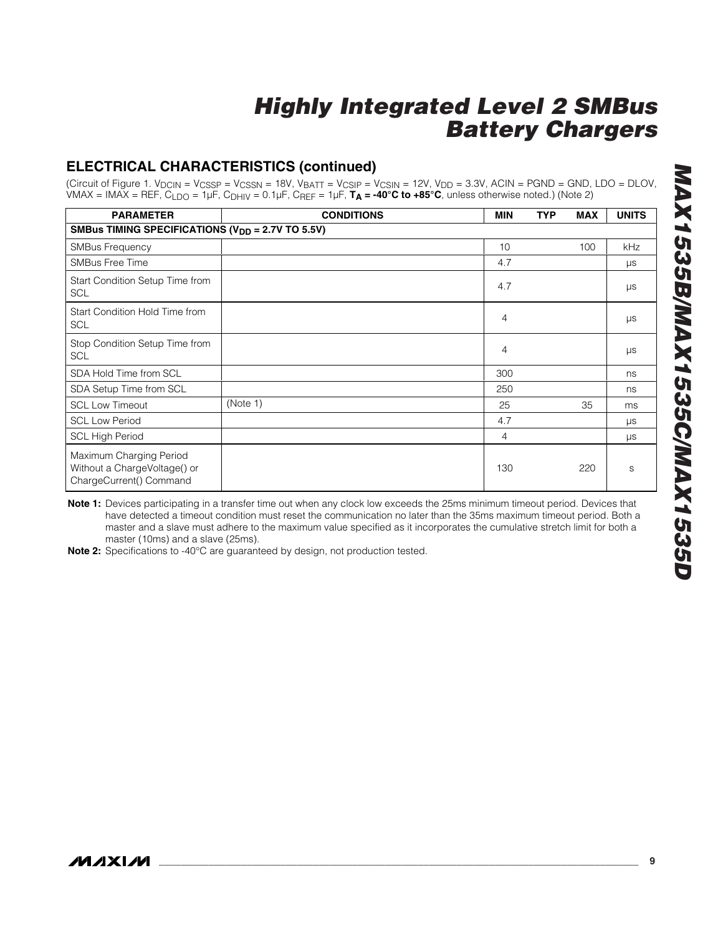### **ELECTRICAL CHARACTERISTICS (continued)**

(Circuit of Figure 1. V<sub>DCIN</sub> = V<sub>CSSP</sub> = V<sub>CSSN</sub> = 18V, V<sub>BATT</sub> = V<sub>CSIP</sub> = V<sub>CSIN</sub> = 12V, V<sub>DD</sub> = 3.3V, ACIN = PGND = GND, LDO = DLOV, VMAX = IMAX = REF, CLDO = 1µF, CDHIV = 0.1µF, CREF = 1µF, **TA = -40°C to +85°C**, unless otherwise noted.) (Note 2)

| <b>PARAMETER</b>                                                                   | <b>CONDITIONS</b> | <b>MIN</b> | <b>TYP</b> | <b>MAX</b> | <b>UNITS</b> |
|------------------------------------------------------------------------------------|-------------------|------------|------------|------------|--------------|
| SMBus TIMING SPECIFICATIONS (V <sub>DD</sub> = 2.7V TO 5.5V)                       |                   |            |            |            |              |
| <b>SMBus Frequency</b>                                                             |                   | 10         |            | 100        | kHz          |
| <b>SMBus Free Time</b>                                                             |                   | 4.7        |            |            | $\mu s$      |
| Start Condition Setup Time from<br><b>SCL</b>                                      |                   | 4.7        |            |            | $\mu s$      |
| Start Condition Hold Time from<br><b>SCL</b>                                       |                   | 4          |            |            | μs           |
| Stop Condition Setup Time from<br><b>SCL</b>                                       |                   | 4          |            |            | $\mu s$      |
| SDA Hold Time from SCL                                                             |                   | 300        |            |            | ns           |
| SDA Setup Time from SCL                                                            |                   | 250        |            |            | ns           |
| <b>SCL Low Timeout</b>                                                             | (Note 1)          | 25         |            | 35         | ms           |
| <b>SCL Low Period</b>                                                              |                   | 4.7        |            |            | μs           |
| <b>SCL High Period</b>                                                             |                   | 4          |            |            | μs           |
| Maximum Charging Period<br>Without a ChargeVoltage() or<br>ChargeCurrent() Command |                   | 130        |            | 220        | S            |

**Note 1:** Devices participating in a transfer time out when any clock low exceeds the 25ms minimum timeout period. Devices that have detected a timeout condition must reset the communication no later than the 35ms maximum timeout period. Both a master and a slave must adhere to the maximum value specified as it incorporates the cumulative stretch limit for both a master (10ms) and a slave (25ms).

**Note 2:** Specifications to -40°C are guaranteed by design, not production tested.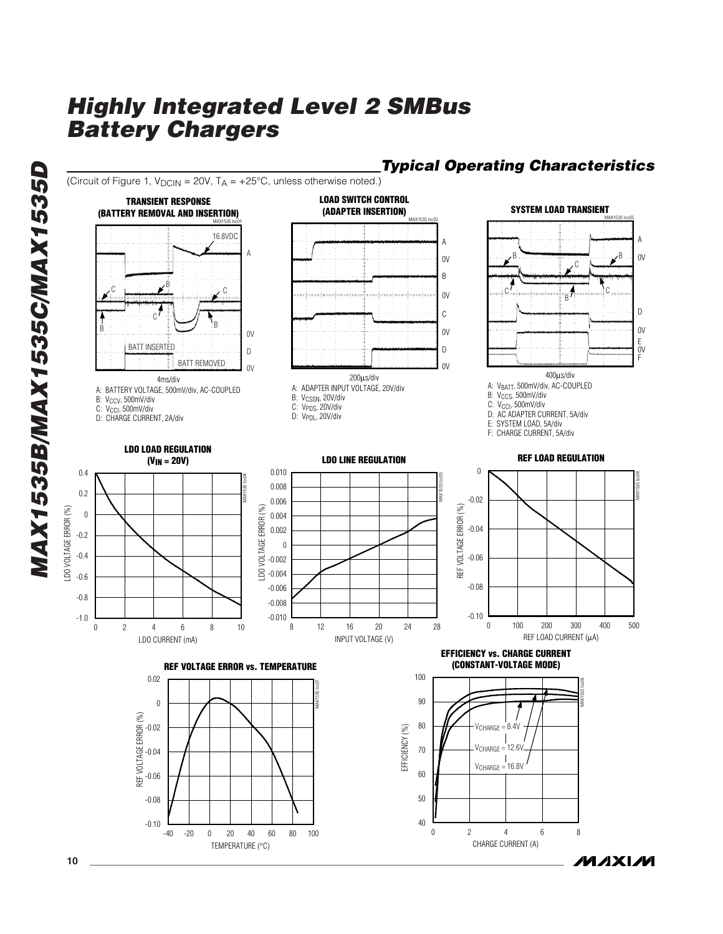(Circuit of Figure 1,  $V_{DCIN} = 20V$ ,  $T_A = +25^{\circ}C$ , unless otherwise noted.)

#### **LOAD SWITCH CONTROL TRANSIENT RESPONSE SYSTEM LOAD TRANSIENT(ADAPTER INSERTION) (BATTERY REMOVAL AND INSERTION)** MAX1535 toc03 MAX1535 toc02 MAX1535 toc01 16.8VDC A A A B B 0V 0V C B  $\circ$  below  $\blacktriangleright^{\mathsf{B}}$ C C C 0V B D C C B  $0<sup>V</sup>$ B 0V  $0V$ E<br>OV<br>F BATT INSERTED D D BATT REMOVED  $\cap$ 0V 400µs/div 200µs/div 4ms/div A: VBATT, 500mV/div, AC-COUPLED A: ADAPTER INPUT VOLTAGE, 20V/div A: BATTERY VOLTAGE, 500mV/div, AC-COUPLED B: V<sub>CCS</sub>, 500mV/div B: V<sub>CSSN</sub>, 20V/div B: V<sub>CCV</sub>, 500mV/div C: V<sub>CCI</sub>, 500mV/div C: V<sub>PDS</sub>, 20V/div C: V<sub>CCI</sub>, 500mV/div<br>D: CHARGE CURRENT, 2A/div D: AC ADAPTER CURRENT, 5A/div<br>E: SYSTEM LOAD, 5A/div D: V<sub>PDL</sub>, 20V/div SYSTEM LOAD, 5A/div F: CHARGE CURRENT, 5A/div **LDO LOAD REGULATION LDO LINE REGULATION REF LOAD REGULATION (VIN = 20V)** 0.010  $\boldsymbol{0}$ 0.4 MAX1535 toc06 MAX1535 toc04 MAX1535 toc05 0.008 0.2 -0.02 0.006 REF VOLTAGE ERROR (%) REF VOLTAGE ERROR (%) LDO VOLTAGE ERROR (%) LDO VOLTAGE ERROR (%) LDO VOLTAGE ERROR (%) 0 0.004 -0.04 0.002 -0.2 0 -0.4 -0.06 -0.002  $\approx -0.004$ -0.6 -0.006 -0.08 -0.8 -0.008 -0.10 -1.0 -0.010 100 200 300 400 0 100 200 300 400 500 8 12 16 20 24 28 12 16 20 24 0 2 4 6 8 10 2 4 6 8 REF LOAD CURRENT (µA) LDO CURRENT (mA) INPUT VOLTAGE (V) **EFFICIENCY vs. CHARGE CURRENT (CONSTANT-VOLTAGE MODE) REF VOLTAGE ERROR vs. TEMPERATURE** 100 0.02 MAX1535 toc08 MAX1535 toc07 90 0 REF VOLTAGE ERROR (%) 80  $V<sub>CHARGF</sub> = 8.4V$ -0.02 EFFICIENCY (%) EFFICIENCY (%)  $\overline{\phantom{a}}$  $V<sub>CHARGE</sub> = 12.6V$ 70 -0.04  $\mathbf{I}$  $V<sub>CHAPTERGF</sub> = 16.8V$ 60 -0.06 50 -0.08 40  $-0.10$ 0 8 2 4 6 -40 -20 0 20 40 60 80 100 -20 0 20 40 60 80 CHARGE CURRENT (A) TEMPERATURE (°C)

### *Typical Operating Characteristics*

/VI/IXI/VI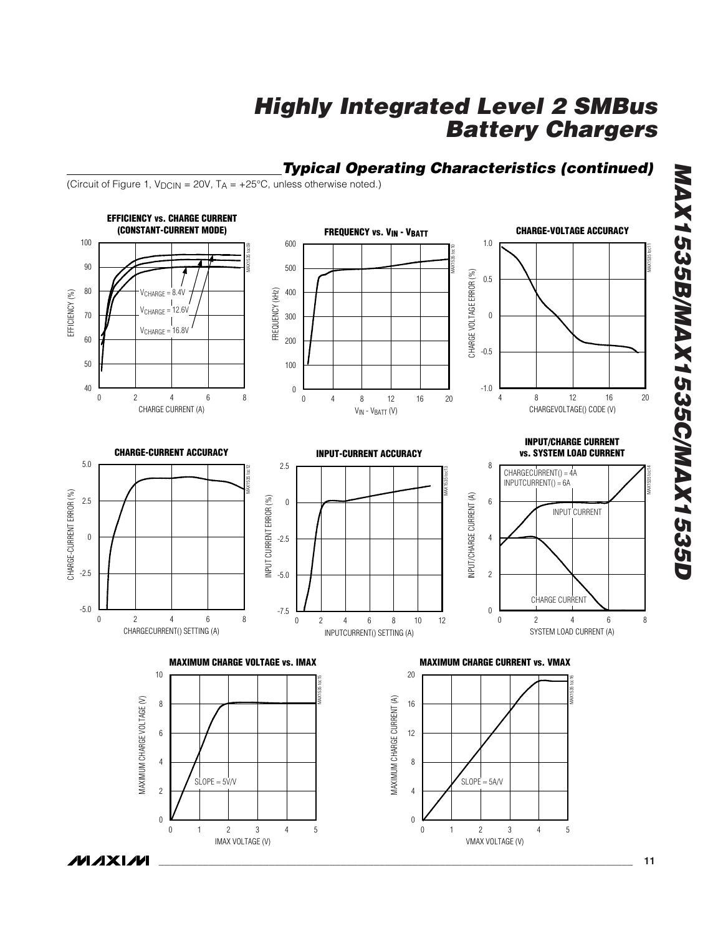

*Typical Operating Characteristics (continued)*

**MAXIM** 

*MAX1535B/MAX1535C/MAX1535D*

MAX1535B/MAX1535C/MAX1535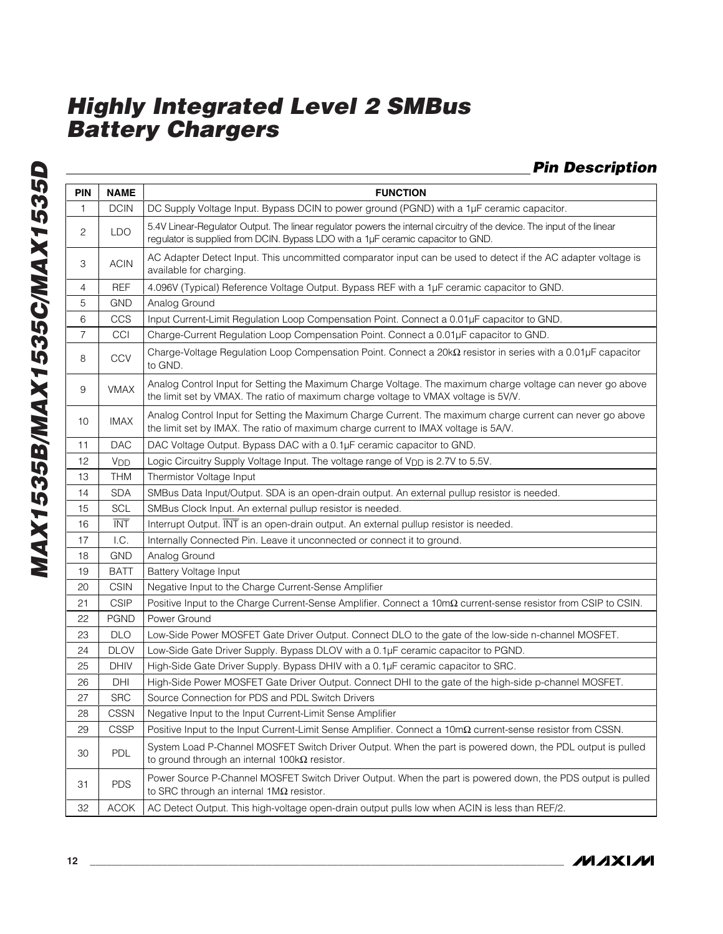### *Pin Description*

| PIN            | <b>NAME</b>     | <b>FUNCTION</b>                                                                                                                                                                                             |  |  |  |  |  |  |
|----------------|-----------------|-------------------------------------------------------------------------------------------------------------------------------------------------------------------------------------------------------------|--|--|--|--|--|--|
| 1              | <b>DCIN</b>     | DC Supply Voltage Input. Bypass DCIN to power ground (PGND) with a 1µF ceramic capacitor.                                                                                                                   |  |  |  |  |  |  |
| 2              | <b>LDO</b>      | 5.4V Linear-Regulator Output. The linear regulator powers the internal circuitry of the device. The input of the linear<br>regulator is supplied from DCIN. Bypass LDO with a 1µF ceramic capacitor to GND. |  |  |  |  |  |  |
| 3              | <b>ACIN</b>     | AC Adapter Detect Input. This uncommitted comparator input can be used to detect if the AC adapter voltage is<br>available for charging.                                                                    |  |  |  |  |  |  |
| 4              | <b>REF</b>      | 4.096V (Typical) Reference Voltage Output. Bypass REF with a 1µF ceramic capacitor to GND.                                                                                                                  |  |  |  |  |  |  |
| 5              | <b>GND</b>      | Analog Ground                                                                                                                                                                                               |  |  |  |  |  |  |
| 6              | CCS             | Input Current-Limit Regulation Loop Compensation Point. Connect a 0.01µF capacitor to GND.                                                                                                                  |  |  |  |  |  |  |
| $\overline{7}$ | CCI             | Charge-Current Regulation Loop Compensation Point. Connect a 0.01µF capacitor to GND.                                                                                                                       |  |  |  |  |  |  |
| 8              | <b>CCV</b>      | Charge-Voltage Regulation Loop Compensation Point. Connect a 20k $\Omega$ resistor in series with a 0.01µF capacitor<br>to GND.                                                                             |  |  |  |  |  |  |
| 9              | <b>VMAX</b>     | Analog Control Input for Setting the Maximum Charge Voltage. The maximum charge voltage can never go above<br>the limit set by VMAX. The ratio of maximum charge voltage to VMAX voltage is 5V/V.           |  |  |  |  |  |  |
| 10             | <b>IMAX</b>     | Analog Control Input for Setting the Maximum Charge Current. The maximum charge current can never go above<br>the limit set by IMAX. The ratio of maximum charge current to IMAX voltage is 5A/V.           |  |  |  |  |  |  |
| 11             | <b>DAC</b>      | DAC Voltage Output. Bypass DAC with a 0.1µF ceramic capacitor to GND.                                                                                                                                       |  |  |  |  |  |  |
| 12             | V <sub>DD</sub> | Logic Circuitry Supply Voltage Input. The voltage range of V <sub>DD</sub> is 2.7V to 5.5V.                                                                                                                 |  |  |  |  |  |  |
| 13             | <b>THM</b>      | Thermistor Voltage Input                                                                                                                                                                                    |  |  |  |  |  |  |
| 14             | <b>SDA</b>      | SMBus Data Input/Output. SDA is an open-drain output. An external pullup resistor is needed.                                                                                                                |  |  |  |  |  |  |
| 15             | <b>SCL</b>      | SMBus Clock Input. An external pullup resistor is needed.                                                                                                                                                   |  |  |  |  |  |  |
| 16             | <b>INT</b>      | Interrupt Output. INT is an open-drain output. An external pullup resistor is needed.                                                                                                                       |  |  |  |  |  |  |
| 17             | I.C.            | Internally Connected Pin. Leave it unconnected or connect it to ground.                                                                                                                                     |  |  |  |  |  |  |
| 18             | <b>GND</b>      | Analog Ground                                                                                                                                                                                               |  |  |  |  |  |  |
| 19             | <b>BATT</b>     | Battery Voltage Input                                                                                                                                                                                       |  |  |  |  |  |  |
| 20             | <b>CSIN</b>     | Negative Input to the Charge Current-Sense Amplifier                                                                                                                                                        |  |  |  |  |  |  |
| 21             | <b>CSIP</b>     | Positive Input to the Charge Current-Sense Amplifier. Connect a 10m $\Omega$ current-sense resistor from CSIP to CSIN.                                                                                      |  |  |  |  |  |  |
| 22             | <b>PGND</b>     | Power Ground                                                                                                                                                                                                |  |  |  |  |  |  |
| 23             | <b>DLO</b>      | Low-Side Power MOSFET Gate Driver Output. Connect DLO to the gate of the low-side n-channel MOSFET.                                                                                                         |  |  |  |  |  |  |
| 24             | <b>DLOV</b>     | Low-Side Gate Driver Supply. Bypass DLOV with a 0.1µF ceramic capacitor to PGND.                                                                                                                            |  |  |  |  |  |  |
| 25             | <b>DHIV</b>     | High-Side Gate Driver Supply. Bypass DHIV with a 0.1µF ceramic capacitor to SRC.                                                                                                                            |  |  |  |  |  |  |
| 26             | DHI             | High-Side Power MOSFET Gate Driver Output. Connect DHI to the gate of the high-side p-channel MOSFET.                                                                                                       |  |  |  |  |  |  |
| 27             | <b>SRC</b>      | Source Connection for PDS and PDL Switch Drivers                                                                                                                                                            |  |  |  |  |  |  |
| 28             | <b>CSSN</b>     | Negative Input to the Input Current-Limit Sense Amplifier                                                                                                                                                   |  |  |  |  |  |  |
| 29             | <b>CSSP</b>     | Positive Input to the Input Current-Limit Sense Amplifier. Connect a 10m $\Omega$ current-sense resistor from CSSN.                                                                                         |  |  |  |  |  |  |
| 30             | <b>PDL</b>      | System Load P-Channel MOSFET Switch Driver Output. When the part is powered down, the PDL output is pulled<br>to ground through an internal $100k\Omega$ resistor.                                          |  |  |  |  |  |  |
| 31             | <b>PDS</b>      | Power Source P-Channel MOSFET Switch Driver Output. When the part is powered down, the PDS output is pulled<br>to SRC through an internal $1\text{M}\Omega$ resistor.                                       |  |  |  |  |  |  |
| 32             | <b>ACOK</b>     | AC Detect Output. This high-voltage open-drain output pulls low when ACIN is less than REF/2.                                                                                                               |  |  |  |  |  |  |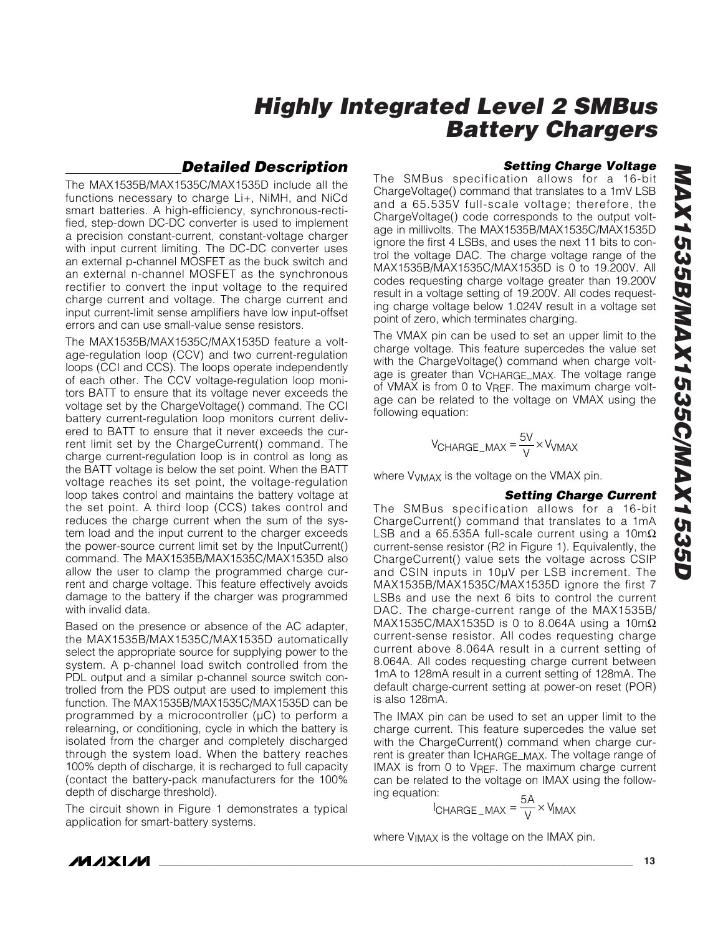### *Detailed Description*

The MAX1535B/MAX1535C/MAX1535D include all the functions necessary to charge Li+, NiMH, and NiCd smart batteries. A high-efficiency, synchronous-rectified, step-down DC-DC converter is used to implement a precision constant-current, constant-voltage charger with input current limiting. The DC-DC converter uses an external p-channel MOSFET as the buck switch and an external n-channel MOSFET as the synchronous rectifier to convert the input voltage to the required charge current and voltage. The charge current and input current-limit sense amplifiers have low input-offset errors and can use small-value sense resistors.

The MAX1535B/MAX1535C/MAX1535D feature a voltage-regulation loop (CCV) and two current-regulation loops (CCI and CCS). The loops operate independently of each other. The CCV voltage-regulation loop monitors BATT to ensure that its voltage never exceeds the voltage set by the ChargeVoltage() command. The CCI battery current-regulation loop monitors current delivered to BATT to ensure that it never exceeds the current limit set by the ChargeCurrent() command. The charge current-regulation loop is in control as long as the BATT voltage is below the set point. When the BATT voltage reaches its set point, the voltage-regulation loop takes control and maintains the battery voltage at the set point. A third loop (CCS) takes control and reduces the charge current when the sum of the system load and the input current to the charger exceeds the power-source current limit set by the InputCurrent() command. The MAX1535B/MAX1535C/MAX1535D also allow the user to clamp the programmed charge current and charge voltage. This feature effectively avoids damage to the battery if the charger was programmed with invalid data.

Based on the presence or absence of the AC adapter, the MAX1535B/MAX1535C/MAX1535D automatically select the appropriate source for supplying power to the system. A p-channel load switch controlled from the PDL output and a similar p-channel source switch controlled from the PDS output are used to implement this function. The MAX1535B/MAX1535C/MAX1535D can be programmed by a microcontroller (µC) to perform a relearning, or conditioning, cycle in which the battery is isolated from the charger and completely discharged through the system load. When the battery reaches 100% depth of discharge, it is recharged to full capacity (contact the battery-pack manufacturers for the 100% depth of discharge threshold).

The circuit shown in Figure 1 demonstrates a typical application for smart-battery systems.

### *Setting Charge Voltage*

The SMBus specification allows for a 16-bit ChargeVoltage() command that translates to a 1mV LSB and a 65.535V full-scale voltage; therefore, the ChargeVoltage() code corresponds to the output voltage in millivolts. The MAX1535B/MAX1535C/MAX1535D ignore the first 4 LSBs, and uses the next 11 bits to control the voltage DAC. The charge voltage range of the MAX1535B/MAX1535C/MAX1535D is 0 to 19.200V. All codes requesting charge voltage greater than 19.200V result in a voltage setting of 19.200V. All codes requesting charge voltage below 1.024V result in a voltage set point of zero, which terminates charging.

The VMAX pin can be used to set an upper limit to the charge voltage. This feature supercedes the value set with the ChargeVoltage() command when charge voltage is greater than VCHARGE\_MAX. The voltage range of VMAX is from 0 to VREF. The maximum charge voltage can be related to the voltage on VMAX using the following equation:

$$
V_{CHARGE\_MAX} = \frac{5V}{V} \times V_{VMAX}
$$

where VVMAX is the voltage on the VMAX pin.

#### *Setting Charge Current*

The SMBus specification allows for a 16-bit ChargeCurrent() command that translates to a 1mA LSB and a 65.535A full-scale current using a 10m $\Omega$ current-sense resistor (R2 in Figure 1). Equivalently, the ChargeCurrent() value sets the voltage across CSIP and CSIN inputs in 10µV per LSB increment. The MAX1535B/MAX1535C/MAX1535D ignore the first 7 LSBs and use the next 6 bits to control the current DAC. The charge-current range of the MAX1535B/ MAX1535C/MAX1535D is 0 to 8.064A using a 10m $\Omega$ current-sense resistor. All codes requesting charge current above 8.064A result in a current setting of 8.064A. All codes requesting charge current between 1mA to 128mA result in a current setting of 128mA. The default charge-current setting at power-on reset (POR) is also 128mA.

The IMAX pin can be used to set an upper limit to the charge current. This feature supercedes the value set with the ChargeCurrent() command when charge current is greater than ICHARGE\_MAX. The voltage range of IMAX is from 0 to VREF. The maximum charge current can be related to the voltage on IMAX using the following equation:

$$
I_{\text{CHARGE\_MAX}} = \frac{5A}{V} \times V_{\text{MAX}}
$$

where VIMAX is the voltage on the IMAX pin.

**MAXM**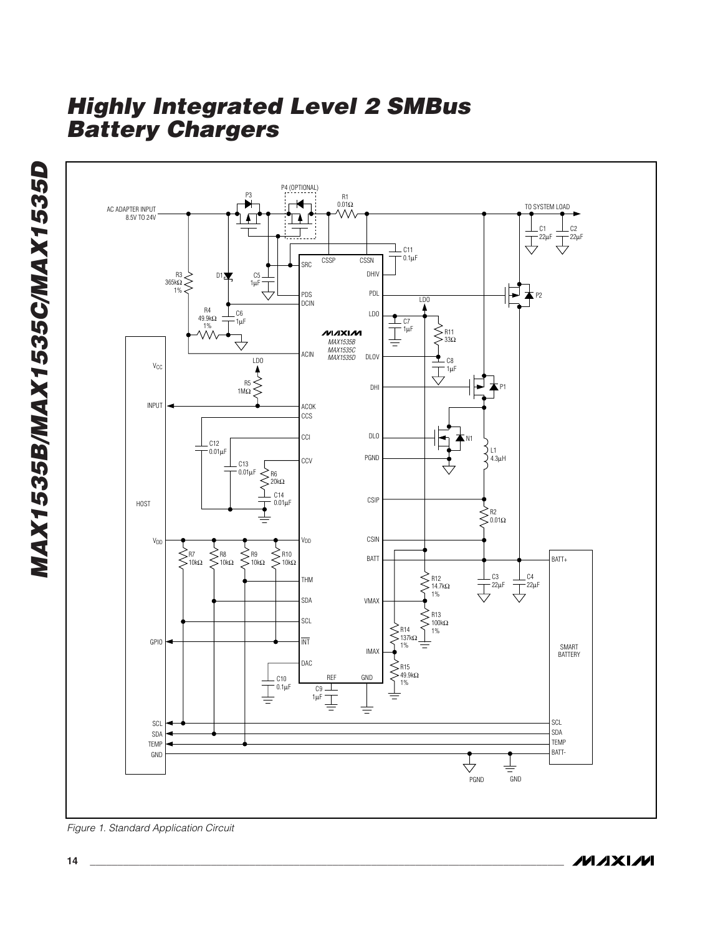

*Figure 1. Standard Application Circuit*

**MAXIM**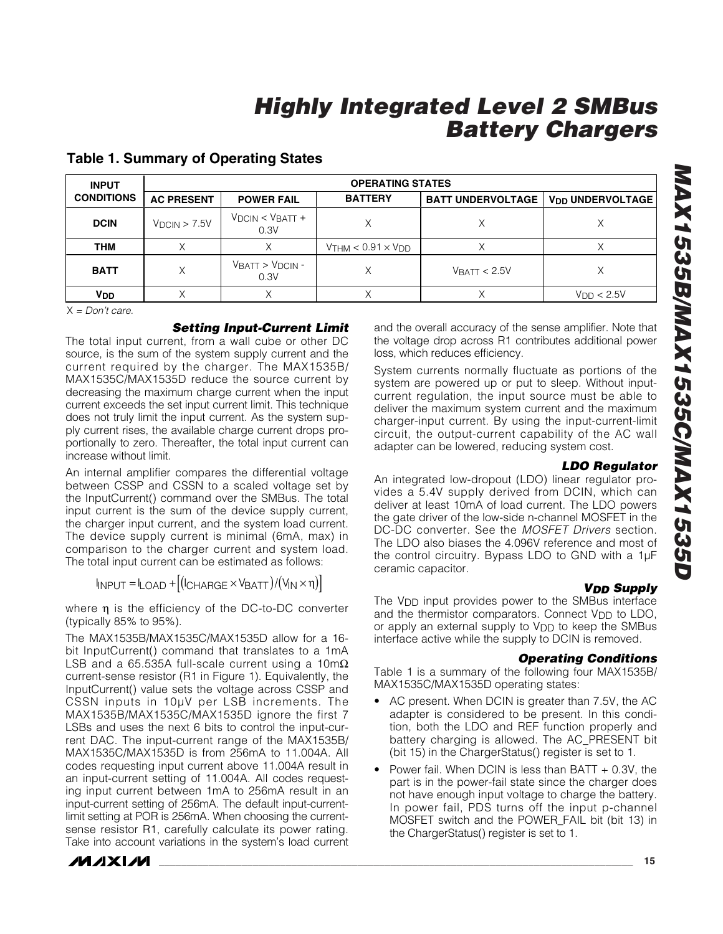| <b>INPUT</b>          | <b>OPERATING STATES</b> |                               |                              |                          |                                    |  |  |
|-----------------------|-------------------------|-------------------------------|------------------------------|--------------------------|------------------------------------|--|--|
| <b>CONDITIONS</b>     | <b>AC PRESENT</b>       | <b>POWER FAIL</b>             | <b>BATTERY</b>               | <b>BATT UNDERVOLTAGE</b> | <b>V<sub>DD</sub> UNDERVOLTAGE</b> |  |  |
| <b>DCIN</b>           | $V_{DCIN}$ > 7.5V       | $VDCIN < VBAT +$<br>0.3V      |                              |                          |                                    |  |  |
| THM                   |                         |                               | $V$ THM < $0.91 \times V$ DD |                          |                                    |  |  |
| <b>BATT</b>           | Χ                       | $V$ BATT > $V$ DCIN -<br>0.3V | Χ                            | $V$ BATT < 2.5V          |                                    |  |  |
| <b>V<sub>DD</sub></b> |                         |                               |                              |                          | V <sub>DD</sub> < 2.5V             |  |  |

### **Table 1. Summary of Operating States**

X *= Don't care.*

#### *Setting Input-Current Limit*

The total input current, from a wall cube or other DC source, is the sum of the system supply current and the current required by the charger. The MAX1535B/ MAX1535C/MAX1535D reduce the source current by decreasing the maximum charge current when the input current exceeds the set input current limit. This technique does not truly limit the input current. As the system supply current rises, the available charge current drops proportionally to zero. Thereafter, the total input current can increase without limit.

An internal amplifier compares the differential voltage between CSSP and CSSN to a scaled voltage set by the InputCurrent() command over the SMBus. The total input current is the sum of the device supply current, the charger input current, and the system load current. The device supply current is minimal (6mA, max) in comparison to the charger current and system load. The total input current can be estimated as follows:

 $I_{\text{INPUT}} = I_{\text{LOAD}} + \left[ (I_{\text{CHARGE}} \times V_{\text{BAT}}) / (V_{\text{IN}} \times \eta) \right]$ 

where η is the efficiency of the DC-to-DC converter (typically 85% to 95%).

The MAX1535B/MAX1535C/MAX1535D allow for a 16 bit InputCurrent() command that translates to a 1mA LSB and a 65.535A full-scale current using a 10m $\Omega$ current-sense resistor (R1 in Figure 1). Equivalently, the InputCurrent() value sets the voltage across CSSP and CSSN inputs in 10µV per LSB increments. The MAX1535B/MAX1535C/MAX1535D ignore the first 7 LSBs and uses the next 6 bits to control the input-current DAC. The input-current range of the MAX1535B/ MAX1535C/MAX1535D is from 256mA to 11.004A. All codes requesting input current above 11.004A result in an input-current setting of 11.004A. All codes requesting input current between 1mA to 256mA result in an input-current setting of 256mA. The default input-currentlimit setting at POR is 256mA. When choosing the currentsense resistor R1, carefully calculate its power rating. Take into account variations in the system's load current



and the overall accuracy of the sense amplifier. Note that the voltage drop across R1 contributes additional power loss, which reduces efficiency.

System currents normally fluctuate as portions of the system are powered up or put to sleep. Without inputcurrent regulation, the input source must be able to deliver the maximum system current and the maximum charger-input current. By using the input-current-limit circuit, the output-current capability of the AC wall adapter can be lowered, reducing system cost.

#### *LDO Regulator*

An integrated low-dropout (LDO) linear regulator provides a 5.4V supply derived from DCIN, which can deliver at least 10mA of load current. The LDO powers the gate driver of the low-side n-channel MOSFET in the DC-DC converter. See the *MOSFET Drivers* section. The LDO also biases the 4.096V reference and most of the control circuitry. Bypass LDO to GND with a 1µF ceramic capacitor.

#### *VDD Supply*

The V<sub>DD</sub> input provides power to the SMBus interface and the thermistor comparators. Connect V<sub>DD</sub> to LDO, or apply an external supply to V<sub>DD</sub> to keep the SMBus interface active while the supply to DCIN is removed.

#### *Operating Conditions*

Table 1 is a summary of the following four MAX1535B/ MAX1535C/MAX1535D operating states:

- AC present. When DCIN is greater than 7.5V, the AC adapter is considered to be present. In this condition, both the LDO and REF function properly and battery charging is allowed. The AC\_PRESENT bit (bit 15) in the ChargerStatus() register is set to 1.
- Power fail. When DCIN is less than BATT + 0.3V, the part is in the power-fail state since the charger does not have enough input voltage to charge the battery. In power fail, PDS turns off the input p-channel MOSFET switch and the POWER\_FAIL bit (bit 13) in the ChargerStatus() register is set to 1.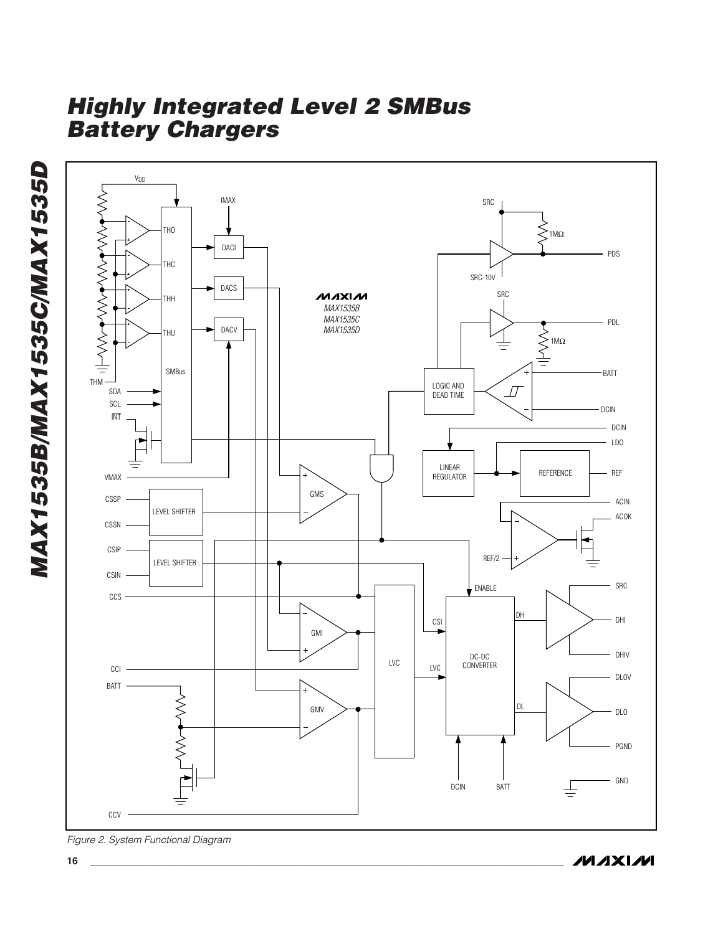

**MAXIM** 

**16 \_\_\_\_\_\_\_\_\_\_\_\_\_\_\_\_\_\_\_\_\_\_\_\_\_\_\_\_\_\_\_\_\_\_\_\_\_\_\_\_\_\_\_\_\_\_\_\_\_\_\_\_\_\_\_\_\_\_\_\_\_\_\_\_\_\_\_\_\_\_\_\_\_\_\_\_\_\_\_\_\_\_\_\_\_\_**

*Figure 2. System Functional Diagram*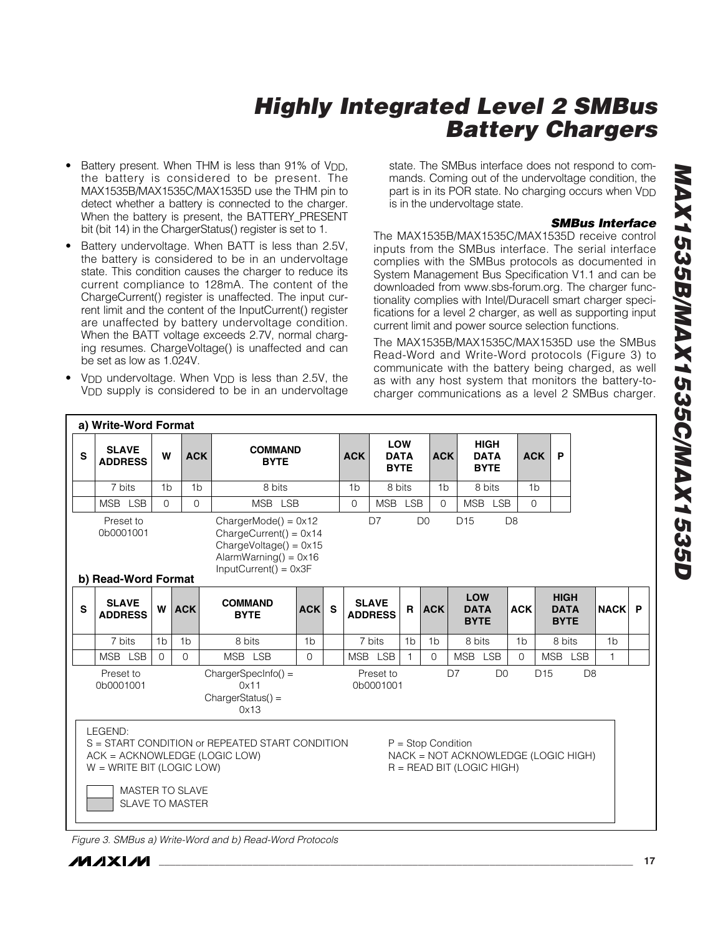- Battery present. When THM is less than 91% of V<sub>DD</sub>, the battery is considered to be present. The MAX1535B/MAX1535C/MAX1535D use the THM pin to detect whether a battery is connected to the charger. When the battery is present, the BATTERY\_PRESENT bit (bit 14) in the ChargerStatus() register is set to 1.
- Battery undervoltage. When BATT is less than 2.5V, the battery is considered to be in an undervoltage state. This condition causes the charger to reduce its current compliance to 128mA. The content of the ChargeCurrent() register is unaffected. The input current limit and the content of the InputCurrent() register are unaffected by battery undervoltage condition. When the BATT voltage exceeds 2.7V, normal charging resumes. ChargeVoltage() is unaffected and can be set as low as 1.024V.
- V<sub>DD</sub> undervoltage. When V<sub>DD</sub> is less than 2.5V, the V<sub>DD</sub> supply is considered to be in an undervoltage

state. The SMBus interface does not respond to commands. Coming out of the undervoltage condition, the part is in its POR state. No charging occurs when V<sub>DD</sub> is in the undervoltage state.

### *SMBus Interface*

The MAX1535B/MAX1535C/MAX1535D receive control inputs from the SMBus interface. The serial interface complies with the SMBus protocols as documented in System Management Bus Specification V1.1 and can be downloaded from www.sbs-forum.org. The charger functionality complies with Intel/Duracell smart charger specifications for a level 2 charger, as well as supporting input current limit and power source selection functions.

The MAX1535B/MAX1535C/MAX1535D use the SMBus Read-Word and Write-Word protocols (Figure 3) to communicate with the battery being charged, as well as with any host system that monitors the battery-tocharger communications as a level 2 SMBus charger.

|                                                                                                                                                                                                                                                                              | a) Write-Word Format           |                |                |                               |                |              |                |                                |                            |                |                                           |                |                                           |                |   |
|------------------------------------------------------------------------------------------------------------------------------------------------------------------------------------------------------------------------------------------------------------------------------|--------------------------------|----------------|----------------|-------------------------------|----------------|--------------|----------------|--------------------------------|----------------------------|----------------|-------------------------------------------|----------------|-------------------------------------------|----------------|---|
| S                                                                                                                                                                                                                                                                            | <b>SLAVE</b><br><b>ADDRESS</b> | W              | <b>ACK</b>     | <b>BYTE</b>                   | <b>COMMAND</b> |              | <b>ACK</b>     | <b>LOW</b>                     | <b>DATA</b><br><b>BYTE</b> | <b>ACK</b>     | <b>HIGH</b><br><b>DATA</b><br><b>BYTE</b> |                | <b>ACK</b><br>P                           |                |   |
|                                                                                                                                                                                                                                                                              | 7 bits                         | 1 <sub>b</sub> | 1 <sub>b</sub> | 8 bits                        |                |              | 1 <sub>b</sub> | 8 bits                         |                            | 1 <sub>b</sub> | 8 bits                                    |                | 1 <sub>b</sub>                            |                |   |
|                                                                                                                                                                                                                                                                              | MSB LSB                        | $\Omega$       | $\Omega$       | MSB LSB                       |                |              | $\Omega$       | <b>MSB</b>                     | <b>LSB</b>                 | $\Omega$       | MSB LSB                                   |                | $\Omega$                                  |                |   |
| D <sub>15</sub><br>D <sub>8</sub><br>D <sub>7</sub><br>D <sub>0</sub><br>Preset to<br>$ChargerMode() = 0x12$<br>0b0001001<br>$ChargeCurrent() = 0x14$<br>$ChangeVoltage() = 0x15$<br>AlarmWarning() = $0 \times 16$<br>$InputCurrent() = 0x3F$<br>b) Read-Word Format        |                                |                |                |                               |                |              |                |                                |                            |                |                                           |                |                                           |                |   |
| $\mathbf s$                                                                                                                                                                                                                                                                  | <b>SLAVE</b><br><b>ADDRESS</b> |                | W ACK          | <b>COMMAND</b><br><b>BYTE</b> | <b>ACK</b>     | $\mathbf{s}$ |                | <b>SLAVE</b><br><b>ADDRESS</b> | R                          | <b>ACK</b>     | <b>LOW</b><br><b>DATA</b><br><b>BYTE</b>  | <b>ACK</b>     | <b>HIGH</b><br><b>DATA</b><br><b>BYTE</b> | <b>NACK</b>    | P |
|                                                                                                                                                                                                                                                                              | 7 bits                         | 1 <sub>b</sub> | 1 <sub>b</sub> | 8 bits                        | 1 <sub>b</sub> |              |                | 7 bits                         | 1 <sub>b</sub>             | 1 <sub>b</sub> | 8 bits                                    | 1 <sub>b</sub> | 8 bits                                    | 1 <sub>b</sub> |   |
|                                                                                                                                                                                                                                                                              | MSB LSB                        | $\Omega$       | $\Omega$       | MSB LSB                       | $\Omega$       |              |                | MSB LSB                        |                            | $\Omega$       | MSB LSB                                   | $\Omega$       | MSB LSB                                   | $\mathbf{1}$   |   |
| Preset to<br>D7<br>D <sub>0</sub><br>D <sub>15</sub><br>D <sub>8</sub><br>$ChargerSpecInfo() =$<br>Preset to<br>0b0001001<br>0b0001001<br>0x11<br>$ChargerStatus() =$<br>0x13                                                                                                |                                |                |                |                               |                |              |                |                                |                            |                |                                           |                |                                           |                |   |
| LEGEND:<br>S = START CONDITION or REPEATED START CONDITION<br>$P =$ Stop Condition<br>NACK = NOT ACKNOWLEDGE (LOGIC HIGH)<br>ACK = ACKNOWLEDGE (LOGIC LOW)<br>$W = WRITE BIT (LOGIC LOW)$<br>$R = READ BIT (LOGIC HIGH)$<br><b>MASTER TO SLAVE</b><br><b>SLAVE TO MASTER</b> |                                |                |                |                               |                |              |                |                                |                            |                |                                           |                |                                           |                |   |

*Figure 3. SMBus a) Write-Word and b) Read-Word Protocols*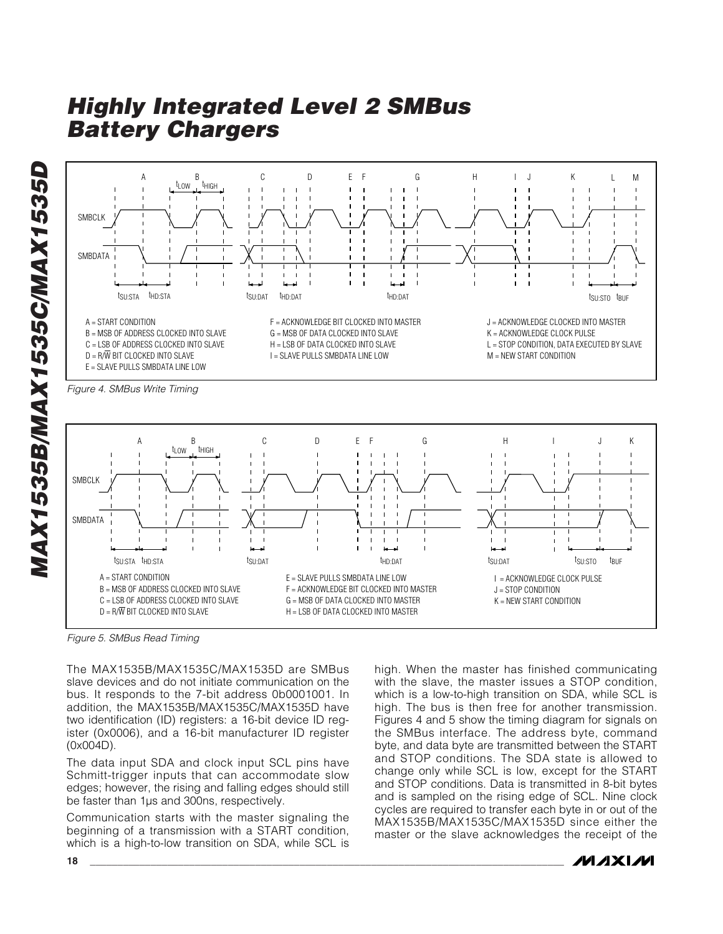*MAX1535B/MAX1535C/MAX1535D* MAX1535B/MAX1535C/MAX1535D



*Figure 4. SMBus Write Timing*



*Figure 5. SMBus Read Timing*

The MAX1535B/MAX1535C/MAX1535D are SMBus slave devices and do not initiate communication on the bus. It responds to the 7-bit address 0b0001001. In addition, the MAX1535B/MAX1535C/MAX1535D have two identification (ID) registers: a 16-bit device ID register (0x0006), and a 16-bit manufacturer ID register (0x004D).

The data input SDA and clock input SCL pins have Schmitt-trigger inputs that can accommodate slow edges; however, the rising and falling edges should still be faster than 1µs and 300ns, respectively.

Communication starts with the master signaling the beginning of a transmission with a START condition, which is a high-to-low transition on SDA, while SCL is high. When the master has finished communicating with the slave, the master issues a STOP condition, which is a low-to-high transition on SDA, while SCL is high. The bus is then free for another transmission. Figures 4 and 5 show the timing diagram for signals on the SMBus interface. The address byte, command byte, and data byte are transmitted between the START and STOP conditions. The SDA state is allowed to change only while SCL is low, except for the START and STOP conditions. Data is transmitted in 8-bit bytes and is sampled on the rising edge of SCL. Nine clock cycles are required to transfer each byte in or out of the MAX1535B/MAX1535C/MAX1535D since either the master or the slave acknowledges the receipt of the

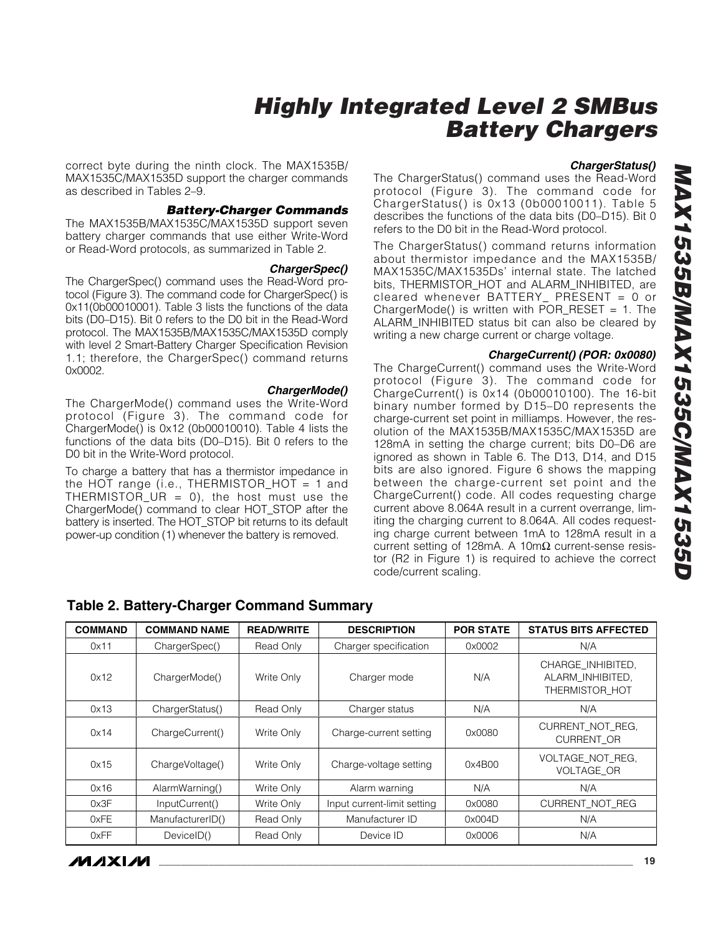correct byte during the ninth clock. The MAX1535B/ MAX1535C/MAX1535D support the charger commands as described in Tables 2–9.

#### *Battery-Charger Commands*

The MAX1535B/MAX1535C/MAX1535D support seven battery charger commands that use either Write-Word or Read-Word protocols, as summarized in Table 2.

#### *ChargerSpec()*

The ChargerSpec() command uses the Read-Word protocol (Figure 3). The command code for ChargerSpec() is 0x11(0b00010001). Table 3 lists the functions of the data bits (D0–D15). Bit 0 refers to the D0 bit in the Read-Word protocol. The MAX1535B/MAX1535C/MAX1535D comply with level 2 Smart-Battery Charger Specification Revision 1.1; therefore, the ChargerSpec() command returns 0x0002.

#### *ChargerMode()*

The ChargerMode() command uses the Write-Word protocol (Figure 3). The command code for ChargerMode() is 0x12 (0b00010010). Table 4 lists the functions of the data bits (D0–D15). Bit 0 refers to the D0 bit in the Write-Word protocol.

To charge a battery that has a thermistor impedance in the HOT range (i.e., THERMISTOR\_HOT = 1 and THERMISTOR\_UR = 0), the host must use the ChargerMode() command to clear HOT\_STOP after the battery is inserted. The HOT\_STOP bit returns to its default power-up condition (1) whenever the battery is removed.

#### *ChargerStatus()*

The ChargerStatus() command uses the Read-Word protocol (Figure 3). The command code for ChargerStatus() is 0x13 (0b00010011). Table 5 describes the functions of the data bits (D0–D15). Bit 0 refers to the D0 bit in the Read-Word protocol.

The ChargerStatus() command returns information about thermistor impedance and the MAX1535B/ MAX1535C/MAX1535Ds' internal state. The latched bits, THERMISTOR\_HOT and ALARM\_INHIBITED, are cleared whenever BATTERY\_ PRESENT = 0 or ChargerMode() is written with POR\_RESET =  $1$ . The ALARM\_INHIBITED status bit can also be cleared by writing a new charge current or charge voltage.

#### *ChargeCurrent() (POR: 0x0080)*

The ChargeCurrent() command uses the Write-Word protocol (Figure 3). The command code for ChargeCurrent() is 0x14 (0b00010100). The 16-bit binary number formed by D15–D0 represents the charge-current set point in milliamps. However, the resolution of the MAX1535B/MAX1535C/MAX1535D are 128mA in setting the charge current; bits D0–D6 are ignored as shown in Table 6. The D13, D14, and D15 bits are also ignored. Figure 6 shows the mapping between the charge-current set point and the ChargeCurrent() code. All codes requesting charge current above 8.064A result in a current overrange, limiting the charging current to 8.064A. All codes requesting charge current between 1mA to 128mA result in a current setting of 128mA. A 10m $Ω$  current-sense resistor (R2 in Figure 1) is required to achieve the correct code/current scaling.

| <b>COMMAND</b> | <b>COMMAND NAME</b> | <b>READ/WRITE</b> | <b>DESCRIPTION</b>          | <b>POR STATE</b> | <b>STATUS BITS AFFECTED</b>                             |
|----------------|---------------------|-------------------|-----------------------------|------------------|---------------------------------------------------------|
| 0x11           | ChargerSpec()       | Read Only         | Charger specification       | 0x0002           | N/A                                                     |
| 0x12           | ChargerMode()       | Write Only        | Charger mode                | N/A              | CHARGE INHIBITED.<br>ALARM INHIBITED.<br>THERMISTOR HOT |
| 0x13           | ChargerStatus()     | Read Only         | Charger status              | N/A              | N/A                                                     |
| 0x14           | ChargeCurrent()     | Write Only        | Charge-current setting      | 0x0080           | CURRENT NOT REG.<br><b>CURRENT OR</b>                   |
| 0x15           | ChargeVoltage()     | Write Only        | Charge-voltage setting      | 0x4B00           | VOLTAGE NOT REG.<br><b>VOLTAGE OR</b>                   |
| 0x16           | AlarmWarning()      | Write Only        | Alarm warning               | N/A              | N/A                                                     |
| 0x3F           | InputCurrent()      | Write Only        | Input current-limit setting | 0x0080           | CURRENT NOT REG                                         |
| 0xFE           | ManufacturerID()    | Read Only         | Manufacturer ID             | 0x004D           | N/A                                                     |
| 0xFF           | DeviceID()          | Read Only         | Device ID                   | 0x0006           | N/A                                                     |

#### **Table 2. Battery-Charger Command Summary**

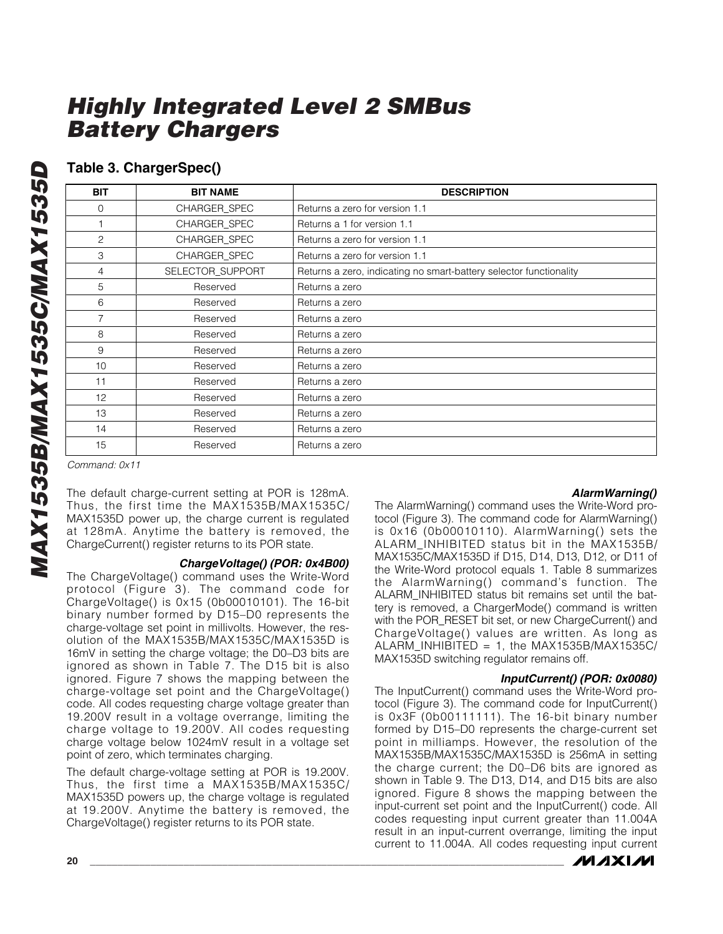### **Table 3. ChargerSpec()**

| <b>BIT</b> | <b>BIT NAME</b>     | <b>DESCRIPTION</b>                                                 |
|------------|---------------------|--------------------------------------------------------------------|
| 0          | CHARGER_SPEC        | Returns a zero for version 1.1                                     |
|            | <b>CHARGER SPEC</b> | Returns a 1 for version 1.1                                        |
| 2          | <b>CHARGER SPEC</b> | Returns a zero for version 1.1                                     |
| 3          | <b>CHARGER SPEC</b> | Returns a zero for version 1.1                                     |
| 4          | SELECTOR_SUPPORT    | Returns a zero, indicating no smart-battery selector functionality |
| 5          | Reserved            | Returns a zero                                                     |
| 6          | Reserved            | Returns a zero                                                     |
|            | Reserved            | Returns a zero                                                     |
| 8          | Reserved            | Returns a zero                                                     |
| 9          | Reserved            | Returns a zero                                                     |
| 10         | Reserved            | Returns a zero                                                     |
| 11         | Reserved            | Returns a zero                                                     |
| 12         | Reserved            | Returns a zero                                                     |
| 13         | Reserved            | Returns a zero                                                     |
| 14         | Reserved            | Returns a zero                                                     |
| 15         | Reserved            | Returns a zero                                                     |

*Command: 0x11*

The default charge-current setting at POR is 128mA. Thus, the first time the MAX1535B/MAX1535C/ MAX1535D power up, the charge current is regulated at 128mA. Anytime the battery is removed, the ChargeCurrent() register returns to its POR state.

#### *ChargeVoltage() (POR: 0x4B00)*

The ChargeVoltage() command uses the Write-Word protocol (Figure 3). The command code for ChargeVoltage() is 0x15 (0b00010101). The 16-bit binary number formed by D15–D0 represents the charge-voltage set point in millivolts. However, the resolution of the MAX1535B/MAX1535C/MAX1535D is 16mV in setting the charge voltage; the D0–D3 bits are ignored as shown in Table 7. The D15 bit is also ignored. Figure 7 shows the mapping between the charge-voltage set point and the ChargeVoltage() code. All codes requesting charge voltage greater than 19.200V result in a voltage overrange, limiting the charge voltage to 19.200V. All codes requesting charge voltage below 1024mV result in a voltage set point of zero, which terminates charging.

The default charge-voltage setting at POR is 19.200V. Thus, the first time a MAX1535B/MAX1535C/ MAX1535D powers up, the charge voltage is regulated at 19.200V. Anytime the battery is removed, the ChargeVoltage() register returns to its POR state.

### *AlarmWarning()*

The AlarmWarning() command uses the Write-Word protocol (Figure 3). The command code for AlarmWarning() is 0x16 (0b00010110). AlarmWarning() sets the ALARM\_INHIBITED status bit in the MAX1535B/ MAX1535C/MAX1535D if D15, D14, D13, D12, or D11 of the Write-Word protocol equals 1. Table 8 summarizes the AlarmWarning() command's function. The ALARM\_INHIBITED status bit remains set until the battery is removed, a ChargerMode() command is written with the POR\_RESET bit set, or new ChargeCurrent() and ChargeVoltage() values are written. As long as  $ALARM$  INHIBITED = 1, the MAX1535B/MAX1535C/ MAX1535D switching regulator remains off.

#### *InputCurrent() (POR: 0x0080)*

The InputCurrent() command uses the Write-Word protocol (Figure 3). The command code for InputCurrent() is 0x3F (0b00111111). The 16-bit binary number formed by D15–D0 represents the charge-current set point in milliamps. However, the resolution of the MAX1535B/MAX1535C/MAX1535D is 256mA in setting the charge current; the D0–D6 bits are ignored as shown in Table 9. The D13, D14, and D15 bits are also ignored. Figure 8 shows the mapping between the input-current set point and the InputCurrent() code. All codes requesting input current greater than 11.004A result in an input-current overrange, limiting the input current to 11.004A. All codes requesting input current

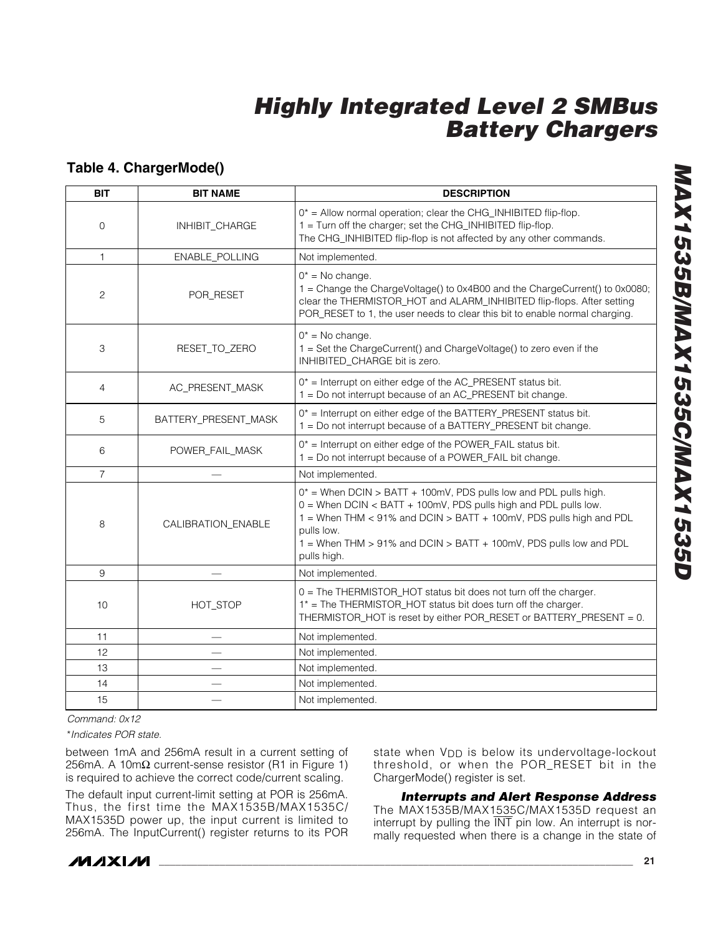### **Table 4. ChargerMode()**

| <b>BIT</b>     | <b>BIT NAME</b>      | <b>DESCRIPTION</b>                                                                                                                                                                                                                                                                                             |
|----------------|----------------------|----------------------------------------------------------------------------------------------------------------------------------------------------------------------------------------------------------------------------------------------------------------------------------------------------------------|
| $\mathbf 0$    | INHIBIT_CHARGE       | $0^*$ = Allow normal operation; clear the CHG_INHIBITED flip-flop.<br>1 = Turn off the charger; set the CHG_INHIBITED flip-flop.<br>The CHG_INHIBITED flip-flop is not affected by any other commands.                                                                                                         |
| $\mathbf{1}$   | ENABLE_POLLING       | Not implemented.                                                                                                                                                                                                                                                                                               |
| 2              | POR_RESET            | $0^*$ = No change.<br>1 = Change the ChargeVoltage() to 0x4B00 and the ChargeCurrent() to 0x0080;<br>clear the THERMISTOR_HOT and ALARM_INHIBITED flip-flops. After setting<br>POR_RESET to 1, the user needs to clear this bit to enable normal charging.                                                     |
| 3              | RESET_TO_ZERO        | $0^*$ = No change.<br>1 = Set the ChargeCurrent() and ChargeVoltage() to zero even if the<br>INHIBITED_CHARGE bit is zero.                                                                                                                                                                                     |
| 4              | AC_PRESENT_MASK      | $0^*$ = Interrupt on either edge of the AC_PRESENT status bit.<br>1 = Do not interrupt because of an AC_PRESENT bit change.                                                                                                                                                                                    |
| 5              | BATTERY_PRESENT_MASK | $0^*$ = Interrupt on either edge of the BATTERY_PRESENT status bit.<br>1 = Do not interrupt because of a BATTERY_PRESENT bit change.                                                                                                                                                                           |
| 6              | POWER FAIL MASK      | $0^*$ = Interrupt on either edge of the POWER_FAIL status bit.<br>1 = Do not interrupt because of a POWER_FAIL bit change.                                                                                                                                                                                     |
| $\overline{7}$ |                      | Not implemented.                                                                                                                                                                                                                                                                                               |
| 8              | CALIBRATION_ENABLE   | $0^*$ = When DCIN > BATT + 100mV, PDS pulls low and PDL pulls high.<br>0 = When DCIN < BATT + 100mV, PDS pulls high and PDL pulls low.<br>1 = When THM < 91% and DCIN > BATT + 100mV, PDS pulls high and PDL<br>pulls low.<br>1 = When THM > 91% and DCIN > BATT + 100mV, PDS pulls low and PDL<br>pulls high. |
| 9              |                      | Not implemented.                                                                                                                                                                                                                                                                                               |
| 10             | HOT_STOP             | 0 = The THERMISTOR_HOT status bit does not turn off the charger.<br>1* = The THERMISTOR_HOT status bit does turn off the charger.<br>THERMISTOR_HOT is reset by either POR_RESET or BATTERY_PRESENT = 0.                                                                                                       |
| 11             |                      | Not implemented.                                                                                                                                                                                                                                                                                               |
| 12             |                      | Not implemented.                                                                                                                                                                                                                                                                                               |
| 13             |                      | Not implemented.                                                                                                                                                                                                                                                                                               |
| 14             |                      | Not implemented.                                                                                                                                                                                                                                                                                               |
| 15             |                      | Not implemented.                                                                                                                                                                                                                                                                                               |

*Command: 0x12*

\**Indicates POR state.*

between 1mA and 256mA result in a current setting of 256mA. A 10m $\Omega$  current-sense resistor (R1 in Figure 1) is required to achieve the correct code/current scaling.

The default input current-limit setting at POR is 256mA. Thus, the first time the MAX1535B/MAX1535C/ MAX1535D power up, the input current is limited to 256mA. The InputCurrent() register returns to its POR state when V<sub>DD</sub> is below its undervoltage-lockout threshold, or when the POR\_RESET bit in the ChargerMode() register is set.

*Interrupts and Alert Response Address* The MAX1535B/MAX1535C/MAX1535D request an interrupt by pulling the INT pin low. An interrupt is normally requested when there is a change in the state of

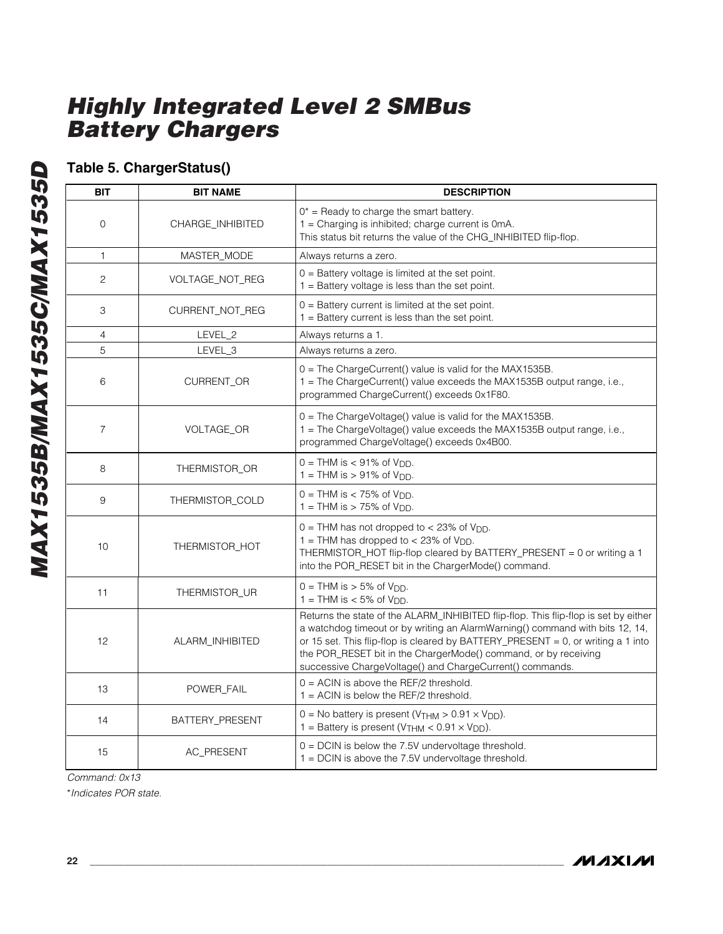### **Table 5. ChargerStatus()**

| <b>BIT</b>     | <b>BIT NAME</b>  | <b>DESCRIPTION</b>                                                                                                                                                                                                                                                                                                                                                                     |
|----------------|------------------|----------------------------------------------------------------------------------------------------------------------------------------------------------------------------------------------------------------------------------------------------------------------------------------------------------------------------------------------------------------------------------------|
| 0              | CHARGE_INHIBITED | $0^*$ = Ready to charge the smart battery.<br>1 = Charging is inhibited; charge current is 0mA.<br>This status bit returns the value of the CHG_INHIBITED flip-flop.                                                                                                                                                                                                                   |
| $\mathbf{1}$   | MASTER_MODE      | Always returns a zero.                                                                                                                                                                                                                                                                                                                                                                 |
| 2              | VOLTAGE_NOT_REG  | $0 =$ Battery voltage is limited at the set point.<br>$1 =$ Battery voltage is less than the set point.                                                                                                                                                                                                                                                                                |
| 3              | CURRENT_NOT_REG  | $0 =$ Battery current is limited at the set point.<br>$1 =$ Battery current is less than the set point.                                                                                                                                                                                                                                                                                |
| 4              | LEVEL_2          | Always returns a 1.                                                                                                                                                                                                                                                                                                                                                                    |
| 5              | LEVEL 3          | Always returns a zero.                                                                                                                                                                                                                                                                                                                                                                 |
| 6              | CURRENT_OR       | 0 = The ChargeCurrent() value is valid for the MAX1535B.<br>1 = The ChargeCurrent() value exceeds the MAX1535B output range, i.e.,<br>programmed ChargeCurrent() exceeds 0x1F80.                                                                                                                                                                                                       |
| $\overline{7}$ | VOLTAGE_OR       | 0 = The ChargeVoltage() value is valid for the MAX1535B.<br>1 = The ChargeVoltage() value exceeds the MAX1535B output range, i.e.,<br>programmed ChargeVoltage() exceeds 0x4B00.                                                                                                                                                                                                       |
| 8              | THERMISTOR_OR    | $0 = THM$ is $< 91\%$ of $V_{DD}$ .<br>$1 = THM$ is $> 91\%$ of V <sub>DD</sub> .                                                                                                                                                                                                                                                                                                      |
| 9              | THERMISTOR_COLD  | $0 = THM$ is $< 75\%$ of $V_{DD}$ .<br>1 = THM is $>$ 75% of V <sub>DD</sub> .                                                                                                                                                                                                                                                                                                         |
| 10             | THERMISTOR_HOT   | $0 = THM$ has not dropped to < 23% of $V_{DD}$ .<br>$1 = THM$ has dropped to < 23% of $V_{DD}$ .<br>THERMISTOR_HOT flip-flop cleared by BATTERY_PRESENT = 0 or writing a 1<br>into the POR_RESET bit in the ChargerMode() command.                                                                                                                                                     |
| 11             | THERMISTOR_UR    | $0 = THM$ is $> 5\%$ of $V_{DD}$ .<br>1 = THM is $<$ 5% of V <sub>DD</sub> .                                                                                                                                                                                                                                                                                                           |
| 12             | ALARM_INHIBITED  | Returns the state of the ALARM_INHIBITED flip-flop. This flip-flop is set by either<br>a watchdog timeout or by writing an AlarmWarning() command with bits 12, 14,<br>or 15 set. This flip-flop is cleared by BATTERY_PRESENT = 0, or writing a 1 into<br>the POR_RESET bit in the ChargerMode() command, or by receiving<br>successive ChargeVoltage() and ChargeCurrent() commands. |
| 13             | POWER_FAIL       | $0 = ACIN$ is above the REF/2 threshold.<br>$1 = ACIN$ is below the REF/2 threshold.                                                                                                                                                                                                                                                                                                   |
| 14             | BATTERY_PRESENT  | $0 = No$ battery is present (V <sub>THM</sub> > $0.91 \times V_{DD}$ ).<br>1 = Battery is present ( $V$ THM < 0.91 $\times$ $V_{DD}$ ).                                                                                                                                                                                                                                                |
| 15             | AC_PRESENT       | $0 = D C IN$ is below the 7.5V undervoltage threshold.<br>1 = DCIN is above the 7.5V undervoltage threshold.                                                                                                                                                                                                                                                                           |

*Command: 0x13*

\**Indicates POR state.*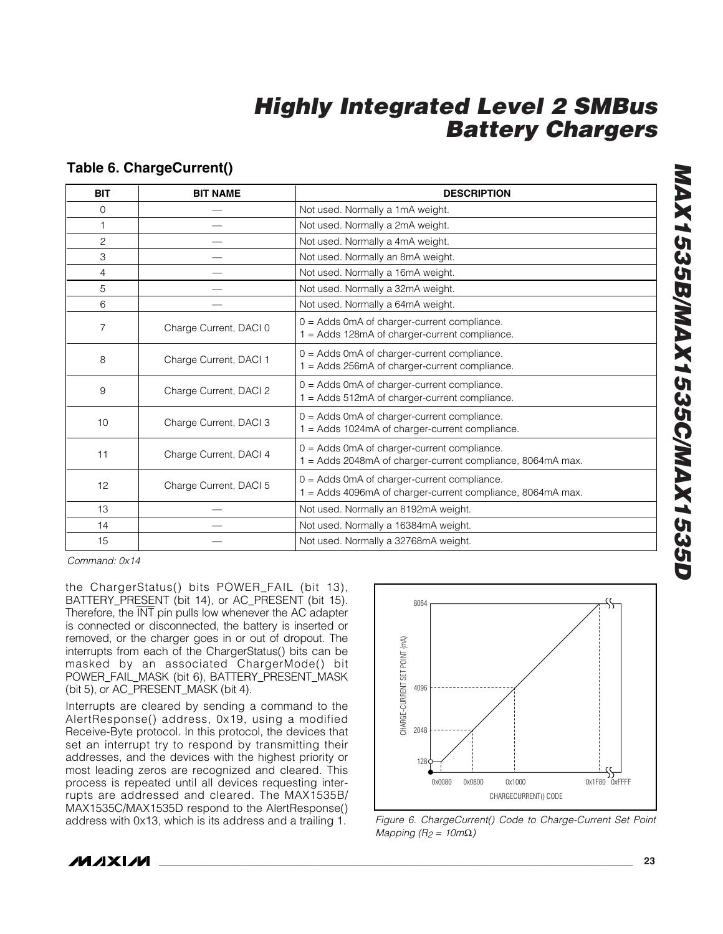### **Table 6. ChargeCurrent()**

| <b>BIT</b>     | <b>BIT NAME</b>        | <b>DESCRIPTION</b>                                                                                        |
|----------------|------------------------|-----------------------------------------------------------------------------------------------------------|
| $\mathbf{0}$   |                        | Not used. Normally a 1mA weight.                                                                          |
| 1              |                        | Not used. Normally a 2mA weight.                                                                          |
| $\overline{c}$ |                        | Not used. Normally a 4mA weight.                                                                          |
| 3              |                        | Not used. Normally an 8mA weight.                                                                         |
| 4              |                        | Not used. Normally a 16mA weight.                                                                         |
| 5              |                        | Not used. Normally a 32mA weight.                                                                         |
| 6              |                        | Not used. Normally a 64mA weight.                                                                         |
| $\overline{7}$ | Charge Current, DACI 0 | $0 =$ Adds 0mA of charger-current compliance.<br>= Adds 128mA of charger-current compliance.              |
| 8              | Charge Current, DACI 1 | $0 =$ Adds 0mA of charger-current compliance.<br>1 = Adds 256mA of charger-current compliance.            |
| 9              | Charge Current, DACI 2 | 0 = Adds 0mA of charger-current compliance.<br>1 = Adds 512mA of charger-current compliance.              |
| 10             | Charge Current, DACI 3 | $0 =$ Adds 0mA of charger-current compliance.<br>= Adds 1024mA of charger-current compliance.             |
| 11             | Charge Current, DACI 4 | 0 = Adds 0mA of charger-current compliance.<br>= Adds 2048mA of charger-current compliance, 8064mA max.   |
| 12             | Charge Current, DACI 5 | 0 = Adds 0mA of charger-current compliance.<br>1 = Adds 4096mA of charger-current compliance, 8064mA max. |
| 13             |                        | Not used. Normally an 8192mA weight.                                                                      |
| 14             |                        | Not used. Normally a 16384mA weight.                                                                      |
| 15             |                        | Not used. Normally a 32768mA weight.                                                                      |

*Command: 0x14*

the ChargerStatus() bits POWER\_FAIL (bit 13), BATTERY\_PRESENT (bit 14), or AC\_PRESENT (bit 15). Therefore, the INT pin pulls low whenever the AC adapter is connected or disconnected, the battery is inserted or removed, or the charger goes in or out of dropout. The interrupts from each of the ChargerStatus() bits can be masked by an associated ChargerMode() bit POWER\_FAIL\_MASK (bit 6), BATTERY\_PRESENT\_MASK (bit 5), or AC\_PRESENT\_MASK (bit 4).

Interrupts are cleared by sending a command to the AlertResponse() address, 0x19, using a modified Receive-Byte protocol. In this protocol, the devices that set an interrupt try to respond by transmitting their addresses, and the devices with the highest priority or most leading zeros are recognized and cleared. This process is repeated until all devices requesting interrupts are addressed and cleared. The MAX1535B/ MAX1535C/MAX1535D respond to the AlertResponse() address with 0x13, which is its address and a trailing 1.





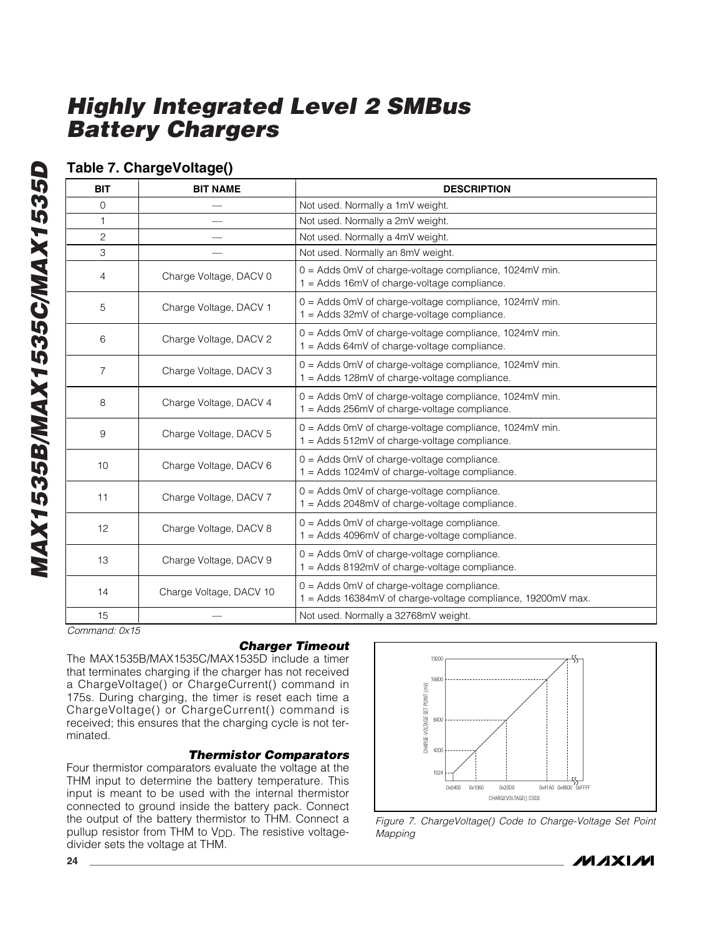### **Table 7. ChargeVoltage()**

| <b>BIT</b>   | <b>BIT NAME</b>         | <b>DESCRIPTION</b>                                                                                          |
|--------------|-------------------------|-------------------------------------------------------------------------------------------------------------|
| $\mathbf{0}$ |                         | Not used. Normally a 1mV weight.                                                                            |
| $\mathbf{1}$ |                         | Not used. Normally a 2mV weight.                                                                            |
| 2            |                         | Not used. Normally a 4mV weight.                                                                            |
| 3            |                         | Not used. Normally an 8mV weight.                                                                           |
| 4            | Charge Voltage, DACV 0  | $0 =$ Adds 0mV of charge-voltage compliance, 1024mV min.<br>1 = Adds 16mV of charge-voltage compliance.     |
| 5            | Charge Voltage, DACV 1  | 0 = Adds 0mV of charge-voltage compliance, 1024mV min.<br>1 = Adds 32mV of charge-voltage compliance.       |
| 6            | Charge Voltage, DACV 2  | 0 = Adds 0mV of charge-voltage compliance, 1024mV min.<br>$1 =$ Adds 64mV of charge-voltage compliance.     |
| 7            | Charge Voltage, DACV 3  | $0 =$ Adds 0mV of charge-voltage compliance, 1024mV min.<br>1 = Adds 128mV of charge-voltage compliance.    |
| 8            | Charge Voltage, DACV 4  | $0 =$ Adds 0mV of charge-voltage compliance, 1024mV min.<br>1 = Adds 256mV of charge-voltage compliance.    |
| 9            | Charge Voltage, DACV 5  | 0 = Adds 0mV of charge-voltage compliance, 1024mV min.<br>1 = Adds 512mV of charge-voltage compliance.      |
| 10           | Charge Voltage, DACV 6  | $0 =$ Adds 0mV of charge-voltage compliance.<br>$1 =$ Adds 1024mV of charge-voltage compliance.             |
| 11           | Charge Voltage, DACV 7  | $0 =$ Adds 0mV of charge-voltage compliance.<br>1 = Adds 2048mV of charge-voltage compliance.               |
| 12           | Charge Voltage, DACV 8  | $0 =$ Adds 0mV of charge-voltage compliance.<br>1 = Adds 4096mV of charge-voltage compliance.               |
| 13           | Charge Voltage, DACV 9  | $0 =$ Adds 0mV of charge-voltage compliance.<br>1 = Adds 8192mV of charge-voltage compliance.               |
| 14           | Charge Voltage, DACV 10 | $0 =$ Adds 0mV of charge-voltage compliance.<br>1 = Adds 16384mV of charge-voltage compliance, 19200mV max. |
| 15           |                         | Not used. Normally a 32768mV weight.                                                                        |

*Command: 0x15*

### *Charger Timeout*

The MAX1535B/MAX1535C/MAX1535D include a timer that terminates charging if the charger has not received a ChargeVoltage() or ChargeCurrent() command in 175s. During charging, the timer is reset each time a ChargeVoltage() or ChargeCurrent() command is received; this ensures that the charging cycle is not terminated.

### *Thermistor Comparators*

Four thermistor comparators evaluate the voltage at the THM input to determine the battery temperature. This input is meant to be used with the internal thermistor connected to ground inside the battery pack. Connect the output of the battery thermistor to THM. Connect a pullup resistor from THM to V<sub>DD</sub>. The resistive voltagedivider sets the voltage at THM.



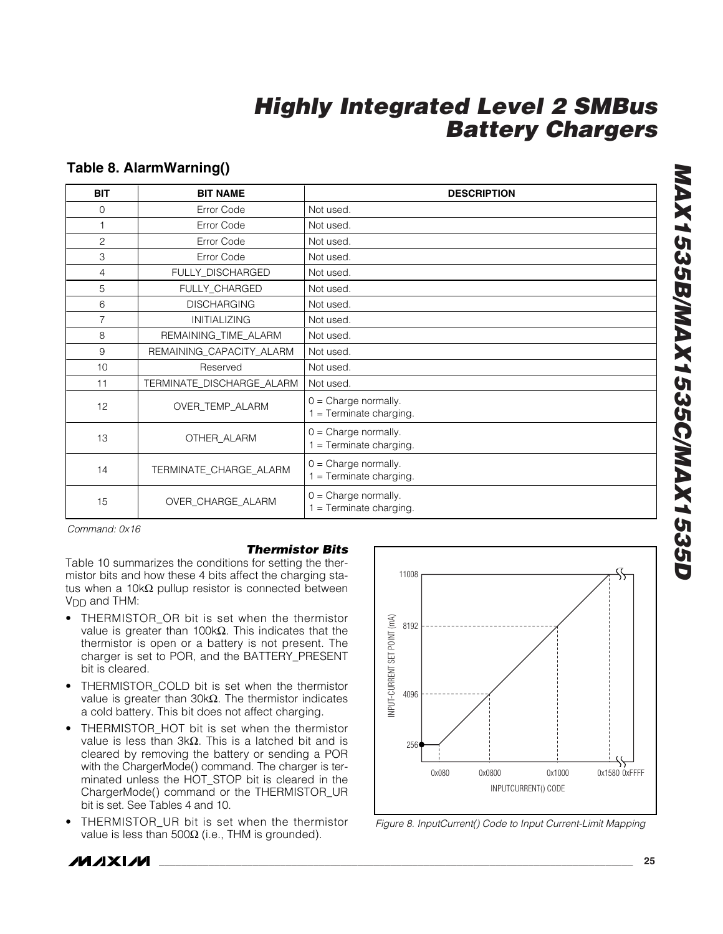### **Table 8. AlarmWarning()**

| <b>BIT</b>     | <b>BIT NAME</b>           | <b>DESCRIPTION</b>                                  |
|----------------|---------------------------|-----------------------------------------------------|
| $\mathbf 0$    | Error Code                | Not used.                                           |
| 1              | Error Code                | Not used.                                           |
| $\overline{2}$ | Error Code                | Not used.                                           |
| 3              | Error Code                | Not used.                                           |
| 4              | FULLY_DISCHARGED          | Not used.                                           |
| 5              | FULLY_CHARGED             | Not used.                                           |
| 6              | <b>DISCHARGING</b>        | Not used.                                           |
| $\overline{7}$ | <b>INITIALIZING</b>       | Not used.                                           |
| 8              | REMAINING_TIME_ALARM      | Not used.                                           |
| 9              | REMAINING_CAPACITY_ALARM  | Not used.                                           |
| 10             | Reserved                  | Not used.                                           |
| 11             | TERMINATE_DISCHARGE_ALARM | Not used.                                           |
| 12             | OVER_TEMP_ALARM           | $0 =$ Charge normally.<br>$1 =$ Terminate charging. |
| 13             | OTHER_ALARM               | $0 =$ Charge normally.<br>$1 =$ Terminate charging. |
| 14             | TERMINATE_CHARGE_ALARM    | $0 =$ Charge normally.<br>$1 =$ Terminate charging. |
| 15             | OVER_CHARGE_ALARM         | $0 =$ Charge normally.<br>$1 =$ Terminate charging. |

*Command: 0x16*

#### *Thermistor Bits*

Table 10 summarizes the conditions for setting the thermistor bits and how these 4 bits affect the charging status when a 10kΩ pullup resistor is connected between V<sub>DD</sub> and THM:

- THERMISTOR OR bit is set when the thermistor value is greater than 100kΩ. This indicates that the thermistor is open or a battery is not present. The charger is set to POR, and the BATTERY\_PRESENT bit is cleared.
- THERMISTOR\_COLD bit is set when the thermistor value is greater than 30kΩ. The thermistor indicates a cold battery. This bit does not affect charging.
- THERMISTOR HOT bit is set when the thermistor value is less than 3kΩ. This is a latched bit and is cleared by removing the battery or sending a POR with the ChargerMode() command. The charger is terminated unless the HOT\_STOP bit is cleared in the ChargerMode() command or the THERMISTOR\_UR bit is set. See Tables 4 and 10.
- THERMISTOR\_UR bit is set when the thermistor value is less than 500 $Ω$  (i.e., THM is grounded).



*Figure 8. InputCurrent() Code to Input Current-Limit Mapping*

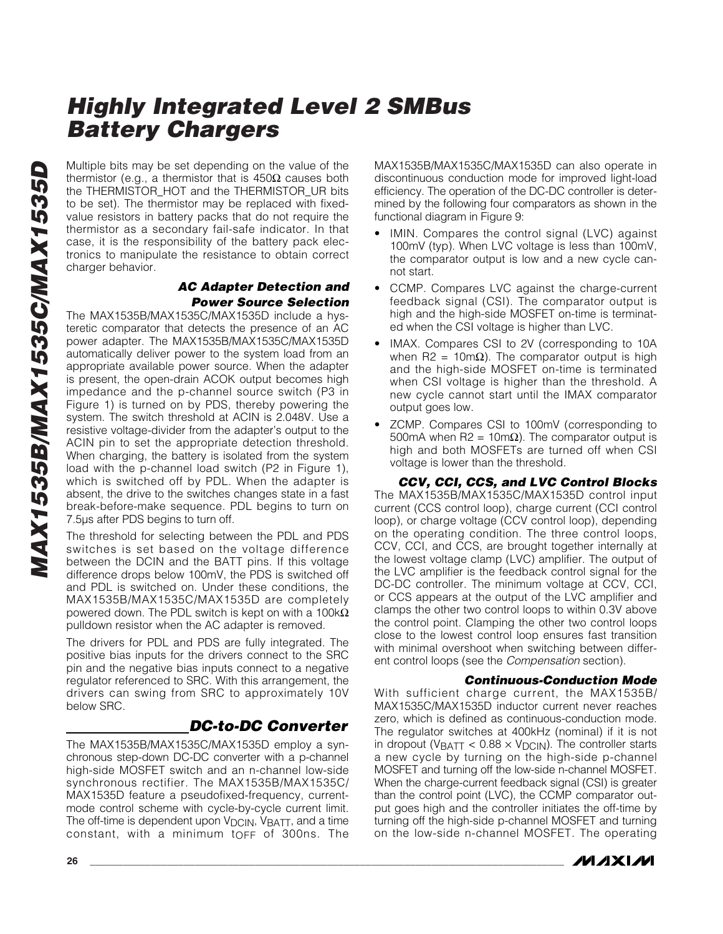Multiple bits may be set depending on the value of the thermistor (e.g., a thermistor that is  $450\Omega$  causes both the THERMISTOR\_HOT and the THERMISTOR\_UR bits to be set). The thermistor may be replaced with fixedvalue resistors in battery packs that do not require the thermistor as a secondary fail-safe indicator. In that case, it is the responsibility of the battery pack electronics to manipulate the resistance to obtain correct charger behavior.

### *AC Adapter Detection and Power Source Selection*

The MAX1535B/MAX1535C/MAX1535D include a hysteretic comparator that detects the presence of an AC power adapter. The MAX1535B/MAX1535C/MAX1535D automatically deliver power to the system load from an appropriate available power source. When the adapter is present, the open-drain ACOK output becomes high impedance and the p-channel source switch (P3 in Figure 1) is turned on by PDS, thereby powering the system. The switch threshold at ACIN is 2.048V. Use a resistive voltage-divider from the adapter's output to the ACIN pin to set the appropriate detection threshold. When charging, the battery is isolated from the system load with the p-channel load switch (P2 in Figure 1), which is switched off by PDL. When the adapter is absent, the drive to the switches changes state in a fast break-before-make sequence. PDL begins to turn on 7.5µs after PDS begins to turn off.

The threshold for selecting between the PDL and PDS switches is set based on the voltage difference between the DCIN and the BATT pins. If this voltage difference drops below 100mV, the PDS is switched off and PDL is switched on. Under these conditions, the MAX1535B/MAX1535C/MAX1535D are completely powered down. The PDL switch is kept on with a  $100\text{k}\Omega$ pulldown resistor when the AC adapter is removed.

The drivers for PDL and PDS are fully integrated. The positive bias inputs for the drivers connect to the SRC pin and the negative bias inputs connect to a negative regulator referenced to SRC. With this arrangement, the drivers can swing from SRC to approximately 10V below SRC.

### *DC-to-DC Converter*

The MAX1535B/MAX1535C/MAX1535D employ a synchronous step-down DC-DC converter with a p-channel high-side MOSFET switch and an n-channel low-side synchronous rectifier. The MAX1535B/MAX1535C/ MAX1535D feature a pseudofixed-frequency, currentmode control scheme with cycle-by-cycle current limit. The off-time is dependent upon  $V_{DCIN}$ ,  $V_{BATT}$ , and a time constant, with a minimum toff of 300ns. The

MAX1535B/MAX1535C/MAX1535D can also operate in discontinuous conduction mode for improved light-load efficiency. The operation of the DC-DC controller is determined by the following four comparators as shown in the functional diagram in Figure 9:

- IMIN. Compares the control signal (LVC) against 100mV (typ). When LVC voltage is less than 100mV, the comparator output is low and a new cycle cannot start.
- CCMP. Compares LVC against the charge-current feedback signal (CSI). The comparator output is high and the high-side MOSFET on-time is terminated when the CSI voltage is higher than LVC.
- IMAX. Compares CSI to 2V (corresponding to 10A when R2 = 10mΩ). The comparator output is high and the high-side MOSFET on-time is terminated when CSI voltage is higher than the threshold. A new cycle cannot start until the IMAX comparator output goes low.
- ZCMP. Compares CSI to 100mV (corresponding to 500mA when R2 = 10m $\Omega$ ). The comparator output is high and both MOSFETs are turned off when CSI voltage is lower than the threshold.

*CCV, CCI, CCS, and LVC Control Blocks* The MAX1535B/MAX1535C/MAX1535D control input current (CCS control loop), charge current (CCI control loop), or charge voltage (CCV control loop), depending on the operating condition. The three control loops, CCV, CCI, and CCS, are brought together internally at the lowest voltage clamp (LVC) amplifier. The output of the LVC amplifier is the feedback control signal for the DC-DC controller. The minimum voltage at CCV, CCI, or CCS appears at the output of the LVC amplifier and clamps the other two control loops to within 0.3V above the control point. Clamping the other two control loops close to the lowest control loop ensures fast transition with minimal overshoot when switching between different control loops (see the *Compensation* section).

### *Continuous-Conduction Mode*

With sufficient charge current, the MAX1535B/ MAX1535C/MAX1535D inductor current never reaches zero, which is defined as continuous-conduction mode. The regulator switches at 400kHz (nominal) if it is not in dropout (VBATT <  $0.88 \times V_{DCIN}$ ). The controller starts a new cycle by turning on the high-side p-channel MOSFET and turning off the low-side n-channel MOSFET. When the charge-current feedback signal (CSI) is greater than the control point (LVC), the CCMP comparator output goes high and the controller initiates the off-time by turning off the high-side p-channel MOSFET and turning on the low-side n-channel MOSFET. The operating

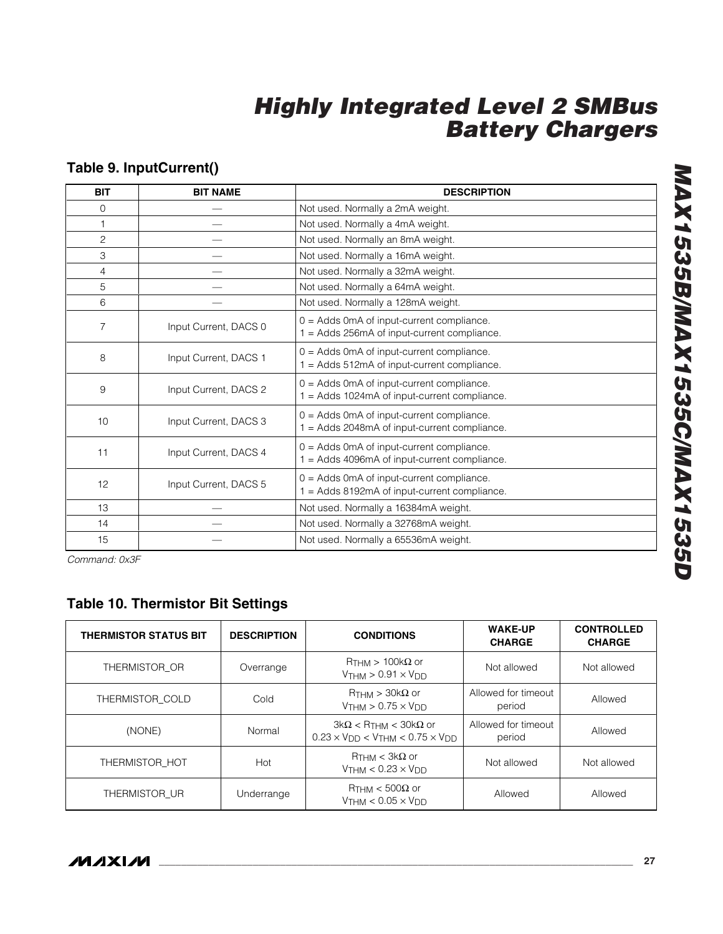### **Table 9. InputCurrent()**

| <b>BIT</b>     | <b>BIT NAME</b>       | <b>DESCRIPTION</b>                                                                          |
|----------------|-----------------------|---------------------------------------------------------------------------------------------|
| $\mathbf 0$    |                       | Not used. Normally a 2mA weight.                                                            |
| $\mathbf{1}$   |                       | Not used. Normally a 4mA weight.                                                            |
| $\overline{c}$ |                       | Not used. Normally an 8mA weight.                                                           |
| 3              |                       | Not used. Normally a 16mA weight.                                                           |
| 4              |                       | Not used. Normally a 32mA weight.                                                           |
| 5              |                       | Not used. Normally a 64mA weight.                                                           |
| 6              |                       | Not used. Normally a 128mA weight.                                                          |
| $\overline{7}$ | Input Current, DACS 0 | $0 =$ Adds 0mA of input-current compliance.<br>1 = Adds 256mA of input-current compliance.  |
| 8              | Input Current, DACS 1 | $0 =$ Adds 0mA of input-current compliance.<br>1 = Adds 512mA of input-current compliance.  |
| 9              | Input Current, DACS 2 | $0 =$ Adds 0mA of input-current compliance.<br>1 = Adds 1024mA of input-current compliance. |
| 10             | Input Current, DACS 3 | 0 = Adds 0mA of input-current compliance.<br>1 = Adds 2048mA of input-current compliance.   |
| 11             | Input Current, DACS 4 | $0 =$ Adds 0mA of input-current compliance.<br>1 = Adds 4096mA of input-current compliance. |
| 12             | Input Current, DACS 5 | $0 =$ Adds 0mA of input-current compliance.<br>1 = Adds 8192mA of input-current compliance. |
| 13             |                       | Not used. Normally a 16384mA weight.                                                        |
| 14             |                       | Not used. Normally a 32768mA weight.                                                        |
| 15             |                       | Not used. Normally a 65536mA weight.                                                        |

*Command: 0x3F*

### **Table 10. Thermistor Bit Settings**

| <b>THERMISTOR STATUS BIT</b> | <b>DESCRIPTION</b> | <b>CONDITIONS</b>                                                                                                          | <b>WAKE-UP</b><br><b>CHARGE</b> | <b>CONTROLLED</b><br><b>CHARGE</b> |
|------------------------------|--------------------|----------------------------------------------------------------------------------------------------------------------------|---------------------------------|------------------------------------|
| THERMISTOR OR                | Overrange          | $R_{\text{THM}} > 100 \text{k}\Omega$ or<br>$V$ THM > 0.91 $\times$ V <sub>DD</sub>                                        | Not allowed                     | Not allowed                        |
| THERMISTOR COLD              | Cold               | $R_{THM}$ > 30k $\Omega$ or<br>$VTHM > 0.75 \times VDD$                                                                    | Allowed for timeout<br>period   | Allowed                            |
| (NONE)                       | Normal             | $3k\Omega$ < R <sub>THM</sub> < $30k\Omega$ or<br>$0.23 \times V_{\text{DD}} < V_{\text{THM}} < 0.75 \times V_{\text{DD}}$ | Allowed for timeout<br>period   | Allowed                            |
| THERMISTOR HOT               | Hot                | $R_{\text{THM}} < 3k\Omega$ or<br>$V$ THM < $0.23 \times V$ DD                                                             | Not allowed                     | Not allowed                        |
| THERMISTOR UR                | Underrange         | $R$ THM < 500 $\Omega$ or<br>$V$ THM < 0.05 $\times$ VDD                                                                   | Allowed                         | Allowed                            |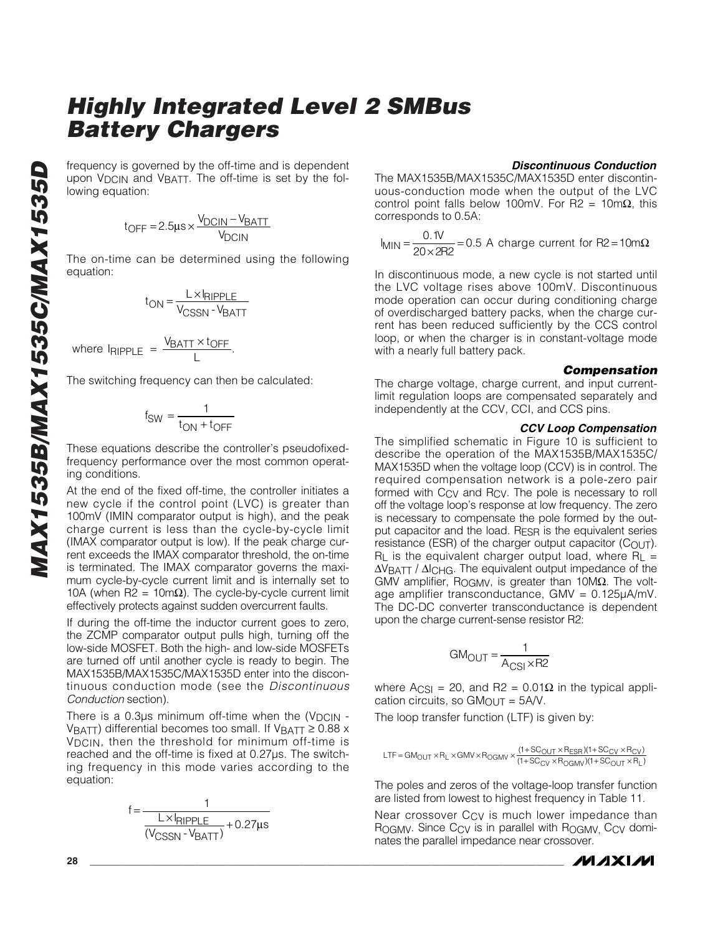frequency is governed by the off-time and is dependent upon V<sub>DCIN</sub> and V<sub>BATT</sub>. The off-time is set by the following equation:

$$
t_{OFF} = 2.5 \mu s \times \frac{V_{DCIN} - V_{BATT}}{V_{DCIN}}
$$

The on-time can be determined using the following equation:

$$
t_{ON} = \frac{L \times I_{RIPPLE}}{V_{CSSN} \cdot V_{BATT}}
$$

where 
$$
lp_{\text{RIPPLE}} = \frac{V_{\text{BATT}} \times t_{\text{OFF}}}{L}
$$
.

The switching frequency can then be calculated:

$$
f_{SW} = \frac{1}{t_{ON} + t_{OFF}}
$$

These equations describe the controller's pseudofixedfrequency performance over the most common operating conditions.

At the end of the fixed off-time, the controller initiates a new cycle if the control point (LVC) is greater than 100mV (IMIN comparator output is high), and the peak charge current is less than the cycle-by-cycle limit (IMAX comparator output is low). If the peak charge current exceeds the IMAX comparator threshold, the on-time is terminated. The IMAX comparator governs the maximum cycle-by-cycle current limit and is internally set to 10A (when R2 = 10m $\Omega$ ). The cycle-by-cycle current limit effectively protects against sudden overcurrent faults.

If during the off-time the inductor current goes to zero, the ZCMP comparator output pulls high, turning off the low-side MOSFET. Both the high- and low-side MOSFETs are turned off until another cycle is ready to begin. The MAX1535B/MAX1535C/MAX1535D enter into the discontinuous conduction mode (see the *Discontinuous Conduction* section).

There is a  $0.3\mu s$  minimum off-time when the (V<sub>DCIN</sub> -VBATT) differential becomes too small. If VBATT  $\geq$  0.88 x VDCIN, then the threshold for minimum off-time is reached and the off-time is fixed at 0.27µs. The switching frequency in this mode varies according to the equation:

$$
f = \frac{1}{\frac{L \times I_{RIPPLE}}{(V_{CSSN} - V_{BAT})} + 0.27 \mu s}
$$

#### *Discontinuous Conduction*

The MAX1535B/MAX1535C/MAX1535D enter discontinuous-conduction mode when the output of the LVC control point falls below 100mV. For R2 = 10mΩ, this corresponds to 0.5A:

$$
I_{\text{MIN}} = \frac{0.1 \text{V}}{20 \times 2 \text{R2}} = 0.5 \text{ A charge current for R2} = 10 \text{m}\Omega
$$

In discontinuous mode, a new cycle is not started until the LVC voltage rises above 100mV. Discontinuous mode operation can occur during conditioning charge of overdischarged battery packs, when the charge current has been reduced sufficiently by the CCS control loop, or when the charger is in constant-voltage mode with a nearly full battery pack.

#### *Compensation*

The charge voltage, charge current, and input currentlimit regulation loops are compensated separately and independently at the CCV, CCI, and CCS pins.

#### *CCV Loop Compensation*

The simplified schematic in Figure 10 is sufficient to describe the operation of the MAX1535B/MAX1535C/ MAX1535D when the voltage loop (CCV) is in control. The required compensation network is a pole-zero pair formed with C<sub>CV</sub> and R<sub>CV</sub>. The pole is necessary to roll off the voltage loop's response at low frequency. The zero is necessary to compensate the pole formed by the output capacitor and the load. RESR is the equivalent series resistance (ESR) of the charger output capacitor (COUT).  $R_L$  is the equivalent charger output load, where  $R_L =$ ∆VBATT / ∆ICHG. The equivalent output impedance of the GMV amplifier, ROGMV, is greater than 10MΩ. The voltage amplifier transconductance,  $GMV = 0.125\mu A/mV$ . The DC-DC converter transconductance is dependent upon the charge current-sense resistor R2:

$$
GM_{\text{OUT}} = \frac{1}{A_{\text{CSI}} \times R2}
$$

where Acs<sub>I</sub> = 20, and R2 = 0.01Ω in the typical application circuits, so  $GM<sub>OUT</sub> =  $5A/V$ .$ 

The loop transfer function (LTF) is given by:

$$
LTF = GM_{OUT} \times R_L \times GMV \times R_{OGMV} \times \frac{(1+SC_{OUT} \times R_{ESR})(1+SC_{CV} \times R_{CV})}{(1+SC_{CV} \times R_{OGMV})(1+SC_{OUT} \times R_L)}
$$

The poles and zeros of the voltage-loop transfer function are listed from lowest to highest frequency in Table 11.

Near crossover C<sub>CV</sub> is much lower impedance than ROGMV. Since Ccy is in parallel with ROGMV, Ccy dominates the parallel impedance near crossover.

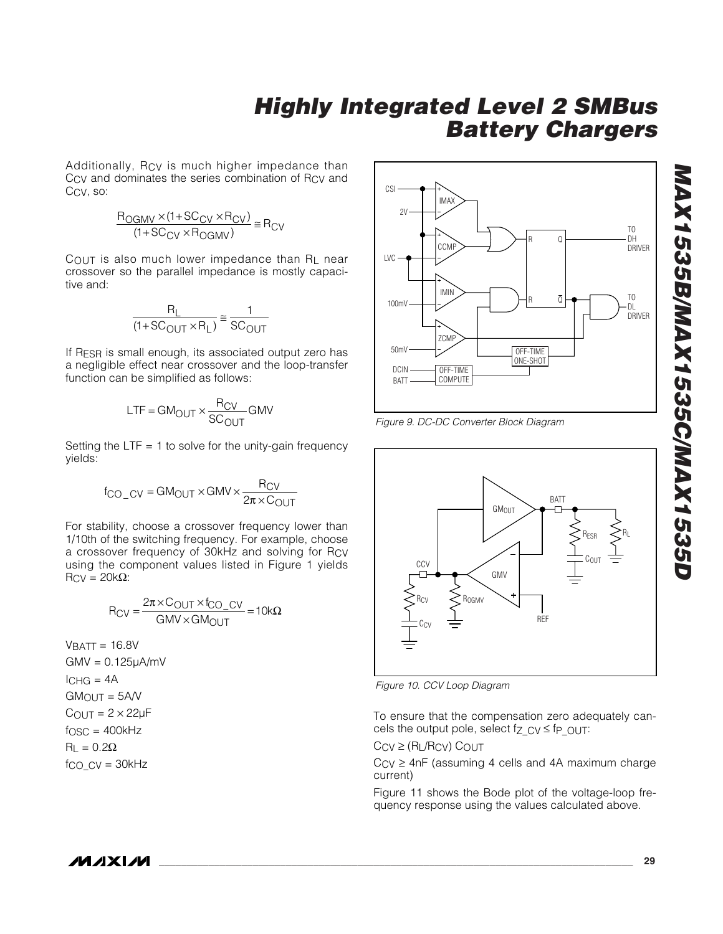Additionally, RCV is much higher impedance than C<sub>CV</sub> and dominates the series combination of R<sub>CV</sub> and CCV, so:

$$
\frac{R_{OGMV} \times (1+SC_{CV} \times R_{CV})}{(1+SC_{CV} \times R_{OGMV})} \cong R_{CV}
$$

 $C_{\text{OUT}}$  is also much lower impedance than RL near crossover so the parallel impedance is mostly capacitive and:

$$
\frac{R_L}{(1+SC_{OUT} \times R_L)} \approx \frac{1}{SC_{OUT}}
$$

If RESR is small enough, its associated output zero has a negligible effect near crossover and the loop-transfer function can be simplified as follows:

$$
LTF = GM_{OUT} \times \frac{R_{CV}}{SC_{OUT}} GMV
$$

Setting the  $LTF = 1$  to solve for the unity-gain frequency yields:

$$
f_{\text{CO\_CV}} = \text{GM}_{\text{OUT}} \times \text{GMV} \times \frac{R_{\text{CV}}}{2\pi \times \text{C}_{\text{OUT}}}
$$

For stability, choose a crossover frequency lower than 1/10th of the switching frequency. For example, choose a crossover frequency of 30kHz and solving for RCV using the component values listed in Figure 1 yields  $R_{CV} = 20k\Omega$ :

$$
R_{CV} = \frac{2\pi \times C_{OUT} \times f_{CO\_CV}}{GMV \times GM_{OUT}} = 10k\Omega
$$

 $V$ BATT = 16.8V  $GMV = 0.125\mu A/mV$  $ICHG = 4A$  $GM$ <sub>OUT</sub> =  $5A/V$  $C_{\text{OUT}} = 2 \times 22 \mu F$  $f<sub>OSC</sub> = 400kHz$  $R<sub>L</sub> = 0.2Ω$  $f_{CO}$   $CV = 30kHz$ 



*Figure 9. DC-DC Converter Block Diagram*



*Figure 10. CCV Loop Diagram*

To ensure that the compensation zero adequately cancels the output pole, select fz  $CV \leq fp$  OUT:

 $CCV \geq (R_L/RCV)$  COUT

 $C<sub>CV</sub> \ge 4$ nF (assuming 4 cells and 4A maximum charge current)

Figure 11 shows the Bode plot of the voltage-loop frequency response using the values calculated above.

**MAXM**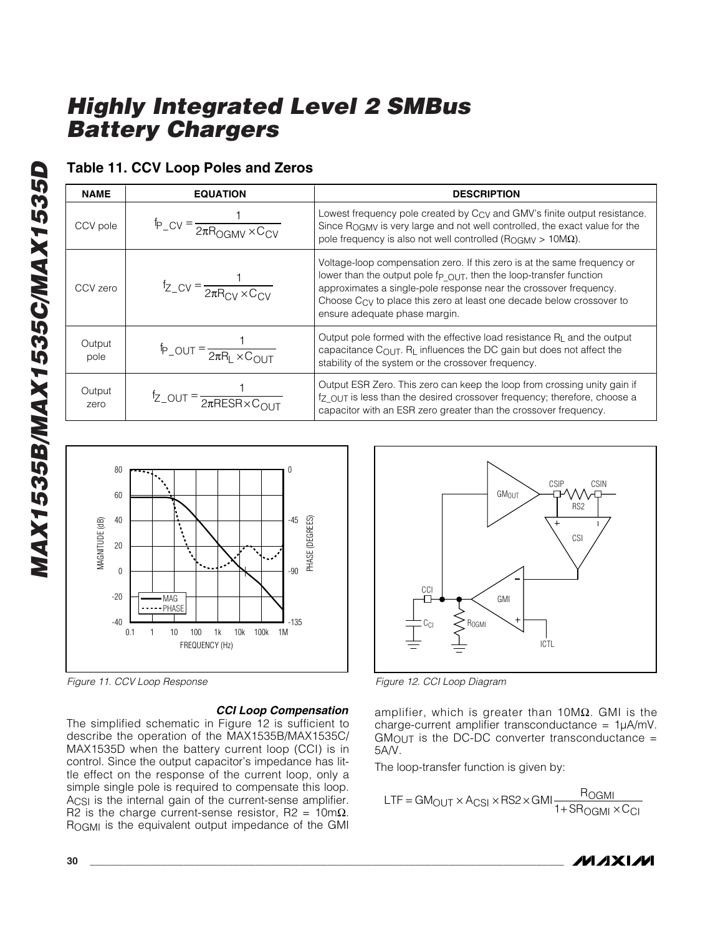### **Table 11. CCV Loop Poles and Zeros**

| <b>NAME</b>    | <b>EQUATION</b>                                                 | <b>DESCRIPTION</b>                                                                                                                                                                                                                                                                                                                       |
|----------------|-----------------------------------------------------------------|------------------------------------------------------------------------------------------------------------------------------------------------------------------------------------------------------------------------------------------------------------------------------------------------------------------------------------------|
| CCV pole       | $tp_{CV} = \frac{1}{2\pi R_{OCMV} \times C_{CV}}$               | Lowest frequency pole created by C <sub>CV</sub> and GMV's finite output resistance.<br>Since ROGMV is very large and not well controlled, the exact value for the<br>pole frequency is also not well controlled ( $R_{\text{OGMV}} > 10 \text{M}\Omega$ ).                                                                              |
| CCV zero       | $f_{Z_C V} = \frac{1}{2\pi R_{\text{CV}} \times C_{\text{CV}}}$ | Voltage-loop compensation zero. If this zero is at the same frequency or<br>lower than the output pole fp_OUT, then the loop-transfer function<br>approximates a single-pole response near the crossover frequency.<br>Choose C <sub>CV</sub> to place this zero at least one decade below crossover to<br>ensure adequate phase margin. |
| Output<br>pole | $\oint$ -OUT = $\frac{1}{2\pi R_1 \times C_0}$                  | Output pole formed with the effective load resistance $R_{\perp}$ and the output<br>capacitance $C_{\text{OUT}}$ . $R_{\text{L}}$ influences the DC gain but does not affect the<br>stability of the system or the crossover frequency.                                                                                                  |
| Output<br>zero | $f_{Z_0}$ OUT = $\frac{1}{2\pi RESR \times C_{\text{OUT}}}$     | Output ESR Zero. This zero can keep the loop from crossing unity gain if<br>fz OUT is less than the desired crossover frequency; therefore, choose a<br>capacitor with an ESR zero greater than the crossover frequency.                                                                                                                 |



*Figure 11. CCV Loop Response*

### *CCI Loop Compensation*

The simplified schematic in Figure 12 is sufficient to describe the operation of the MAX1535B/MAX1535C/ MAX1535D when the battery current loop (CCI) is in control. Since the output capacitor's impedance has little effect on the response of the current loop, only a simple single pole is required to compensate this loop. ACSI is the internal gain of the current-sense amplifier. R2 is the charge current-sense resistor, R2 =  $10 \text{m}\Omega$ . ROGMI is the equivalent output impedance of the GMI



*Figure 12. CCI Loop Diagram*

amplifier, which is greater than  $10MΩ$ . GMI is the charge-current amplifier transconductance =  $1\mu A/mV$ .  $GM$ <sub>OUT</sub> is the DC-DC converter transconductance = 5A/V.

The loop-transfer function is given by:

$$
LTF = GM_{OUT} \times A_{CSI} \times RS2 \times GMI \frac{R_{OGMI}}{1 + SR_{OGMI} \times C_{CI}}
$$

*MAX1535B/MAX1535C/MAX1535D*

MAX1535B/MAX1535C/MAX1535D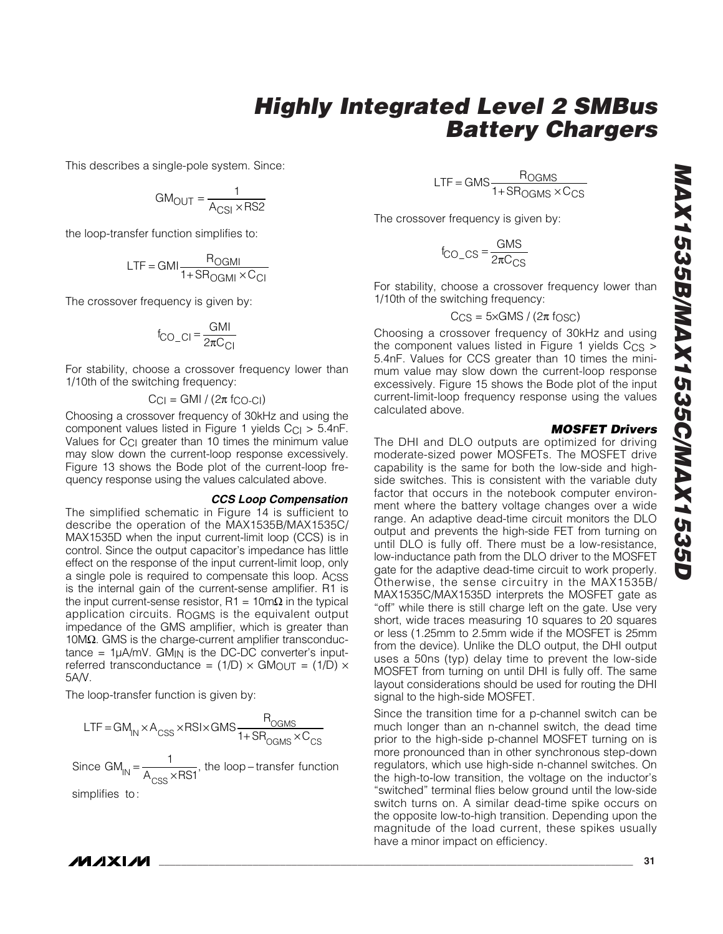This describes a single-pole system. Since:

$$
GM_{\text{OUT}} = \frac{1}{A_{\text{CSI}} \times \text{RS2}}
$$

the loop-transfer function simplifies to:

$$
LTF = GMI \frac{R_{OGMI}}{1 + S R_{OGMI} \times C_{CI}}
$$

The crossover frequency is given by:

$$
f_{\text{CO\_CI}} = \frac{\text{GMI}}{2\pi\text{C}_{\text{CI}}}
$$

For stability, choose a crossover frequency lower than 1/10th of the switching frequency:

$$
C_{Cl} = GMI / (2\pi f_{CO-CI})
$$

Choosing a crossover frequency of 30kHz and using the component values listed in Figure 1 yields  $C_{Cl} > 5.4$ nF. Values for C<sub>CI</sub> greater than 10 times the minimum value may slow down the current-loop response excessively. Figure 13 shows the Bode plot of the current-loop frequency response using the values calculated above.

#### *CCS Loop Compensation*

The simplified schematic in Figure 14 is sufficient to describe the operation of the MAX1535B/MAX1535C/ MAX1535D when the input current-limit loop (CCS) is in control. Since the output capacitor's impedance has little effect on the response of the input current-limit loop, only a single pole is required to compensate this loop. ACSS is the internal gain of the current-sense amplifier. R1 is the input current-sense resistor,  $R1 = 10mΩ$  in the typical application circuits. ROGMS is the equivalent output impedance of the GMS amplifier, which is greater than 10M $Ω$ . GMS is the charge-current amplifier transconductance =  $1\mu A/mV$ . GM<sub>IN</sub> is the DC-DC converter's inputreferred transconductance =  $(1/D) \times$  GM<sub>OUT</sub> =  $(1/D) \times$ 5A/V.

The loop-transfer function is given by:

$$
LTF = GM_{IN} \times A_{CSS} \times RSI \times GMS \frac{R_{OGMS}}{1 + SR_{OGMS} \times C_{CS}}
$$

Since GM<sub>IN</sub> =  $\frac{1}{A_{\text{CSS}} \times \text{RSI}}$ , the loop – transfer function

simplifies to :

 $LTF = GMS \frac{R_{OGMS}}{1 + S R_{OGMS} \times C}$ OGMS  $=$  GMS  $\frac{1.0 \text{ GMS}}{1 + \text{S} \text{R} \text{OGMS} \times \text{C}}$ 

The crossover frequency is given by:

$$
f_{\rm CO\_CS} = \frac{\rm GMS}{2\pi C_{\rm CS}}
$$

For stability, choose a crossover frequency lower than 1/10th of the switching frequency:

$$
C_{CS} = 5 \times GMS / (2\pi \text{ f} \cdot \text{OSC})
$$

Choosing a crossover frequency of 30kHz and using the component values listed in Figure 1 yields  $C_{CS}$  > 5.4nF. Values for CCS greater than 10 times the minimum value may slow down the current-loop response excessively. Figure 15 shows the Bode plot of the input current-limit-loop frequency response using the values calculated above.

#### *MOSFET Drivers*

The DHI and DLO outputs are optimized for driving moderate-sized power MOSFETs. The MOSFET drive capability is the same for both the low-side and highside switches. This is consistent with the variable duty factor that occurs in the notebook computer environment where the battery voltage changes over a wide range. An adaptive dead-time circuit monitors the DLO output and prevents the high-side FET from turning on until DLO is fully off. There must be a low-resistance, low-inductance path from the DLO driver to the MOSFET gate for the adaptive dead-time circuit to work properly. Otherwise, the sense circuitry in the MAX1535B/ MAX1535C/MAX1535D interprets the MOSFET gate as "off" while there is still charge left on the gate. Use very short, wide traces measuring 10 squares to 20 squares or less (1.25mm to 2.5mm wide if the MOSFET is 25mm from the device). Unlike the DLO output, the DHI output uses a 50ns (typ) delay time to prevent the low-side MOSFET from turning on until DHI is fully off. The same layout considerations should be used for routing the DHI signal to the high-side MOSFET.

Since the transition time for a p-channel switch can be much longer than an n-channel switch, the dead time prior to the high-side p-channel MOSFET turning on is more pronounced than in other synchronous step-down regulators, which use high-side n-channel switches. On the high-to-low transition, the voltage on the inductor's "switched" terminal flies below ground until the low-side switch turns on. A similar dead-time spike occurs on the opposite low-to-high transition. Depending upon the magnitude of the load current, these spikes usually have a minor impact on efficiency.

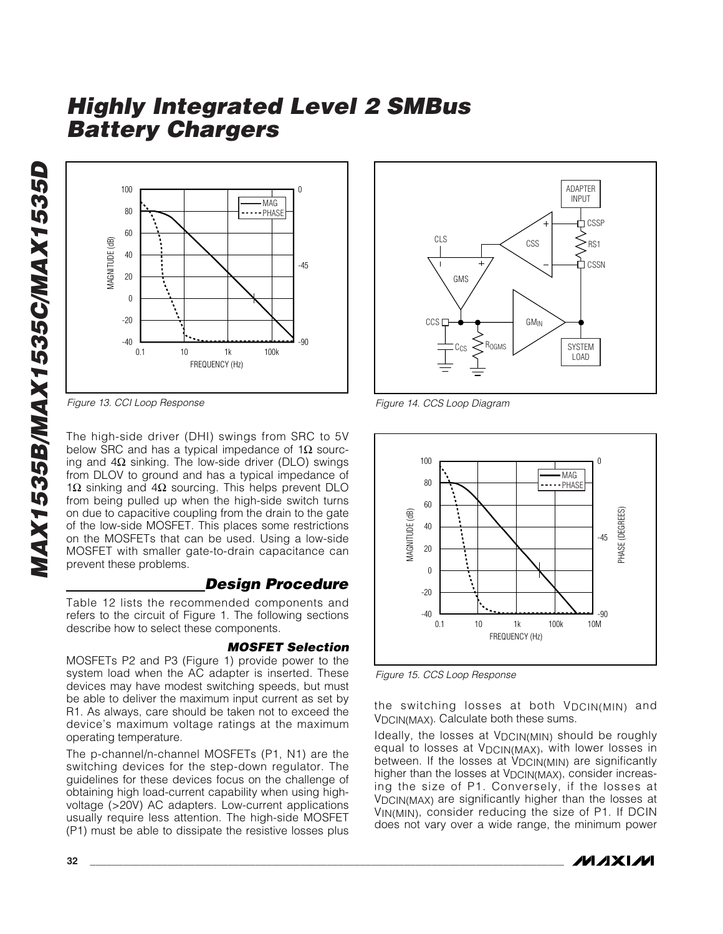*MAX1535B/MAX1535C/MAX1535D* MAX1535B/MAX1535C/MAX1535D



*Figure 13. CCI Loop Response*

The high-side driver (DHI) swings from SRC to 5V below SRC and has a typical impedance of 1 $\Omega$  sourcing and  $4Ω$  sinking. The low-side driver (DLO) swings from DLOV to ground and has a typical impedance of 1Ω sinking and 4Ω sourcing. This helps prevent DLO from being pulled up when the high-side switch turns on due to capacitive coupling from the drain to the gate of the low-side MOSFET. This places some restrictions on the MOSFETs that can be used. Using a low-side MOSFET with smaller gate-to-drain capacitance can prevent these problems.

### *Design Procedure*

Table 12 lists the recommended components and refers to the circuit of Figure 1. The following sections describe how to select these components.

### *MOSFET Selection*

MOSFETs P2 and P3 (Figure 1) provide power to the system load when the AC adapter is inserted. These devices may have modest switching speeds, but must be able to deliver the maximum input current as set by R1. As always, care should be taken not to exceed the device's maximum voltage ratings at the maximum operating temperature.

The p-channel/n-channel MOSFETs (P1, N1) are the switching devices for the step-down regulator. The guidelines for these devices focus on the challenge of obtaining high load-current capability when using highvoltage (>20V) AC adapters. Low-current applications usually require less attention. The high-side MOSFET (P1) must be able to dissipate the resistive losses plus



*Figure 14. CCS Loop Diagram*



*Figure 15. CCS Loop Response*

the switching losses at both VDCIN(MIN) and VDCIN(MAX). Calculate both these sums.

Ideally, the losses at V<sub>DCIN(MIN)</sub> should be roughly equal to losses at V<sub>DCIN(MAX)</sub>, with lower losses in between. If the losses at  $V_{DCIN(MIN)}$  are significantly higher than the losses at V<sub>DCIN(MAX)</sub>, consider increasing the size of P1. Conversely, if the losses at VDCIN(MAX) are significantly higher than the losses at VIN(MIN), consider reducing the size of P1. If DCIN does not vary over a wide range, the minimum power

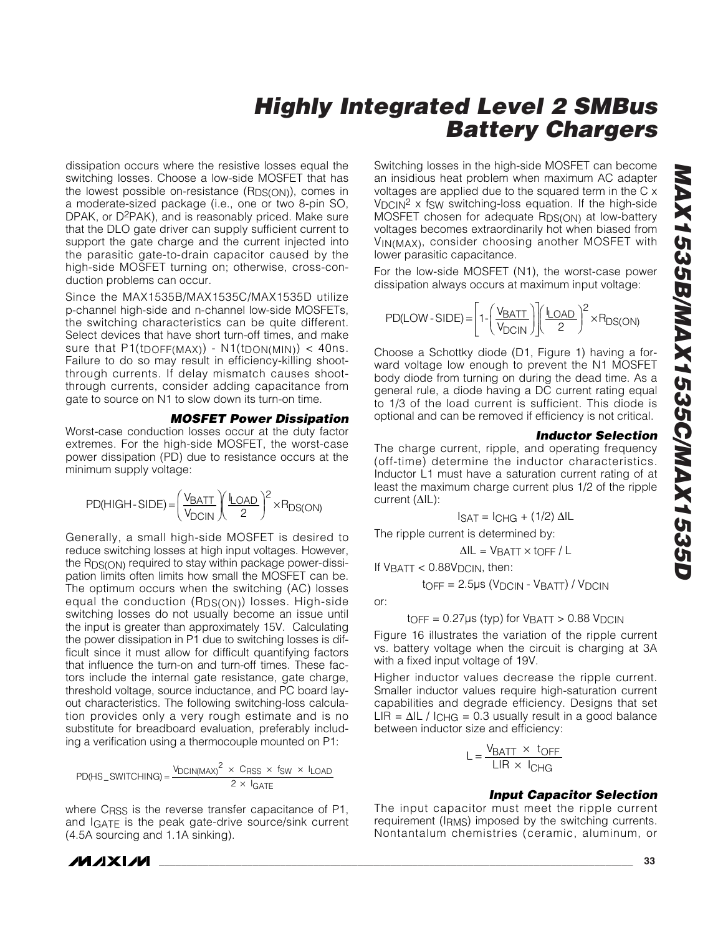dissipation occurs where the resistive losses equal the switching losses. Choose a low-side MOSFET that has the lowest possible on-resistance (R<sub>DS(ON)</sub>), comes in a moderate-sized package (i.e., one or two 8-pin SO, DPAK, or D2PAK), and is reasonably priced. Make sure that the DLO gate driver can supply sufficient current to support the gate charge and the current injected into the parasitic gate-to-drain capacitor caused by the high-side MOSFET turning on; otherwise, cross-conduction problems can occur.

Since the MAX1535B/MAX1535C/MAX1535D utilize p-channel high-side and n-channel low-side MOSFETs, the switching characteristics can be quite different. Select devices that have short turn-off times, and make sure that  $P1(t_{DOFF(MAX)}) - N1(t_{DOM(MIN)}) < 40$ ns. Failure to do so may result in efficiency-killing shootthrough currents. If delay mismatch causes shootthrough currents, consider adding capacitance from gate to source on N1 to slow down its turn-on time.

#### *MOSFET Power Dissipation*

Worst-case conduction losses occur at the duty factor extremes. For the high-side MOSFET, the worst-case power dissipation (PD) due to resistance occurs at the minimum supply voltage:

$$
PD(HIGH-SIDE) = \left(\frac{V_{BATT}}{V_{DCIN}}\right)\left(\frac{I_{LOAD}}{2}\right)^2 \times R_{DS(ON)}
$$

Generally, a small high-side MOSFET is desired to reduce switching losses at high input voltages. However, the R<sub>DS(ON)</sub> required to stay within package power-dissipation limits often limits how small the MOSFET can be. The optimum occurs when the switching (AC) losses equal the conduction (RDS(ON)) losses. High-side switching losses do not usually become an issue until the input is greater than approximately 15V. Calculating the power dissipation in P1 due to switching losses is difficult since it must allow for difficult quantifying factors that influence the turn-on and turn-off times. These factors include the internal gate resistance, gate charge, threshold voltage, source inductance, and PC board layout characteristics. The following switching-loss calculation provides only a very rough estimate and is no substitute for breadboard evaluation, preferably including a verification using a thermocouple mounted on P1:

$$
PD(HS\_SWITCHING) = \frac{V_{DCIN(MAX)}^{2} \times C_{RSS} \times f_{SW} \times I_{LOAD}}{2 \times I_{GATE}}
$$

where C<sub>RSS</sub> is the reverse transfer capacitance of P1, and IGATE is the peak gate-drive source/sink current (4.5A sourcing and 1.1A sinking).

Switching losses in the high-side MOSFET can become an insidious heat problem when maximum AC adapter voltages are applied due to the squared term in the C x  $V_{\text{DCIN}}^2$  x fsw switching-loss equation. If the high-side MOSFET chosen for adequate  $R_{DS(ON)}$  at low-battery voltages becomes extraordinarily hot when biased from VIN(MAX), consider choosing another MOSFET with lower parasitic capacitance.

For the low-side MOSFET (N1), the worst-case power dissipation always occurs at maximum input voltage:

$$
PD(LOW-SIDE) = \left[1 - \left(\frac{V_{BAT}}{V_{DCIN}}\right) \left(\frac{I_{LOAD}}{2}\right)^2 \times R_{DS(ON)}\right]
$$

Choose a Schottky diode (D1, Figure 1) having a forward voltage low enough to prevent the N1 MOSFET body diode from turning on during the dead time. As a general rule, a diode having a DC current rating equal to 1/3 of the load current is sufficient. This diode is optional and can be removed if efficiency is not critical.

#### *Inductor Selection*

The charge current, ripple, and operating frequency (off-time) determine the inductor characteristics. Inductor L1 must have a saturation current rating of at least the maximum charge current plus 1/2 of the ripple current (∆IL):

$$
IsAT = ICHG + (1/2) \Delta IL
$$

The ripple current is determined by:

$$
\Delta I L = V_{\text{BATT}} \times \text{LOFF} / L
$$

If  $V_{\text{BATT}} < 0.88 V_{\text{DCIN}}$ , then:

 $top = 2.5 \mu s (V_{DCIN} - V_{BAT}) / V_{DCIN}$ 

or:

$$
t_{\text{OFF}} = 0.27 \mu s
$$
 (typ) for V<sub>BATT</sub> > 0.88 V<sub>DCIN</sub>

Figure 16 illustrates the variation of the ripple current vs. battery voltage when the circuit is charging at 3A with a fixed input voltage of 19V.

Higher inductor values decrease the ripple current. Smaller inductor values require high-saturation current capabilities and degrade efficiency. Designs that set LIR =  $\Delta$ IL / ICHG = 0.3 usually result in a good balance between inductor size and efficiency:

$$
L = \frac{V_{BATT} \times t_{OFF}}{LIR \times I_{CHG}}
$$

#### *Input Capacitor Selection*

The input capacitor must meet the ripple current requirement (IRMS) imposed by the switching currents. Nontantalum chemistries (ceramic, aluminum, or

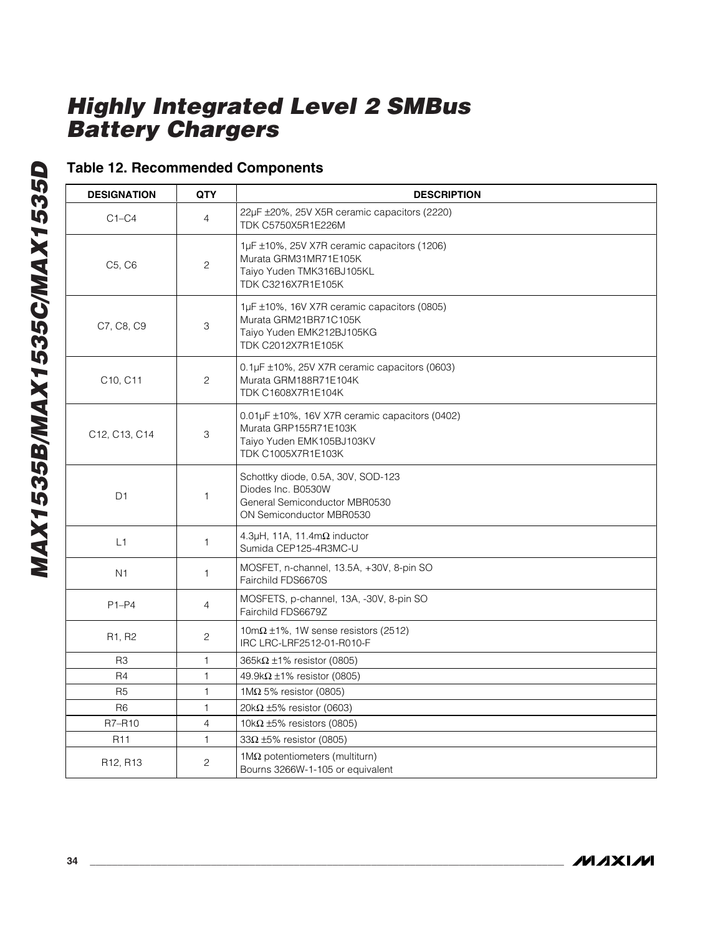|  | <b>Table 12. Recommended Components</b> |  |
|--|-----------------------------------------|--|
|--|-----------------------------------------|--|

| <b>DESIGNATION</b>                | <b>QTY</b>     | <b>DESCRIPTION</b>                                                                                                                |
|-----------------------------------|----------------|-----------------------------------------------------------------------------------------------------------------------------------|
| $C1-C4$                           | $\overline{4}$ | 22µF ±20%, 25V X5R ceramic capacitors (2220)<br>TDK C5750X5R1E226M                                                                |
| C5, C6                            | $\overline{c}$ | 1µF ±10%, 25V X7R ceramic capacitors (1206)<br>Murata GRM31MR71E105K<br>Taiyo Yuden TMK316BJ105KL<br>TDK C3216X7R1E105K           |
| C7, C8, C9                        | 3              | $1\mu$ F $\pm$ 10%, 16V X7R ceramic capacitors (0805)<br>Murata GRM21BR71C105K<br>Taiyo Yuden EMK212BJ105KG<br>TDK C2012X7R1E105K |
| C10, C11                          | $\mathbf{2}$   | 0.1µF ±10%, 25V X7R ceramic capacitors (0603)<br>Murata GRM188R71E104K<br><b>TDK C1608X7R1E104K</b>                               |
| C12, C13, C14                     | 3              | 0.01µF ±10%, 16V X7R ceramic capacitors (0402)<br>Murata GRP155R71E103K<br>Taiyo Yuden EMK105BJ103KV<br>TDK C1005X7R1E103K        |
| D <sub>1</sub>                    | 1              | Schottky diode, 0.5A, 30V, SOD-123<br>Diodes Inc. B0530W<br>General Semiconductor MBR0530<br>ON Semiconductor MBR0530             |
| L1                                | $\mathbf{1}$   | 4.3 $\mu$ H, 11A, 11.4m $\Omega$ inductor<br>Sumida CEP125-4R3MC-U                                                                |
| N <sub>1</sub>                    | 1              | MOSFET, n-channel, 13.5A, +30V, 8-pin SO<br>Fairchild FDS6670S                                                                    |
| $P1-P4$                           | $\overline{4}$ | MOSFETS, p-channel, 13A, -30V, 8-pin SO<br>Fairchild FDS6679Z                                                                     |
| R <sub>1</sub> , R <sub>2</sub>   | $\overline{c}$ | $10 \text{m}\Omega$ ±1%, 1W sense resistors (2512)<br>IRC LRC-LRF2512-01-R010-F                                                   |
| R <sub>3</sub>                    | 1              | 365k $\Omega$ ±1% resistor (0805)                                                                                                 |
| R4                                | $\mathbf{1}$   | 49.9k $\Omega$ ±1% resistor (0805)                                                                                                |
| R <sub>5</sub>                    | 1              | $1\text{M}\Omega$ 5% resistor (0805)                                                                                              |
| R <sub>6</sub>                    | 1              | 20k $\Omega$ ±5% resistor (0603)                                                                                                  |
| R7-R10                            | 4              | 10k $\Omega$ ±5% resistors (0805)                                                                                                 |
| R <sub>11</sub>                   | 1              | $33\Omega \pm 5\%$ resistor (0805)                                                                                                |
| R <sub>12</sub> , R <sub>13</sub> | $\mathbf{2}$   | $1\text{M}\Omega$ potentiometers (multiturn)<br>Bourns 3266W-1-105 or equivalent                                                  |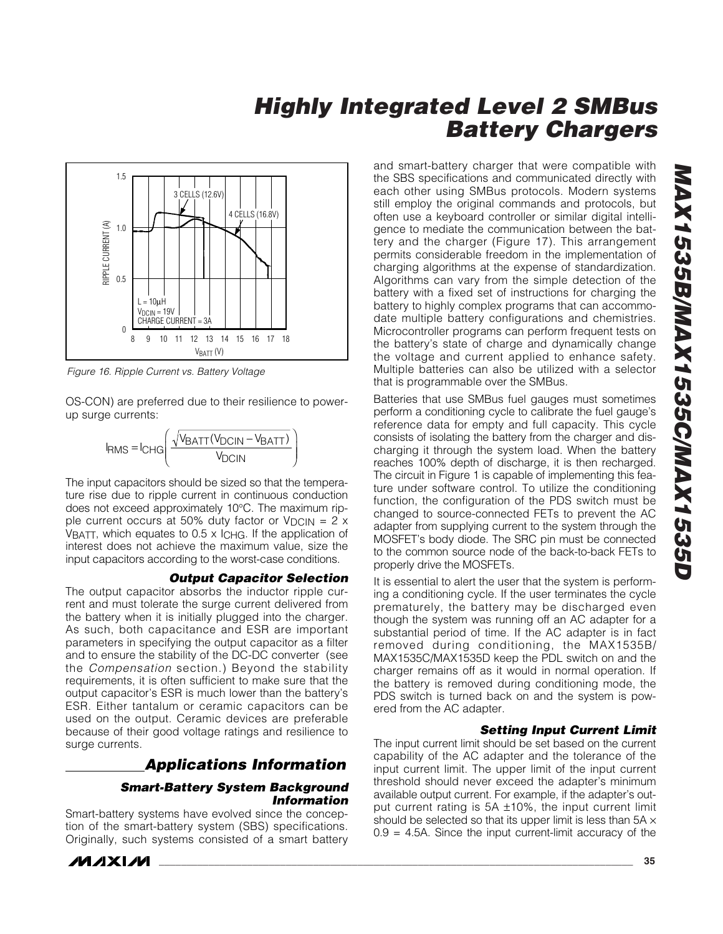

*Figure 16. Ripple Current vs. Battery Voltage*

OS-CON) are preferred due to their resilience to powerup surge currents:

$$
I_{RMS} = I_{CHG} \left( \frac{\sqrt{V_{BATT}(V_{DCIN} - V_{BATT})}}{V_{DCIN}} \right)
$$

The input capacitors should be sized so that the temperature rise due to ripple current in continuous conduction does not exceed approximately 10°C. The maximum ripple current occurs at 50% duty factor or  $V_{DCIN} = 2 \times$ VBATT, which equates to 0.5 x ICHG. If the application of interest does not achieve the maximum value, size the input capacitors according to the worst-case conditions.

#### *Output Capacitor Selection*

The output capacitor absorbs the inductor ripple current and must tolerate the surge current delivered from the battery when it is initially plugged into the charger. As such, both capacitance and ESR are important parameters in specifying the output capacitor as a filter and to ensure the stability of the DC-DC converter (see the *Compensation* section.) Beyond the stability requirements, it is often sufficient to make sure that the output capacitor's ESR is much lower than the battery's ESR. Either tantalum or ceramic capacitors can be used on the output. Ceramic devices are preferable because of their good voltage ratings and resilience to surge currents.

### *Applications Information*

#### *Smart-Battery System Background Information*

Smart-battery systems have evolved since the conception of the smart-battery system (SBS) specifications. Originally, such systems consisted of a smart battery and smart-battery charger that were compatible with the SBS specifications and communicated directly with each other using SMBus protocols. Modern systems still employ the original commands and protocols, but often use a keyboard controller or similar digital intelligence to mediate the communication between the battery and the charger (Figure 17). This arrangement permits considerable freedom in the implementation of charging algorithms at the expense of standardization. Algorithms can vary from the simple detection of the battery with a fixed set of instructions for charging the battery to highly complex programs that can accommodate multiple battery configurations and chemistries. Microcontroller programs can perform frequent tests on the battery's state of charge and dynamically change the voltage and current applied to enhance safety. Multiple batteries can also be utilized with a selector that is programmable over the SMBus.

Batteries that use SMBus fuel gauges must sometimes perform a conditioning cycle to calibrate the fuel gauge's reference data for empty and full capacity. This cycle consists of isolating the battery from the charger and discharging it through the system load. When the battery reaches 100% depth of discharge, it is then recharged. The circuit in Figure 1 is capable of implementing this feature under software control. To utilize the conditioning function, the configuration of the PDS switch must be changed to source-connected FETs to prevent the AC adapter from supplying current to the system through the MOSFET's body diode. The SRC pin must be connected to the common source node of the back-to-back FETs to properly drive the MOSFETs.

It is essential to alert the user that the system is performing a conditioning cycle. If the user terminates the cycle prematurely, the battery may be discharged even though the system was running off an AC adapter for a substantial period of time. If the AC adapter is in fact removed during conditioning, the MAX1535B/ MAX1535C/MAX1535D keep the PDL switch on and the charger remains off as it would in normal operation. If the battery is removed during conditioning mode, the PDS switch is turned back on and the system is powered from the AC adapter.

#### *Setting Input Current Limit*

The input current limit should be set based on the current capability of the AC adapter and the tolerance of the input current limit. The upper limit of the input current threshold should never exceed the adapter's minimum available output current. For example, if the adapter's output current rating is 5A ±10%, the input current limit should be selected so that its upper limit is less than  $5A \times$  $0.9 = 4.5$ A. Since the input current-limit accuracy of the

**MAXM**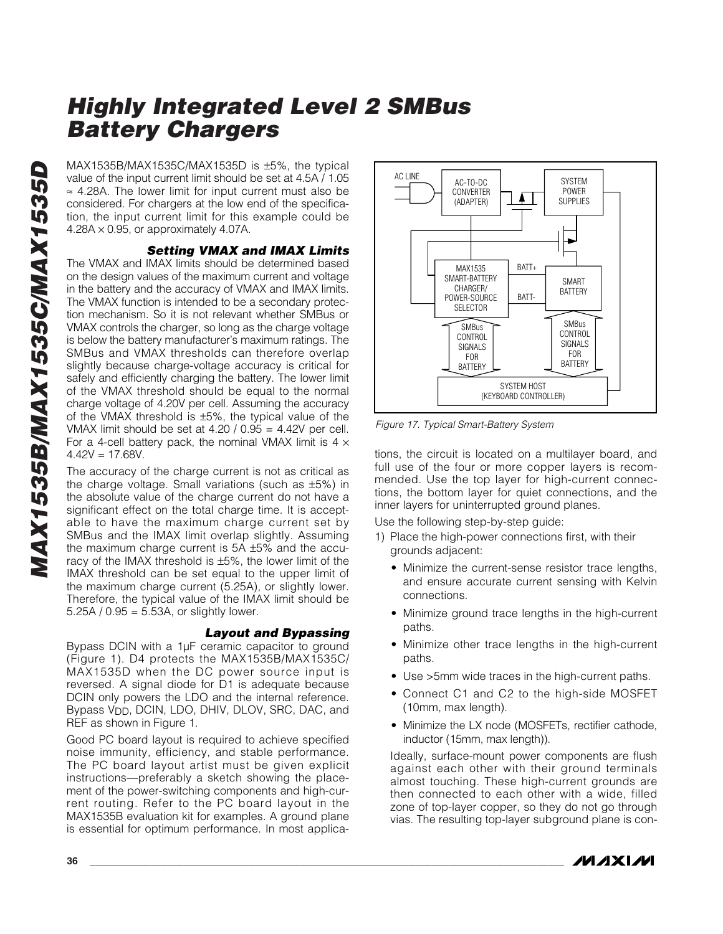MAX1535B/MAX1535C/MAX1535D is ±5%, the typical value of the input current limit should be set at 4.5A / 1.05 ≈ 4.28A. The lower limit for input current must also be considered. For chargers at the low end of the specification, the input current limit for this example could be  $4.28A \times 0.95$ , or approximately 4.07A.

### *Setting VMAX and IMAX Limits*

The VMAX and IMAX limits should be determined based on the design values of the maximum current and voltage in the battery and the accuracy of VMAX and IMAX limits. The VMAX function is intended to be a secondary protection mechanism. So it is not relevant whether SMBus or VMAX controls the charger, so long as the charge voltage is below the battery manufacturer's maximum ratings. The SMBus and VMAX thresholds can therefore overlap slightly because charge-voltage accuracy is critical for safely and efficiently charging the battery. The lower limit of the VMAX threshold should be equal to the normal charge voltage of 4.20V per cell. Assuming the accuracy of the VMAX threshold is ±5%, the typical value of the VMAX limit should be set at  $4.20 / 0.95 = 4.42V$  per cell. For a 4-cell battery pack, the nominal VMAX limit is  $4 \times$  $4.42V = 17.68V$ .

The accuracy of the charge current is not as critical as the charge voltage. Small variations (such as ±5%) in the absolute value of the charge current do not have a significant effect on the total charge time. It is acceptable to have the maximum charge current set by SMBus and the IMAX limit overlap slightly. Assuming the maximum charge current is 5A ±5% and the accuracy of the IMAX threshold is ±5%, the lower limit of the IMAX threshold can be set equal to the upper limit of the maximum charge current (5.25A), or slightly lower. Therefore, the typical value of the IMAX limit should be 5.25A /  $0.95 = 5.53A$ , or slightly lower.

#### *Layout and Bypassing*

Bypass DCIN with a 1µF ceramic capacitor to ground (Figure 1). D4 protects the MAX1535B/MAX1535C/ MAX1535D when the DC power source input is reversed. A signal diode for D1 is adequate because DCIN only powers the LDO and the internal reference. Bypass  $V_{DD}$ , DCIN, LDO, DHIV, DLOV, SRC, DAC, and REF as shown in Figure 1.

Good PC board layout is required to achieve specified noise immunity, efficiency, and stable performance. The PC board layout artist must be given explicit instructions—preferably a sketch showing the placement of the power-switching components and high-current routing. Refer to the PC board layout in the MAX1535B evaluation kit for examples. A ground plane is essential for optimum performance. In most applica-



*Figure 17. Typical Smart-Battery System*

tions, the circuit is located on a multilayer board, and full use of the four or more copper layers is recommended. Use the top layer for high-current connections, the bottom layer for quiet connections, and the inner layers for uninterrupted ground planes.

Use the following step-by-step guide:

- 1) Place the high-power connections first, with their grounds adjacent:
	- Minimize the current-sense resistor trace lengths, and ensure accurate current sensing with Kelvin connections.
	- Minimize ground trace lengths in the high-current paths.
	- Minimize other trace lengths in the high-current paths.
	- Use >5mm wide traces in the high-current paths.
	- Connect C1 and C2 to the high-side MOSFET (10mm, max length).
	- Minimize the LX node (MOSFETs, rectifier cathode, inductor (15mm, max length)).

Ideally, surface-mount power components are flush against each other with their ground terminals almost touching. These high-current grounds are then connected to each other with a wide, filled zone of top-layer copper, so they do not go through vias. The resulting top-layer subground plane is con-

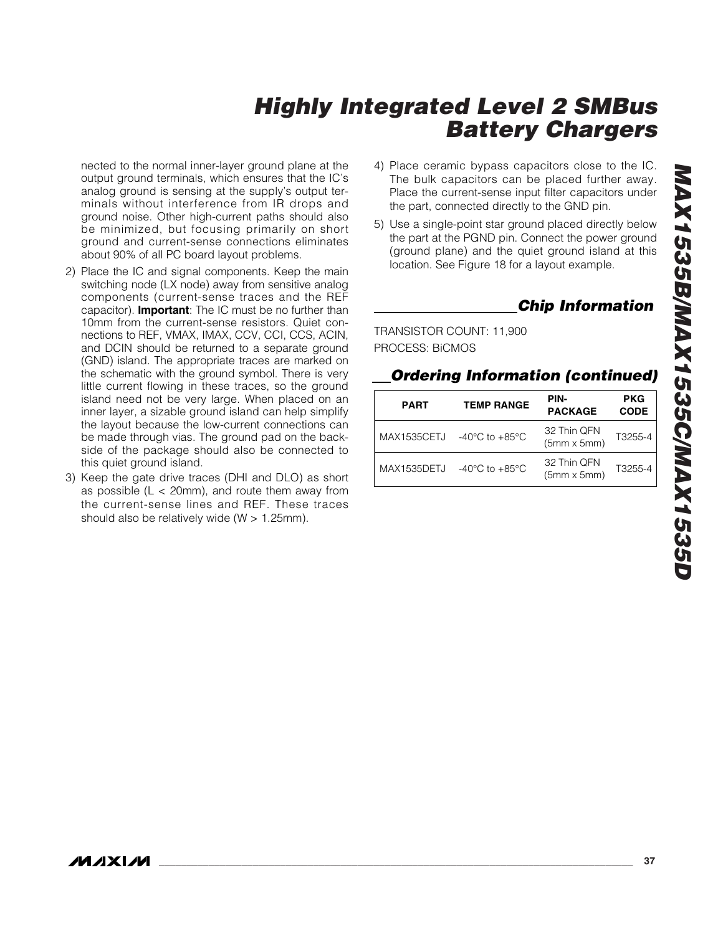nected to the normal inner-layer ground plane at the output ground terminals, which ensures that the IC's analog ground is sensing at the supply's output terminals without interference from IR drops and ground noise. Other high-current paths should also be minimized, but focusing primarily on short ground and current-sense connections eliminates about 90% of all PC board layout problems.

- 2) Place the IC and signal components. Keep the main switching node (LX node) away from sensitive analog components (current-sense traces and the REF capacitor). **Important**: The IC must be no further than 10mm from the current-sense resistors. Quiet connections to REF, VMAX, IMAX, CCV, CCI, CCS, ACIN, and DCIN should be returned to a separate ground (GND) island. The appropriate traces are marked on the schematic with the ground symbol. There is very little current flowing in these traces, so the ground island need not be very large. When placed on an inner layer, a sizable ground island can help simplify the layout because the low-current connections can be made through vias. The ground pad on the backside of the package should also be connected to this quiet ground island.
- 3) Keep the gate drive traces (DHI and DLO) as short as possible  $(L < 20$ mm), and route them away from the current-sense lines and REF. These traces should also be relatively wide (W > 1.25mm).
- 4) Place ceramic bypass capacitors close to the IC. The bulk capacitors can be placed further away. Place the current-sense input filter capacitors under the part, connected directly to the GND pin.
- 5) Use a single-point star ground placed directly below the part at the PGND pin. Connect the power ground (ground plane) and the quiet ground island at this location. See Figure 18 for a layout example.

### *Chip Information*

TRANSISTOR COUNT: 11,900 PROCESS: BiCMOS

### *Ordering Information (continued)*

| <b>PART</b>        | <b>TEMP RANGE</b>                    | PIN-<br><b>PACKAGE</b>            | <b>PKG</b><br><b>CODE</b> |
|--------------------|--------------------------------------|-----------------------------------|---------------------------|
| <b>MAX1535CETJ</b> | -40 $^{\circ}$ C to +85 $^{\circ}$ C | 32 Thin QFN<br>$(5mm \times 5mm)$ | T3255-4                   |
| MAX1535DETJ        | $-40^{\circ}$ C to $+85^{\circ}$ C   | 32 Thin QFN<br>$(5mm \times 5mm)$ | T3255-4                   |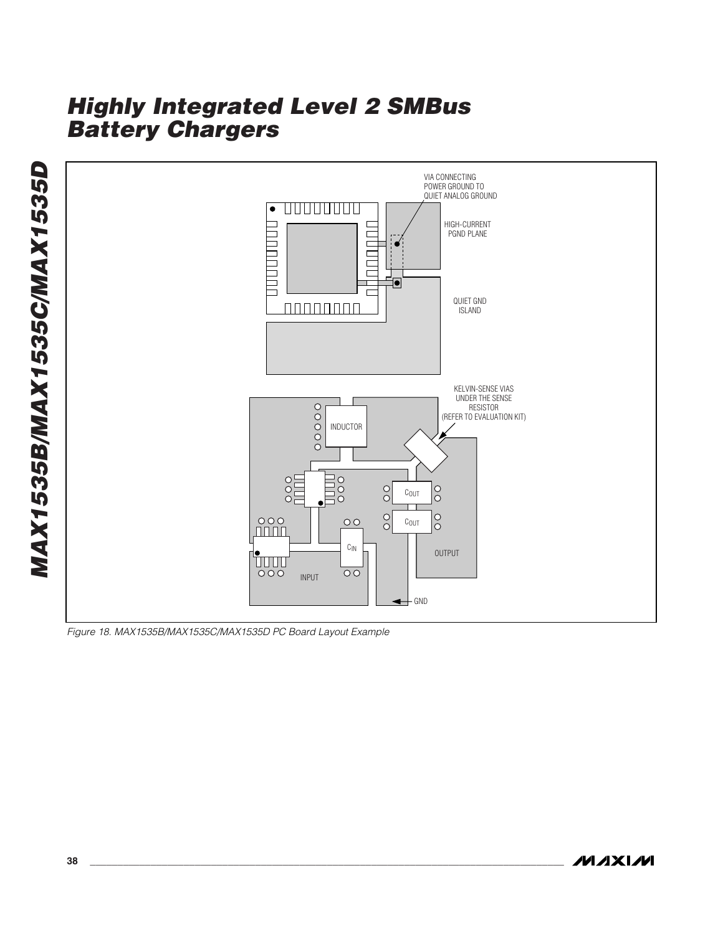

*Figure 18. MAX1535B/MAX1535C/MAX1535D PC Board Layout Example*